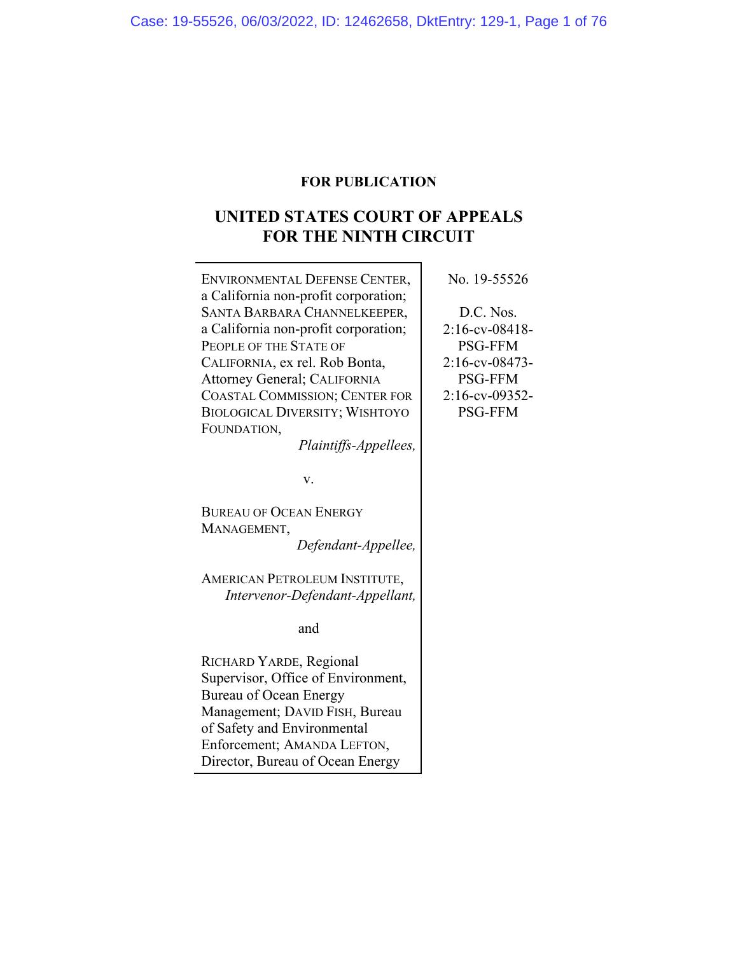# **FOR PUBLICATION**

# **UNITED STATES COURT OF APPEALS FOR THE NINTH CIRCUIT**

| ENVIRONMENTAL DEFENSE CENTER,                                        | No. 19-55526      |
|----------------------------------------------------------------------|-------------------|
| a California non-profit corporation;<br>SANTA BARBARA CHANNELKEEPER, | D.C. Nos.         |
|                                                                      | $2:16$ -cv-08418- |
| a California non-profit corporation;<br>PEOPLE OF THE STATE OF       | <b>PSG-FFM</b>    |
|                                                                      | 2:16-cv-08473-    |
| CALIFORNIA, ex rel. Rob Bonta,                                       |                   |
| Attorney General; CALIFORNIA                                         | <b>PSG-FFM</b>    |
| <b>COASTAL COMMISSION; CENTER FOR</b>                                | 2:16-cv-09352-    |
| <b>BIOLOGICAL DIVERSITY; WISHTOYO</b>                                | <b>PSG-FFM</b>    |
| FOUNDATION,                                                          |                   |
| Plaintiffs-Appellees,                                                |                   |
|                                                                      |                   |
| v.                                                                   |                   |
|                                                                      |                   |
| <b>BUREAU OF OCEAN ENERGY</b>                                        |                   |
| MANAGEMENT,                                                          |                   |
| Defendant-Appellee,                                                  |                   |
|                                                                      |                   |
| AMERICAN PETROLEUM INSTITUTE,                                        |                   |
| Intervenor-Defendant-Appellant,                                      |                   |
|                                                                      |                   |
| and                                                                  |                   |
|                                                                      |                   |
| RICHARD YARDE, Regional                                              |                   |
| Supervisor, Office of Environment,                                   |                   |
| <b>Bureau of Ocean Energy</b>                                        |                   |
| Management; DAVID FISH, Bureau                                       |                   |
| of Safety and Environmental                                          |                   |
| Enforcement; AMANDA LEFTON,                                          |                   |

Director, Bureau of Ocean Energy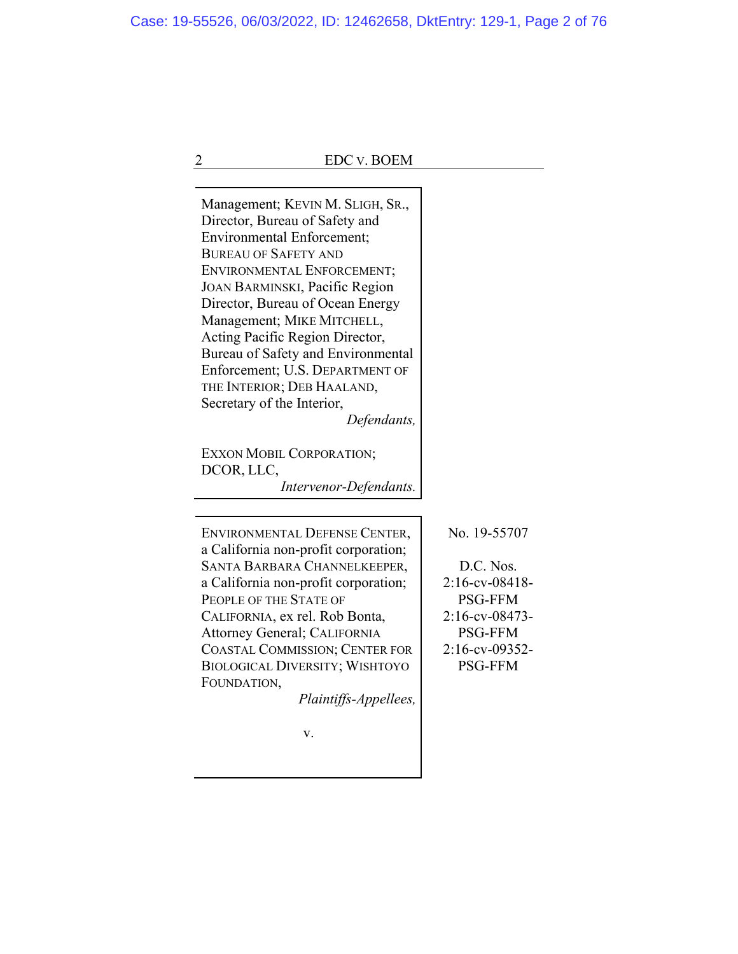| <b>EDC v. BOEM</b>                                                                                                                                                                                                                                                                                                                                                                                                                                              |                                                                                                                                          |
|-----------------------------------------------------------------------------------------------------------------------------------------------------------------------------------------------------------------------------------------------------------------------------------------------------------------------------------------------------------------------------------------------------------------------------------------------------------------|------------------------------------------------------------------------------------------------------------------------------------------|
| Management; KEVIN M. SLIGH, SR.,<br>Director, Bureau of Safety and<br><b>Environmental Enforcement;</b><br><b>BUREAU OF SAFETY AND</b><br>ENVIRONMENTAL ENFORCEMENT;<br>JOAN BARMINSKI, Pacific Region<br>Director, Bureau of Ocean Energy<br>Management; MIKE MITCHELL,<br>Acting Pacific Region Director,<br>Bureau of Safety and Environmental<br>Enforcement; U.S. DEPARTMENT OF<br>THE INTERIOR; DEB HAALAND,<br>Secretary of the Interior,<br>Defendants, |                                                                                                                                          |
| EXXON MOBIL CORPORATION;<br>DCOR, LLC,<br>Intervenor-Defendants.                                                                                                                                                                                                                                                                                                                                                                                                |                                                                                                                                          |
| ENVIRONMENTAL DEFENSE CENTER,<br>a California non-profit corporation;<br>SANTA BARBARA CHANNELKEEPER,<br>a California non-profit corporation;<br>PEOPLE OF THE STATE OF<br>CALIFORNIA, ex rel. Rob Bonta,<br>Attorney General; CALIFORNIA<br><b>COASTAL COMMISSION; CENTER FOR</b><br><b>BIOLOGICAL DIVERSITY; WISHTOYO</b><br>FOUNDATION,<br>Plaintiffs-Appellees,                                                                                             | No. 19-55707<br>D.C. Nos.<br>$2:16$ -cv-08418-<br><b>PSG-FFM</b><br>2:16-cv-08473-<br><b>PSG-FFM</b><br>2:16-cv-09352-<br><b>PSG-FFM</b> |
| v.                                                                                                                                                                                                                                                                                                                                                                                                                                                              |                                                                                                                                          |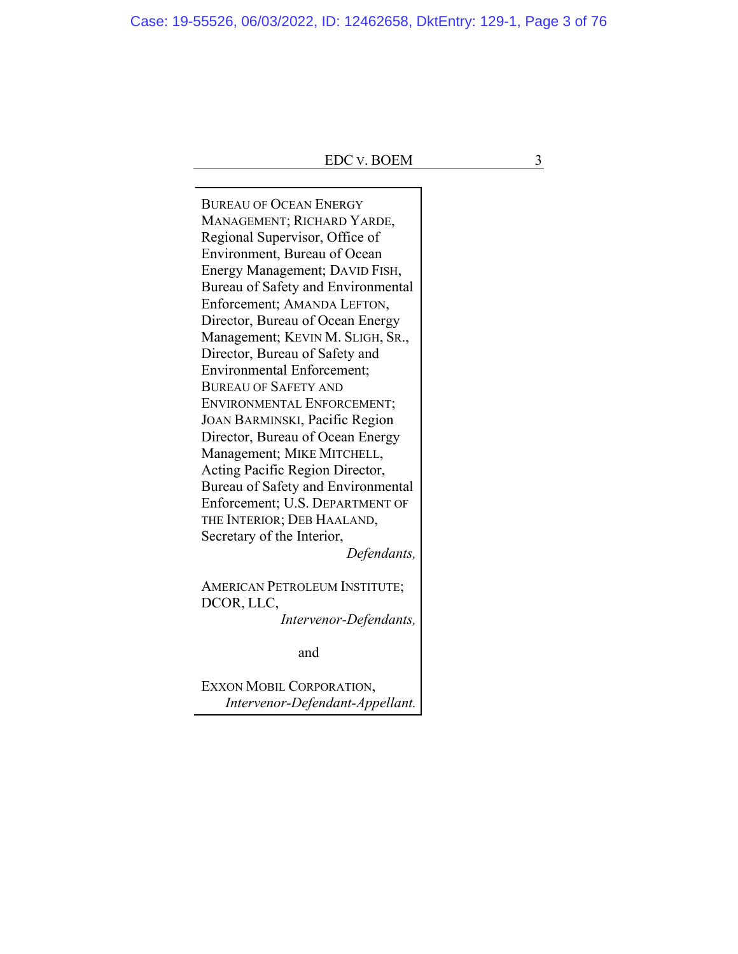Case: 19-55526, 06/03/2022, ID: 12462658, DktEntry: 129-1, Page 3 of 76

BUREAU OF OCEAN ENERGY MANAGEMENT; RICHARD YARDE, Regional Supervisor, Office of Environment, Bureau of Ocean Energy Management; DAVID FISH, Bureau of Safety and Environmental Enforcement; AMANDA LEFTON, Director, Bureau of Ocean Energy Management; KEVIN M. SLIGH, SR., Director, Bureau of Safety and Environmental Enforcement; BUREAU OF SAFETY AND ENVIRONMENTAL ENFORCEMENT; JOAN BARMINSKI, Pacific Region Director, Bureau of Ocean Energy Management; MIKE MITCHELL, Acting Pacific Region Director, Bureau of Safety and Environmental Enforcement; U.S. DEPARTMENT OF THE INTERIOR; DEB HAALAND, Secretary of the Interior, *Defendants,*

AMERICAN PETROLEUM INSTITUTE; DCOR, LLC, *Intervenor-Defendants,*

and

EXXON MOBIL CORPORATION, *Intervenor-Defendant-Appellant.*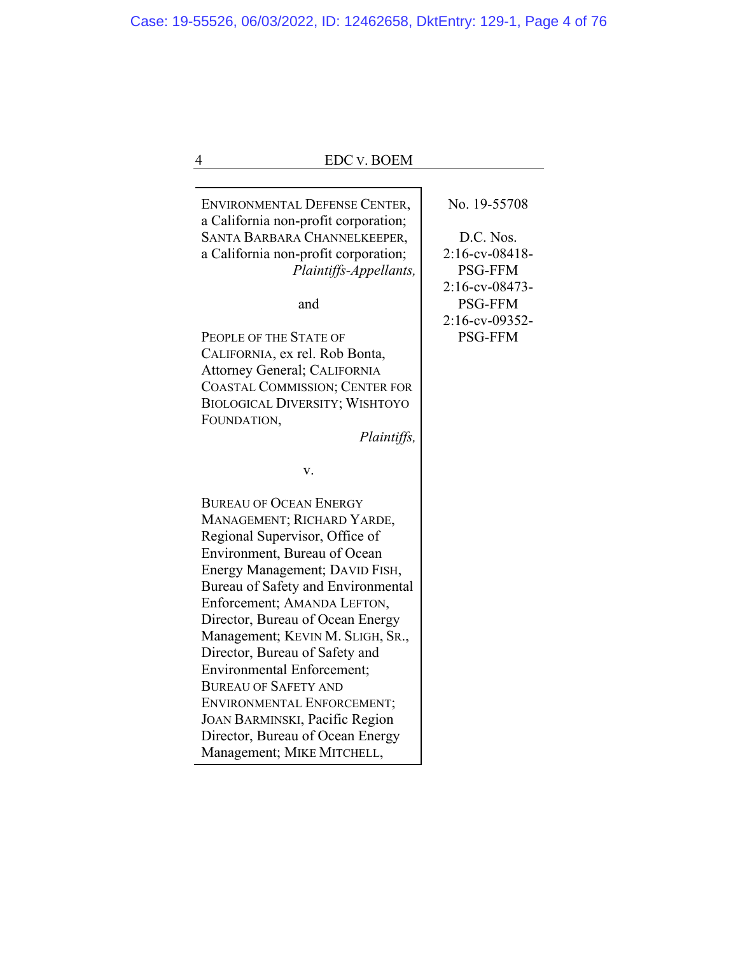| <b>EDC v. BOEM</b><br>4                                                                                                                                                                                                                                                                                                                                                                                                                                                                                                                                     |                                                                                                                                       |
|-------------------------------------------------------------------------------------------------------------------------------------------------------------------------------------------------------------------------------------------------------------------------------------------------------------------------------------------------------------------------------------------------------------------------------------------------------------------------------------------------------------------------------------------------------------|---------------------------------------------------------------------------------------------------------------------------------------|
|                                                                                                                                                                                                                                                                                                                                                                                                                                                                                                                                                             |                                                                                                                                       |
| ENVIRONMENTAL DEFENSE CENTER,<br>a California non-profit corporation;<br>SANTA BARBARA CHANNELKEEPER,<br>a California non-profit corporation;<br>Plaintiffs-Appellants,<br>and<br>PEOPLE OF THE STATE OF<br>CALIFORNIA, ex rel. Rob Bonta,<br>Attorney General; CALIFORNIA<br><b>COASTAL COMMISSION; CENTER FOR</b><br><b>BIOLOGICAL DIVERSITY; WISHTOYO</b><br>FOUNDATION,                                                                                                                                                                                 | No. 19-55708<br>D.C. Nos.<br>2:16-cv-08418-<br><b>PSG-FFM</b><br>2:16-cv-08473-<br><b>PSG-FFM</b><br>2:16-cv-09352-<br><b>PSG-FFM</b> |
| Plaintiffs,                                                                                                                                                                                                                                                                                                                                                                                                                                                                                                                                                 |                                                                                                                                       |
| v.                                                                                                                                                                                                                                                                                                                                                                                                                                                                                                                                                          |                                                                                                                                       |
| <b>BUREAU OF OCEAN ENERGY</b><br>MANAGEMENT; RICHARD YARDE,<br>Regional Supervisor, Office of<br>Environment, Bureau of Ocean<br>Energy Management; DAVID FISH,<br>Bureau of Safety and Environmental<br>Enforcement; AMANDA LEFTON,<br>Director, Bureau of Ocean Energy<br>Management; KEVIN M. SLIGH, SR.,<br>Director, Bureau of Safety and<br><b>Environmental Enforcement;</b><br><b>BUREAU OF SAFETY AND</b><br>ENVIRONMENTAL ENFORCEMENT;<br><b>JOAN BARMINSKI, Pacific Region</b><br>Director, Bureau of Ocean Energy<br>Management; MIKE MITCHELL, |                                                                                                                                       |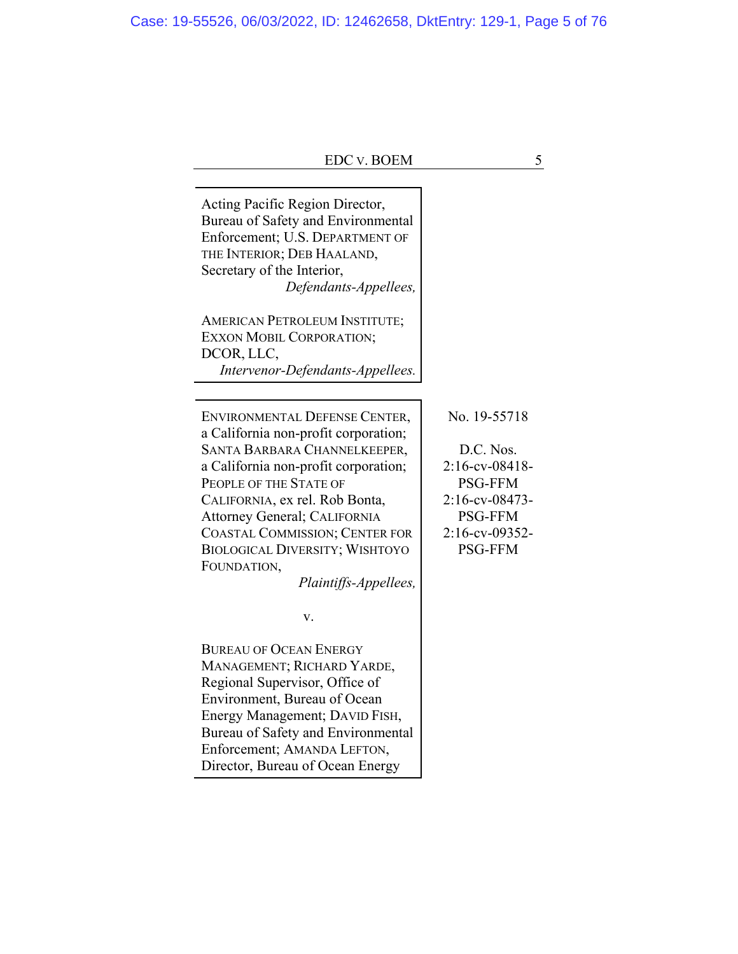| <b>EDC v. BOEM</b>                                                                                                                                                                                                                                                                                                                                                  | 5                                                                                                                                           |
|---------------------------------------------------------------------------------------------------------------------------------------------------------------------------------------------------------------------------------------------------------------------------------------------------------------------------------------------------------------------|---------------------------------------------------------------------------------------------------------------------------------------------|
|                                                                                                                                                                                                                                                                                                                                                                     |                                                                                                                                             |
| Acting Pacific Region Director,<br>Bureau of Safety and Environmental<br>Enforcement; U.S. DEPARTMENT OF<br>THE INTERIOR; DEB HAALAND,<br>Secretary of the Interior,<br>Defendants-Appellees,<br><b>AMERICAN PETROLEUM INSTITUTE;</b><br><b>EXXON MOBIL CORPORATION;</b><br>DCOR, LLC,                                                                              |                                                                                                                                             |
| Intervenor-Defendants-Appellees.                                                                                                                                                                                                                                                                                                                                    |                                                                                                                                             |
| ENVIRONMENTAL DEFENSE CENTER,<br>a California non-profit corporation;<br>SANTA BARBARA CHANNELKEEPER,<br>a California non-profit corporation;<br>PEOPLE OF THE STATE OF<br>CALIFORNIA, ex rel. Rob Bonta,<br>Attorney General; CALIFORNIA<br><b>COASTAL COMMISSION; CENTER FOR</b><br><b>BIOLOGICAL DIVERSITY; WISHTOYO</b><br>FOUNDATION,<br>Plaintiffs-Appellees, | No. 19-55718<br>D.C. Nos.<br>$2:16$ -cv-08418-<br><b>PSG-FFM</b><br>$2:16$ -cv-08473-<br><b>PSG-FFM</b><br>2:16-cv-09352-<br><b>PSG-FFM</b> |
| v.                                                                                                                                                                                                                                                                                                                                                                  |                                                                                                                                             |
| <b>BUREAU OF OCEAN ENERGY</b><br>MANAGEMENT; RICHARD YARDE,<br>Regional Supervisor, Office of<br>Environment, Bureau of Ocean<br>Energy Management; DAVID FISH,<br>Bureau of Safety and Environmental<br>Enforcement; AMANDA LEFTON,<br>Director, Bureau of Ocean Energy                                                                                            |                                                                                                                                             |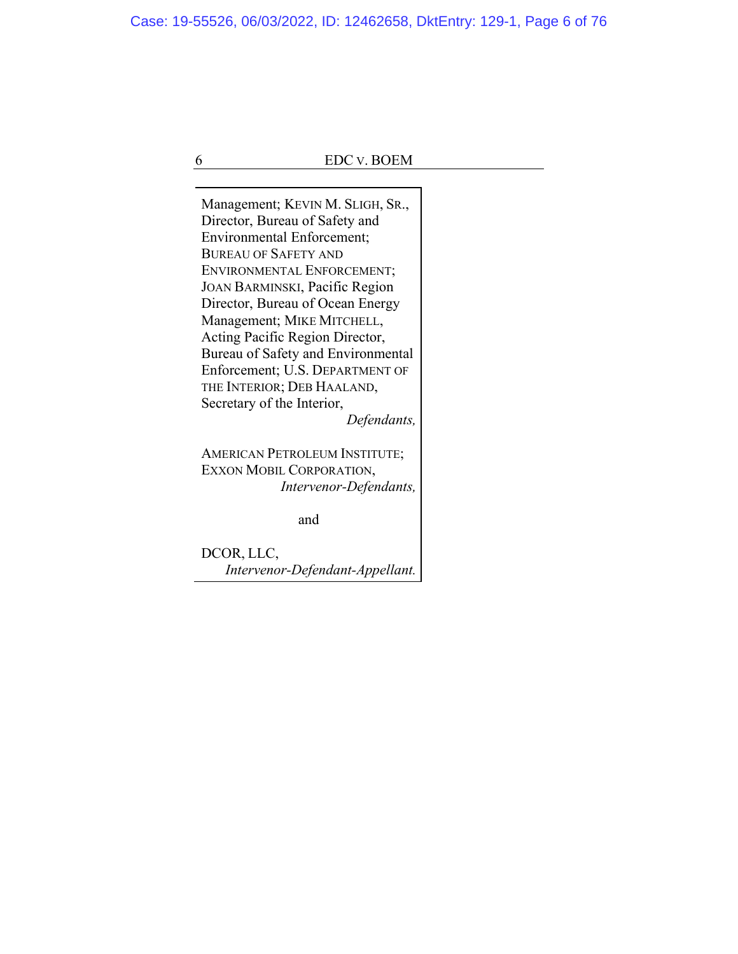Case: 19-55526, 06/03/2022, ID: 12462658, DktEntry: 129-1, Page 6 of 76

6 EDC V. BOEM

Management; KEVIN M. SLIGH, SR., Director, Bureau of Safety and Environmental Enforcement; BUREAU OF SAFETY AND ENVIRONMENTAL ENFORCEMENT; JOAN BARMINSKI, Pacific Region Director, Bureau of Ocean Energy Management; MIKE MITCHELL, Acting Pacific Region Director, Bureau of Safety and Environmental Enforcement; U.S. DEPARTMENT OF THE INTERIOR; DEB HAALAND, Secretary of the Interior,

*Defendants,*

AMERICAN PETROLEUM INSTITUTE; EXXON MOBIL CORPORATION, *Intervenor-Defendants,*

and

DCOR, LLC, *Intervenor-Defendant-Appellant.*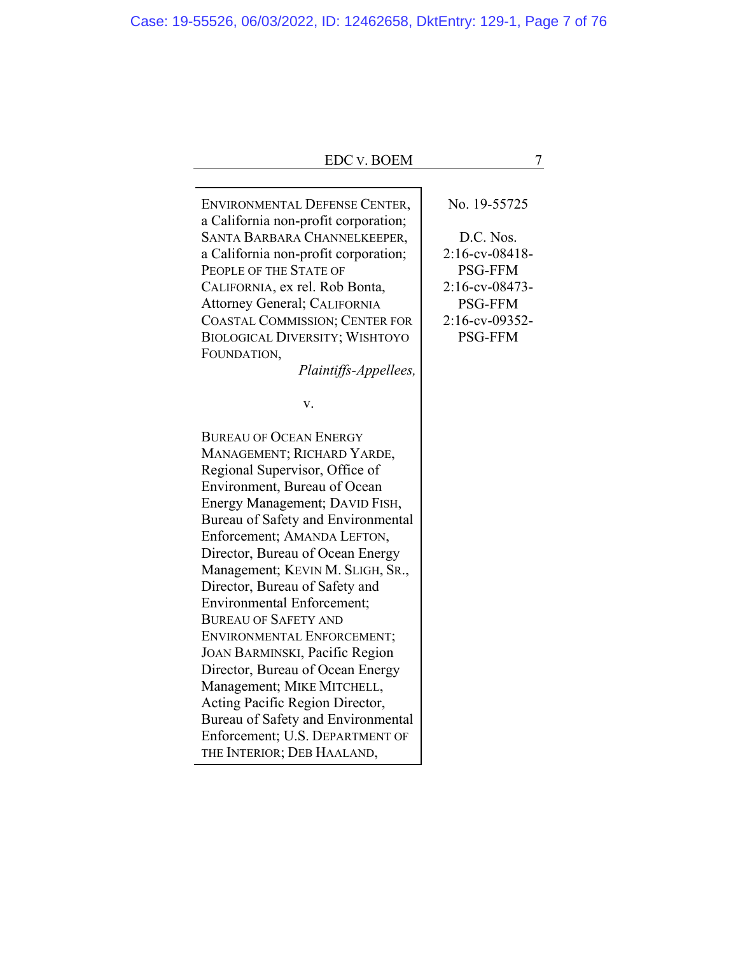| <b>EDC v. BOEM</b>                                                   | 7              |
|----------------------------------------------------------------------|----------------|
|                                                                      | No. 19-55725   |
| ENVIRONMENTAL DEFENSE CENTER,                                        |                |
| a California non-profit corporation;<br>SANTA BARBARA CHANNELKEEPER, | D.C. Nos.      |
| a California non-profit corporation;                                 | 2:16-cv-08418- |
| PEOPLE OF THE STATE OF                                               | <b>PSG-FFM</b> |
| CALIFORNIA, ex rel. Rob Bonta,                                       | 2:16-cv-08473- |
| Attorney General; CALIFORNIA                                         | <b>PSG-FFM</b> |
| <b>COASTAL COMMISSION; CENTER FOR</b>                                | 2:16-cv-09352- |
| <b>BIOLOGICAL DIVERSITY; WISHTOYO</b>                                | <b>PSG-FFM</b> |
| FOUNDATION,                                                          |                |
| Plaintiffs-Appellees,                                                |                |
| v.                                                                   |                |
| <b>BUREAU OF OCEAN ENERGY</b>                                        |                |
| MANAGEMENT; RICHARD YARDE,                                           |                |
| Regional Supervisor, Office of                                       |                |
| Environment, Bureau of Ocean                                         |                |
| Energy Management; DAVID FISH,                                       |                |
| Bureau of Safety and Environmental                                   |                |
| Enforcement; AMANDA LEFTON,                                          |                |
| Director, Bureau of Ocean Energy                                     |                |
| Management; KEVIN M. SLIGH, SR.,                                     |                |
| Director, Bureau of Safety and                                       |                |
| <b>Environmental Enforcement;</b>                                    |                |
| <b>BUREAU OF SAFETY AND</b>                                          |                |
| ENVIRONMENTAL ENFORCEMENT;                                           |                |
| <b>JOAN BARMINSKI, Pacific Region</b>                                |                |
| Director, Bureau of Ocean Energy<br>Management; MIKE MITCHELL,       |                |
| Acting Pacific Region Director,                                      |                |
| Bureau of Safety and Environmental                                   |                |
| Enforcement; U.S. DEPARTMENT OF                                      |                |
| THE INTERIOR; DEB HAALAND,                                           |                |
|                                                                      |                |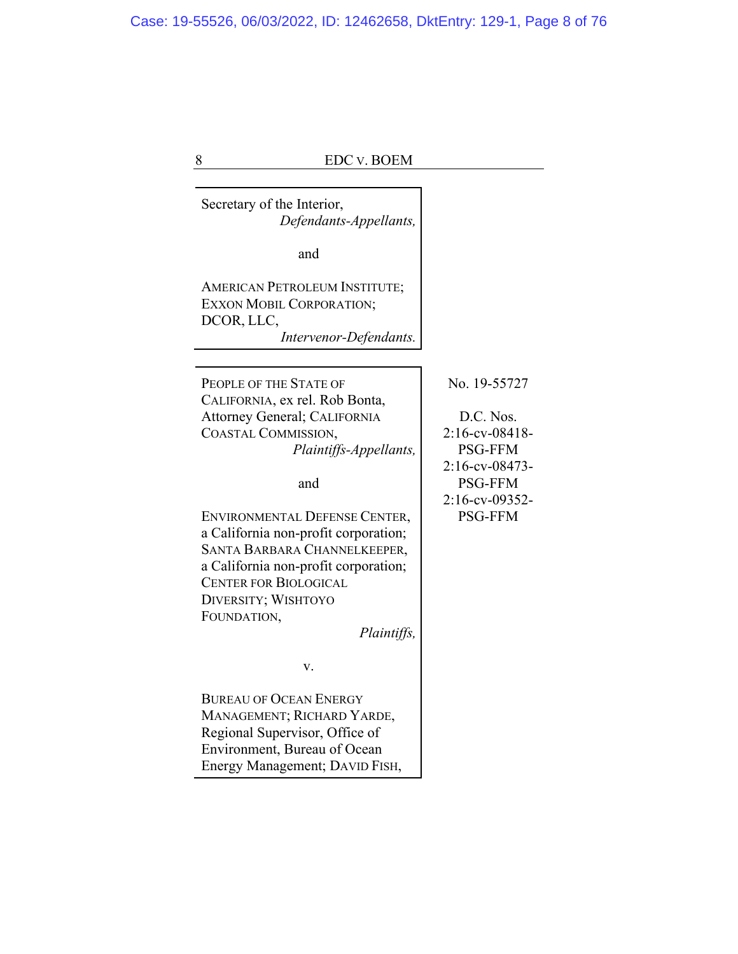8 EDC v. BOEM Secretary of the Interior, *Defendants-Appellants,* and AMERICAN PETROLEUM INSTITUTE; EXXON MOBIL CORPORATION; DCOR, LLC, *Intervenor-Defendants.* PEOPLE OF THE STATE OF CALIFORNIA, ex rel. Rob Bonta, Attorney General; CALIFORNIA COASTAL COMMISSION, *Plaintiffs-Appellants,* and ENVIRONMENTAL DEFENSE CENTER, a California non-profit corporation; SANTA BARBARA CHANNELKEEPER, a California non-profit corporation; CENTER FOR BIOLOGICAL DIVERSITY; WISHTOYO FOUNDATION, *Plaintiffs,* v. BUREAU OF OCEAN ENERGY MANAGEMENT; RICHARD YARDE, Regional Supervisor, Office of Environment, Bureau of Ocean Energy Management; DAVID FISH, No. 19-55727 D.C. Nos. 2:16-cv-08418- PSG-FFM 2:16-cv-08473- PSG-FFM 2:16-cv-09352- PSG-FFM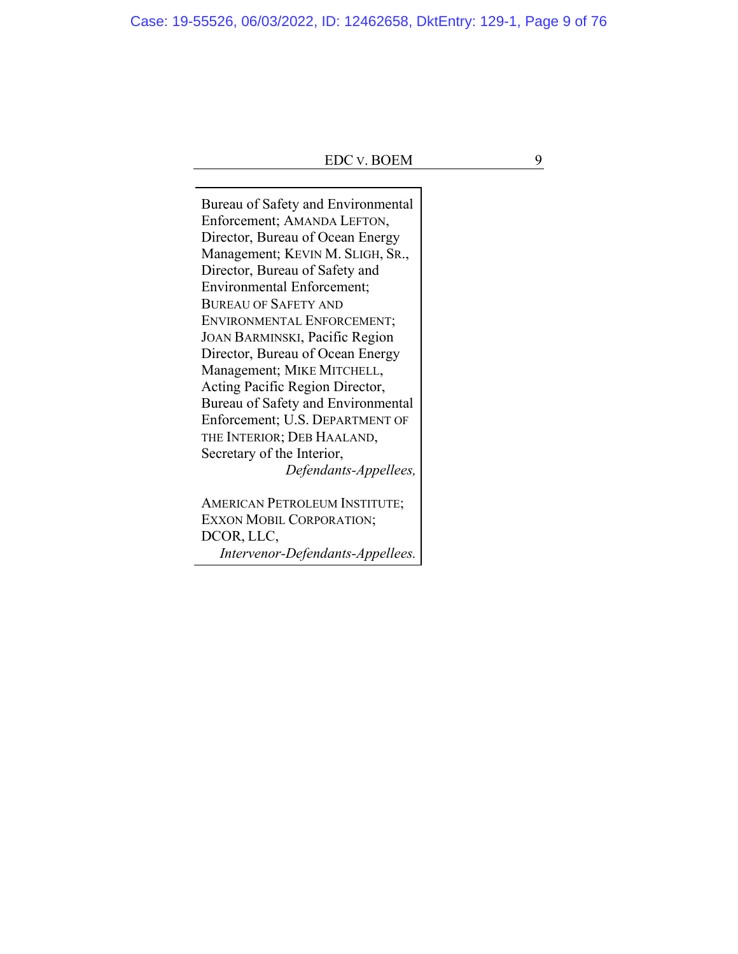Case: 19-55526, 06/03/2022, ID: 12462658, DktEntry: 129-1, Page 9 of 76

# EDC V. BOEM 9

Bureau of Safety and Environmental Enforcement; AMANDA LEFTON, Director, Bureau of Ocean Energy Management; KEVIN M. SLIGH, SR., Director, Bureau of Safety and Environmental Enforcement; BUREAU OF SAFETY AND ENVIRONMENTAL ENFORCEMENT; JOAN BARMINSKI, Pacific Region Director, Bureau of Ocean Energy Management; MIKE MITCHELL, Acting Pacific Region Director, Bureau of Safety and Environmental Enforcement; U.S. DEPARTMENT OF THE INTERIOR; DEB HAALAND, Secretary of the Interior, *Defendants-Appellees,*

AMERICAN PETROLEUM INSTITUTE; EXXON MOBIL CORPORATION; DCOR, LLC, *Intervenor-Defendants-Appellees.*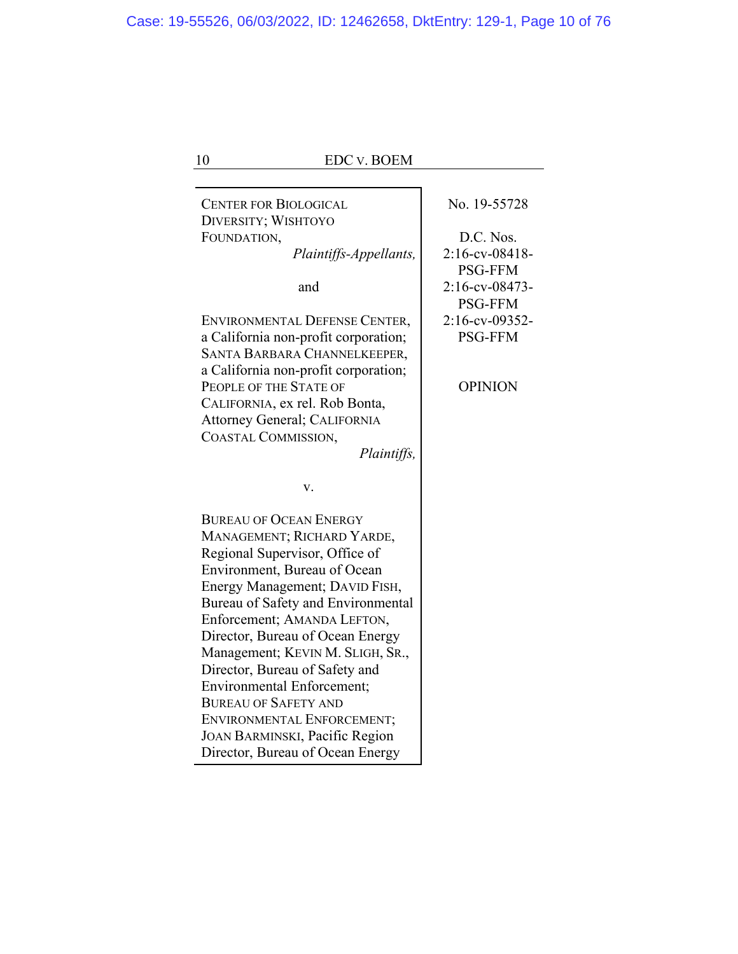| 10<br><b>EDC v. BOEM</b>                                              |                                     |
|-----------------------------------------------------------------------|-------------------------------------|
| <b>CENTER FOR BIOLOGICAL</b>                                          | No. 19-55728                        |
| DIVERSITY; WISHTOYO                                                   |                                     |
| FOUNDATION,                                                           | D.C. Nos.                           |
| Plaintiffs-Appellants,                                                | $2:16$ -cv-08418-<br><b>PSG-FFM</b> |
| and                                                                   | $2:16$ -cv-08473-<br><b>PSG-FFM</b> |
| ENVIRONMENTAL DEFENSE CENTER,<br>a California non-profit corporation; | 2:16-cv-09352-<br><b>PSG-FFM</b>    |
| SANTA BARBARA CHANNELKEEPER,<br>a California non-profit corporation;  |                                     |
| PEOPLE OF THE STATE OF<br>CALIFORNIA, ex rel. Rob Bonta,              | <b>OPINION</b>                      |
| Attorney General; CALIFORNIA                                          |                                     |
| COASTAL COMMISSION,<br>Plaintiffs,                                    |                                     |
| V.                                                                    |                                     |
| <b>BUREAU OF OCEAN ENERGY</b>                                         |                                     |
| MANAGEMENT; RICHARD YARDE,                                            |                                     |
| Regional Supervisor, Office of<br>Environment, Bureau of Ocean        |                                     |
| Energy Management; DAVID FISH,                                        |                                     |
| Bureau of Safety and Environmental                                    |                                     |
| Enforcement; AMANDA LEFTON,                                           |                                     |
| Director, Bureau of Ocean Energy                                      |                                     |
| Management; KEVIN M. SLIGH, SR.,                                      |                                     |
| Director, Bureau of Safety and                                        |                                     |
| <b>Environmental Enforcement;</b>                                     |                                     |
| <b>BUREAU OF SAFETY AND</b>                                           |                                     |
| ENVIRONMENTAL ENFORCEMENT;                                            |                                     |
| JOAN BARMINSKI, Pacific Region                                        |                                     |
| Director, Bureau of Ocean Energy                                      |                                     |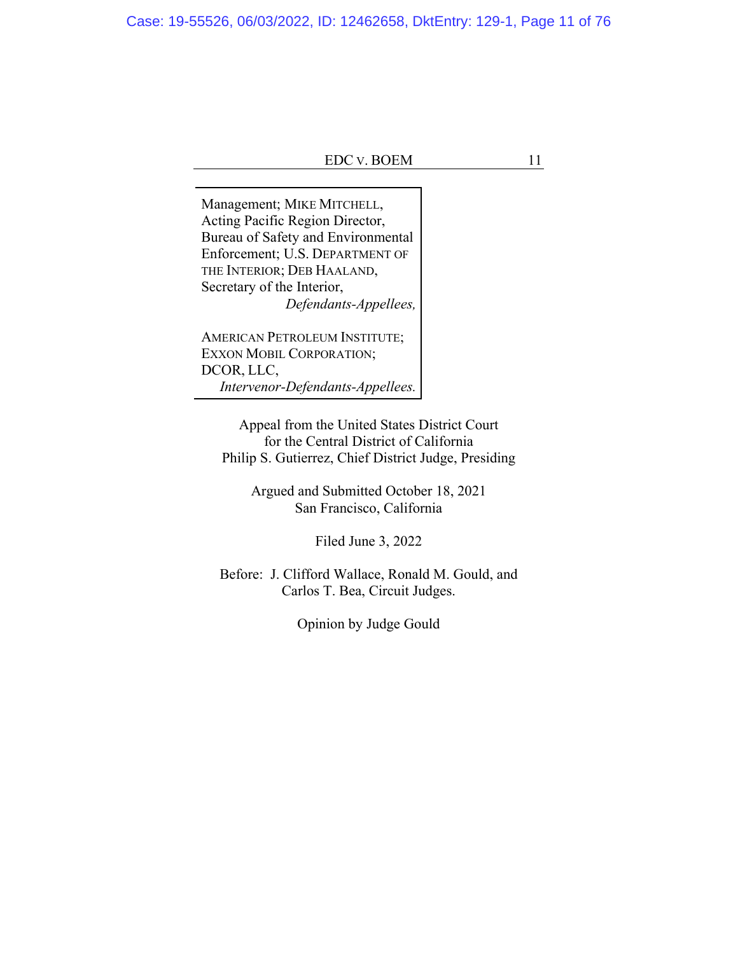Management; MIKE MITCHELL, Acting Pacific Region Director, Bureau of Safety and Environmental Enforcement; U.S. DEPARTMENT OF THE INTERIOR; DEB HAALAND, Secretary of the Interior, *Defendants-Appellees,*

AMERICAN PETROLEUM INSTITUTE; EXXON MOBIL CORPORATION; DCOR, LLC, *Intervenor-Defendants-Appellees.*

Appeal from the United States District Court for the Central District of California Philip S. Gutierrez, Chief District Judge, Presiding

> Argued and Submitted October 18, 2021 San Francisco, California

> > Filed June 3, 2022

Before: J. Clifford Wallace, Ronald M. Gould, and Carlos T. Bea, Circuit Judges.

Opinion by Judge Gould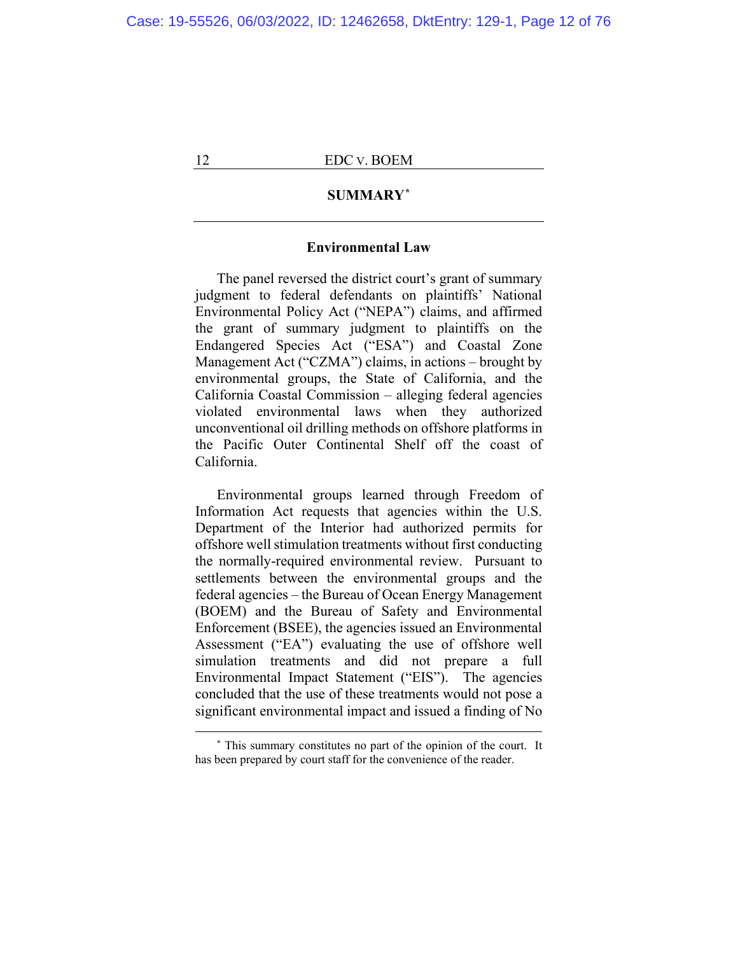# **SUMMARY\***

# **Environmental Law**

The panel reversed the district court's grant of summary judgment to federal defendants on plaintiffs' National Environmental Policy Act ("NEPA") claims, and affirmed the grant of summary judgment to plaintiffs on the Endangered Species Act ("ESA") and Coastal Zone Management Act ("CZMA") claims, in actions – brought by environmental groups, the State of California, and the California Coastal Commission – alleging federal agencies violated environmental laws when they authorized unconventional oil drilling methods on offshore platforms in the Pacific Outer Continental Shelf off the coast of California.

Environmental groups learned through Freedom of Information Act requests that agencies within the U.S. Department of the Interior had authorized permits for offshore well stimulation treatments without first conducting the normally-required environmental review. Pursuant to settlements between the environmental groups and the federal agencies – the Bureau of Ocean Energy Management (BOEM) and the Bureau of Safety and Environmental Enforcement (BSEE), the agencies issued an Environmental Assessment ("EA") evaluating the use of offshore well simulation treatments and did not prepare a full Environmental Impact Statement ("EIS"). The agencies concluded that the use of these treatments would not pose a significant environmental impact and issued a finding of No

**<sup>\*</sup>** This summary constitutes no part of the opinion of the court. It has been prepared by court staff for the convenience of the reader.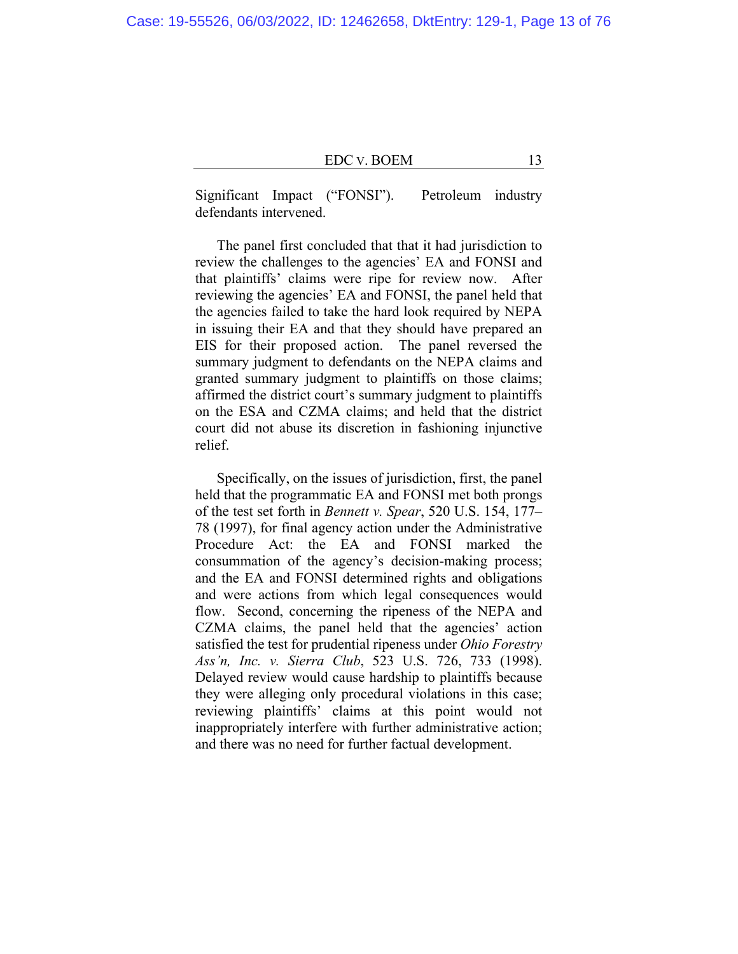Significant Impact ("FONSI"). Petroleum industry defendants intervened.

The panel first concluded that that it had jurisdiction to review the challenges to the agencies' EA and FONSI and that plaintiffs' claims were ripe for review now. After reviewing the agencies' EA and FONSI, the panel held that the agencies failed to take the hard look required by NEPA in issuing their EA and that they should have prepared an EIS for their proposed action. The panel reversed the summary judgment to defendants on the NEPA claims and granted summary judgment to plaintiffs on those claims; affirmed the district court's summary judgment to plaintiffs on the ESA and CZMA claims; and held that the district court did not abuse its discretion in fashioning injunctive relief.

Specifically, on the issues of jurisdiction, first, the panel held that the programmatic EA and FONSI met both prongs of the test set forth in *Bennett v. Spear*, 520 U.S. 154, 177– 78 (1997), for final agency action under the Administrative Procedure Act: the EA and FONSI marked the consummation of the agency's decision-making process; and the EA and FONSI determined rights and obligations and were actions from which legal consequences would flow. Second, concerning the ripeness of the NEPA and CZMA claims, the panel held that the agencies' action satisfied the test for prudential ripeness under *Ohio Forestry Ass'n, Inc. v. Sierra Club*, 523 U.S. 726, 733 (1998). Delayed review would cause hardship to plaintiffs because they were alleging only procedural violations in this case; reviewing plaintiffs' claims at this point would not inappropriately interfere with further administrative action; and there was no need for further factual development.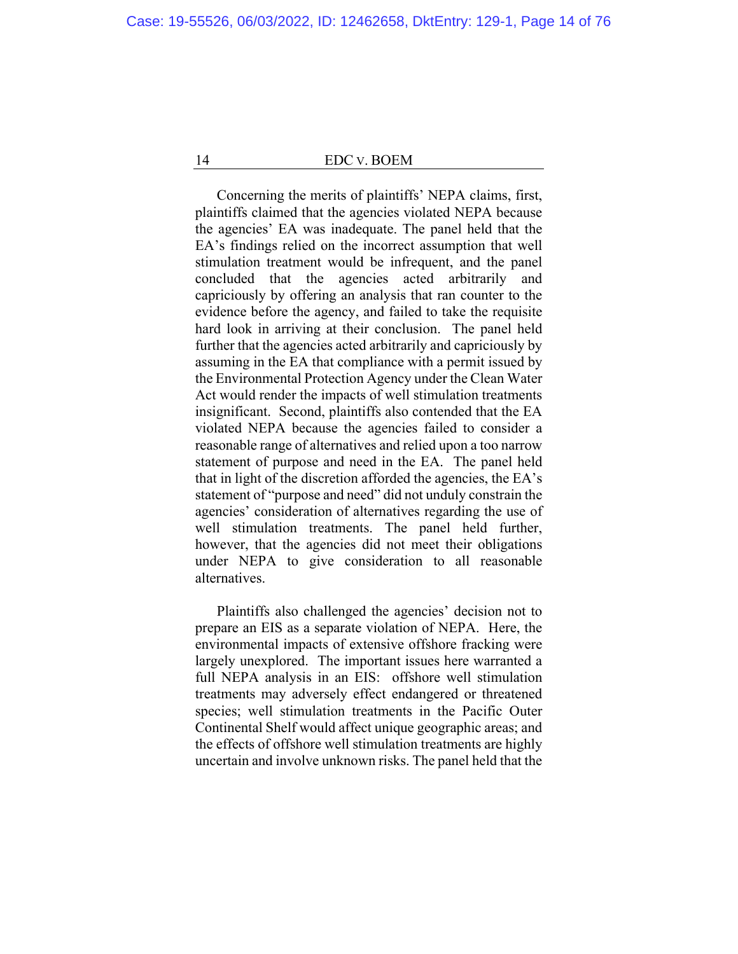Concerning the merits of plaintiffs' NEPA claims, first, plaintiffs claimed that the agencies violated NEPA because the agencies' EA was inadequate. The panel held that the EA's findings relied on the incorrect assumption that well stimulation treatment would be infrequent, and the panel concluded that the agencies acted arbitrarily and capriciously by offering an analysis that ran counter to the evidence before the agency, and failed to take the requisite hard look in arriving at their conclusion. The panel held further that the agencies acted arbitrarily and capriciously by assuming in the EA that compliance with a permit issued by the Environmental Protection Agency under the Clean Water Act would render the impacts of well stimulation treatments insignificant. Second, plaintiffs also contended that the EA violated NEPA because the agencies failed to consider a reasonable range of alternatives and relied upon a too narrow statement of purpose and need in the EA. The panel held that in light of the discretion afforded the agencies, the EA's statement of "purpose and need" did not unduly constrain the agencies' consideration of alternatives regarding the use of well stimulation treatments. The panel held further, however, that the agencies did not meet their obligations under NEPA to give consideration to all reasonable alternatives.

Plaintiffs also challenged the agencies' decision not to prepare an EIS as a separate violation of NEPA. Here, the environmental impacts of extensive offshore fracking were largely unexplored. The important issues here warranted a full NEPA analysis in an EIS: offshore well stimulation treatments may adversely effect endangered or threatened species; well stimulation treatments in the Pacific Outer Continental Shelf would affect unique geographic areas; and the effects of offshore well stimulation treatments are highly uncertain and involve unknown risks. The panel held that the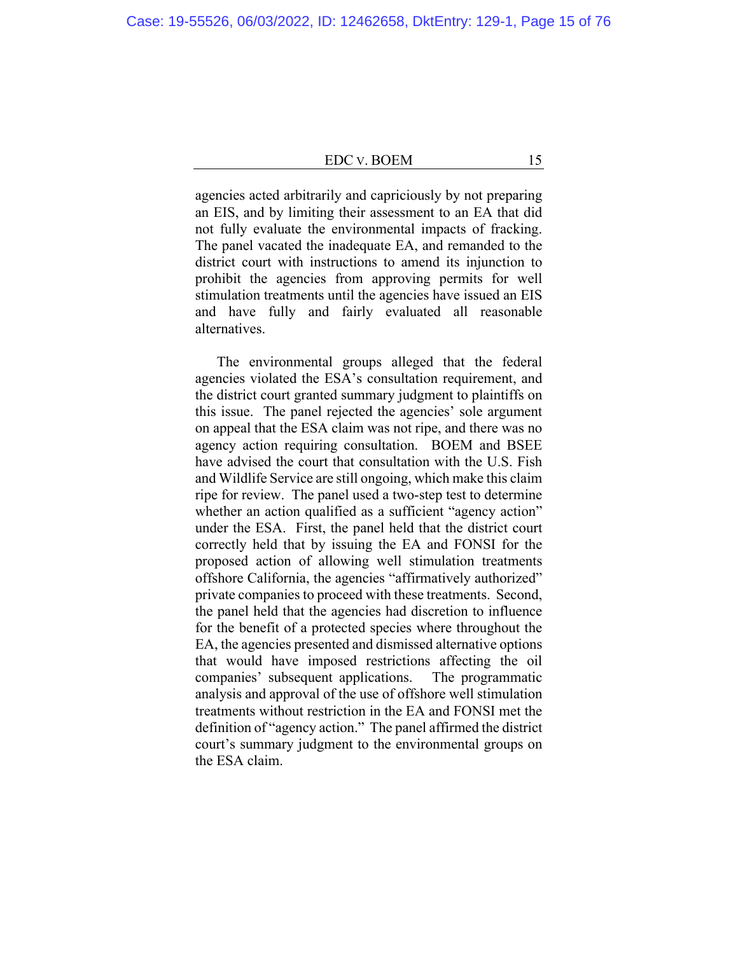agencies acted arbitrarily and capriciously by not preparing an EIS, and by limiting their assessment to an EA that did not fully evaluate the environmental impacts of fracking. The panel vacated the inadequate EA, and remanded to the district court with instructions to amend its injunction to prohibit the agencies from approving permits for well stimulation treatments until the agencies have issued an EIS and have fully and fairly evaluated all reasonable alternatives.

The environmental groups alleged that the federal agencies violated the ESA's consultation requirement, and the district court granted summary judgment to plaintiffs on this issue. The panel rejected the agencies' sole argument on appeal that the ESA claim was not ripe, and there was no agency action requiring consultation. BOEM and BSEE have advised the court that consultation with the U.S. Fish and Wildlife Service are still ongoing, which make this claim ripe for review. The panel used a two-step test to determine whether an action qualified as a sufficient "agency action" under the ESA. First, the panel held that the district court correctly held that by issuing the EA and FONSI for the proposed action of allowing well stimulation treatments offshore California, the agencies "affirmatively authorized" private companies to proceed with these treatments. Second, the panel held that the agencies had discretion to influence for the benefit of a protected species where throughout the EA, the agencies presented and dismissed alternative options that would have imposed restrictions affecting the oil companies' subsequent applications. The programmatic analysis and approval of the use of offshore well stimulation treatments without restriction in the EA and FONSI met the definition of "agency action." The panel affirmed the district court's summary judgment to the environmental groups on the ESA claim.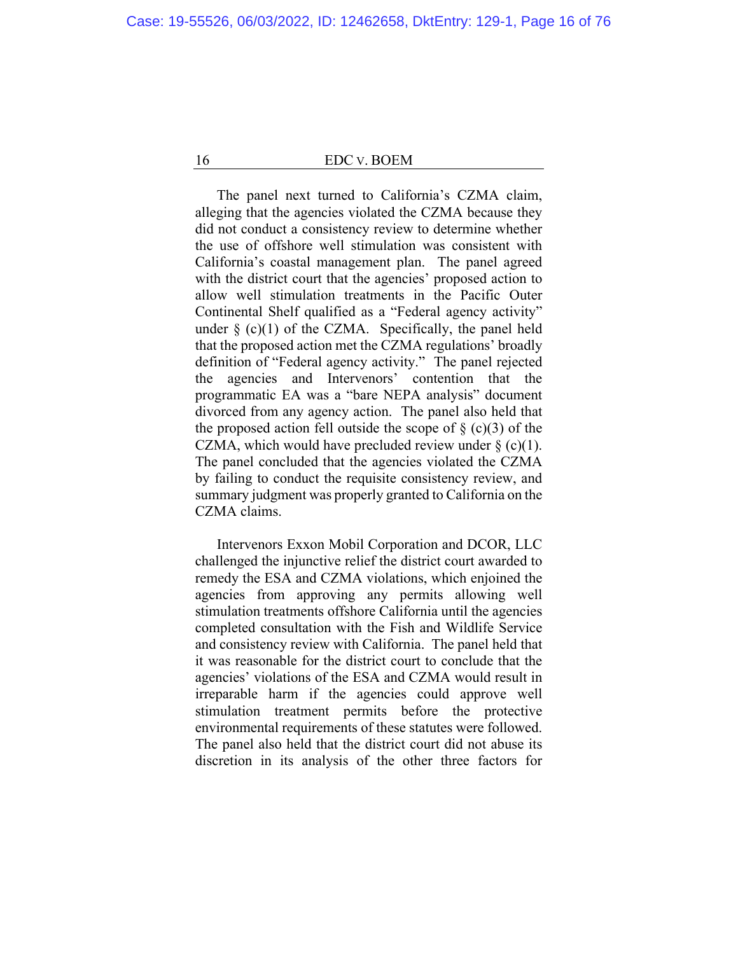The panel next turned to California's CZMA claim, alleging that the agencies violated the CZMA because they did not conduct a consistency review to determine whether the use of offshore well stimulation was consistent with California's coastal management plan. The panel agreed with the district court that the agencies' proposed action to allow well stimulation treatments in the Pacific Outer Continental Shelf qualified as a "Federal agency activity" under  $\S$  (c)(1) of the CZMA. Specifically, the panel held that the proposed action met the CZMA regulations' broadly definition of "Federal agency activity." The panel rejected the agencies and Intervenors' contention that the programmatic EA was a "bare NEPA analysis" document divorced from any agency action. The panel also held that the proposed action fell outside the scope of  $\S$  (c)(3) of the CZMA, which would have precluded review under  $\S$  (c)(1). The panel concluded that the agencies violated the CZMA by failing to conduct the requisite consistency review, and summary judgment was properly granted to California on the CZMA claims.

Intervenors Exxon Mobil Corporation and DCOR, LLC challenged the injunctive relief the district court awarded to remedy the ESA and CZMA violations, which enjoined the agencies from approving any permits allowing well stimulation treatments offshore California until the agencies completed consultation with the Fish and Wildlife Service and consistency review with California. The panel held that it was reasonable for the district court to conclude that the agencies' violations of the ESA and CZMA would result in irreparable harm if the agencies could approve well stimulation treatment permits before the protective environmental requirements of these statutes were followed. The panel also held that the district court did not abuse its discretion in its analysis of the other three factors for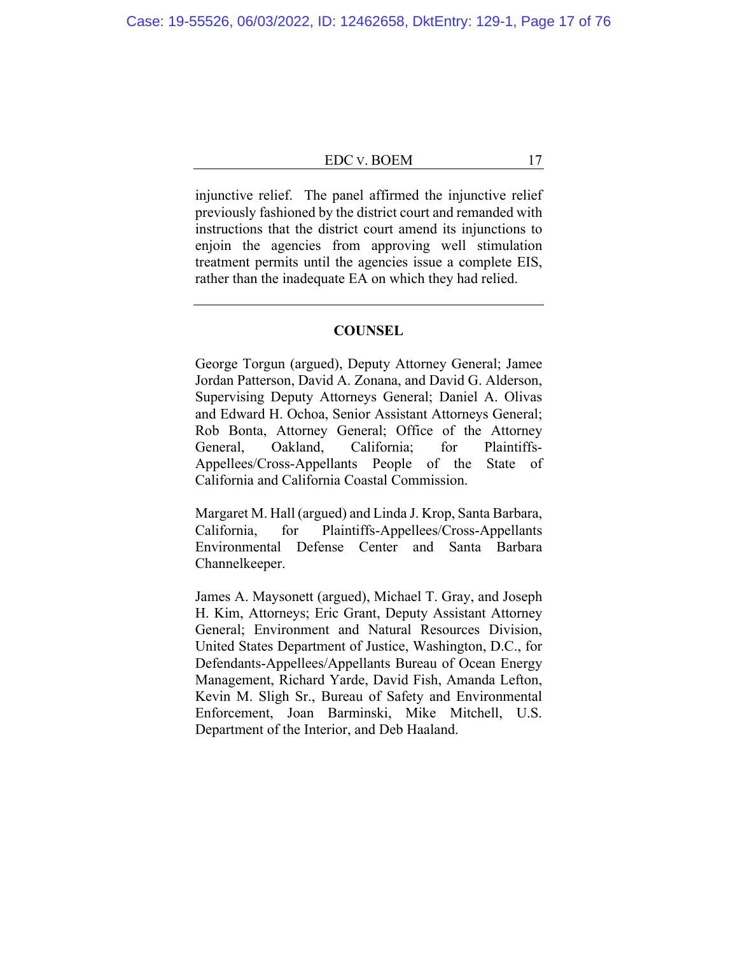injunctive relief. The panel affirmed the injunctive relief previously fashioned by the district court and remanded with instructions that the district court amend its injunctions to enjoin the agencies from approving well stimulation treatment permits until the agencies issue a complete EIS, rather than the inadequate EA on which they had relied.

# **COUNSEL**

George Torgun (argued), Deputy Attorney General; Jamee Jordan Patterson, David A. Zonana, and David G. Alderson, Supervising Deputy Attorneys General; Daniel A. Olivas and Edward H. Ochoa, Senior Assistant Attorneys General; Rob Bonta, Attorney General; Office of the Attorney General, Oakland, California; for Plaintiffs-Appellees/Cross-Appellants People of the State of California and California Coastal Commission.

Margaret M. Hall (argued) and Linda J. Krop, Santa Barbara, California, for Plaintiffs-Appellees/Cross-Appellants Environmental Defense Center and Santa Barbara Channelkeeper.

James A. Maysonett (argued), Michael T. Gray, and Joseph H. Kim, Attorneys; Eric Grant, Deputy Assistant Attorney General; Environment and Natural Resources Division, United States Department of Justice, Washington, D.C., for Defendants-Appellees/Appellants Bureau of Ocean Energy Management, Richard Yarde, David Fish, Amanda Lefton, Kevin M. Sligh Sr., Bureau of Safety and Environmental Enforcement, Joan Barminski, Mike Mitchell, U.S. Department of the Interior, and Deb Haaland.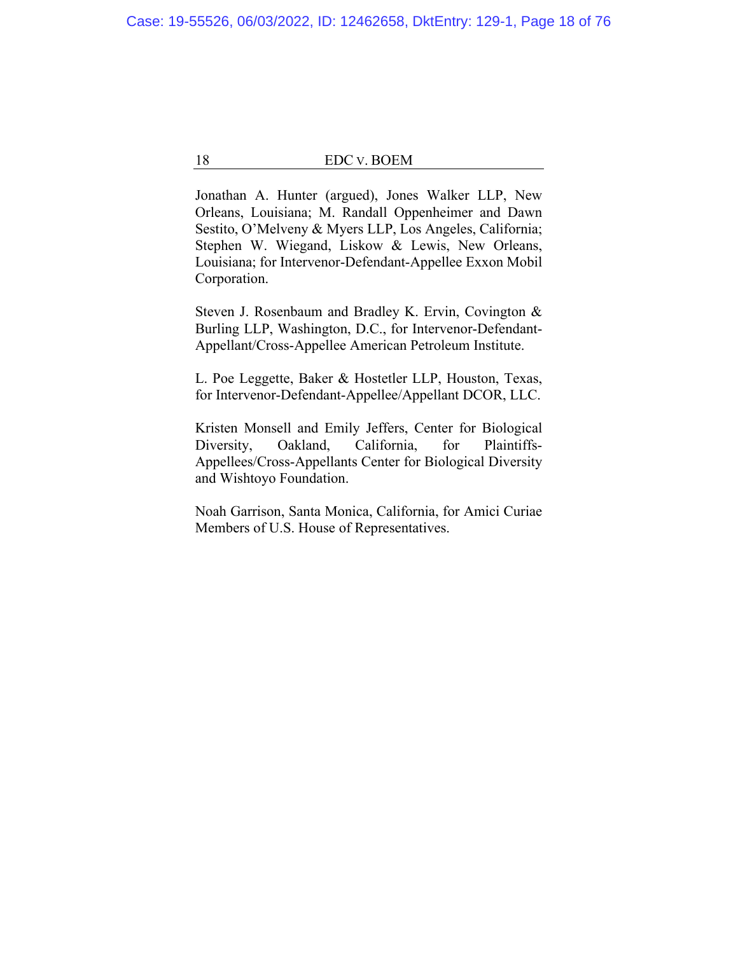Jonathan A. Hunter (argued), Jones Walker LLP, New Orleans, Louisiana; M. Randall Oppenheimer and Dawn Sestito, O'Melveny & Myers LLP, Los Angeles, California; Stephen W. Wiegand, Liskow & Lewis, New Orleans, Louisiana; for Intervenor-Defendant-Appellee Exxon Mobil Corporation.

Steven J. Rosenbaum and Bradley K. Ervin, Covington & Burling LLP, Washington, D.C., for Intervenor-Defendant-Appellant/Cross-Appellee American Petroleum Institute.

L. Poe Leggette, Baker & Hostetler LLP, Houston, Texas, for Intervenor-Defendant-Appellee/Appellant DCOR, LLC.

Kristen Monsell and Emily Jeffers, Center for Biological Diversity, Oakland, California, for Plaintiffs-Appellees/Cross-Appellants Center for Biological Diversity and Wishtoyo Foundation.

Noah Garrison, Santa Monica, California, for Amici Curiae Members of U.S. House of Representatives.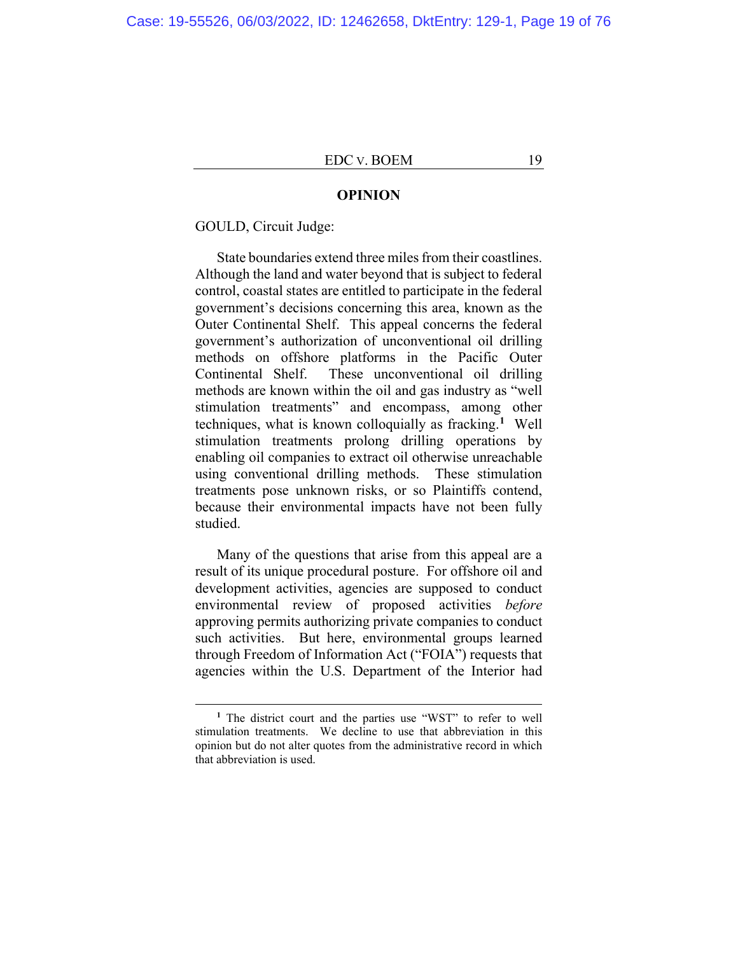#### **OPINION**

GOULD, Circuit Judge:

State boundaries extend three miles from their coastlines. Although the land and water beyond that is subject to federal control, coastal states are entitled to participate in the federal government's decisions concerning this area, known as the Outer Continental Shelf. This appeal concerns the federal government's authorization of unconventional oil drilling methods on offshore platforms in the Pacific Outer Continental Shelf. These unconventional oil drilling methods are known within the oil and gas industry as "well stimulation treatments" and encompass, among other techniques, what is known colloquially as fracking.**<sup>1</sup>** Well stimulation treatments prolong drilling operations by enabling oil companies to extract oil otherwise unreachable using conventional drilling methods. These stimulation treatments pose unknown risks, or so Plaintiffs contend, because their environmental impacts have not been fully studied.

Many of the questions that arise from this appeal are a result of its unique procedural posture. For offshore oil and development activities, agencies are supposed to conduct environmental review of proposed activities *before* approving permits authorizing private companies to conduct such activities. But here, environmental groups learned through Freedom of Information Act ("FOIA") requests that agencies within the U.S. Department of the Interior had

**<sup>1</sup>** The district court and the parties use "WST" to refer to well stimulation treatments. We decline to use that abbreviation in this opinion but do not alter quotes from the administrative record in which that abbreviation is used.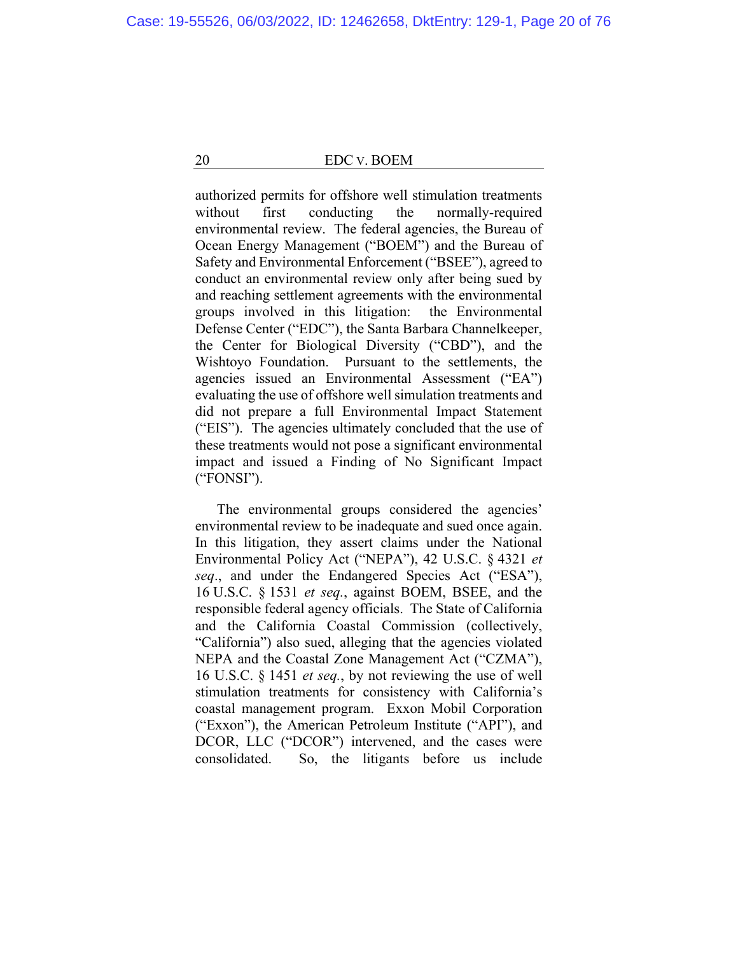authorized permits for offshore well stimulation treatments without first conducting the normally-required environmental review. The federal agencies, the Bureau of Ocean Energy Management ("BOEM") and the Bureau of Safety and Environmental Enforcement ("BSEE"), agreed to conduct an environmental review only after being sued by and reaching settlement agreements with the environmental groups involved in this litigation: the Environmental Defense Center ("EDC"), the Santa Barbara Channelkeeper, the Center for Biological Diversity ("CBD"), and the Wishtoyo Foundation. Pursuant to the settlements, the agencies issued an Environmental Assessment ("EA") evaluating the use of offshore well simulation treatments and did not prepare a full Environmental Impact Statement ("EIS"). The agencies ultimately concluded that the use of these treatments would not pose a significant environmental impact and issued a Finding of No Significant Impact ("FONSI").

The environmental groups considered the agencies' environmental review to be inadequate and sued once again. In this litigation, they assert claims under the National Environmental Policy Act ("NEPA"), 42 U.S.C. § 4321 *et seq*., and under the Endangered Species Act ("ESA"), 16 U.S.C. § 1531 *et seq.*, against BOEM, BSEE, and the responsible federal agency officials. The State of California and the California Coastal Commission (collectively, "California") also sued, alleging that the agencies violated NEPA and the Coastal Zone Management Act ("CZMA"), 16 U.S.C. § 1451 *et seq.*, by not reviewing the use of well stimulation treatments for consistency with California's coastal management program. Exxon Mobil Corporation ("Exxon"), the American Petroleum Institute ("API"), and DCOR, LLC ("DCOR") intervened, and the cases were consolidated. So, the litigants before us include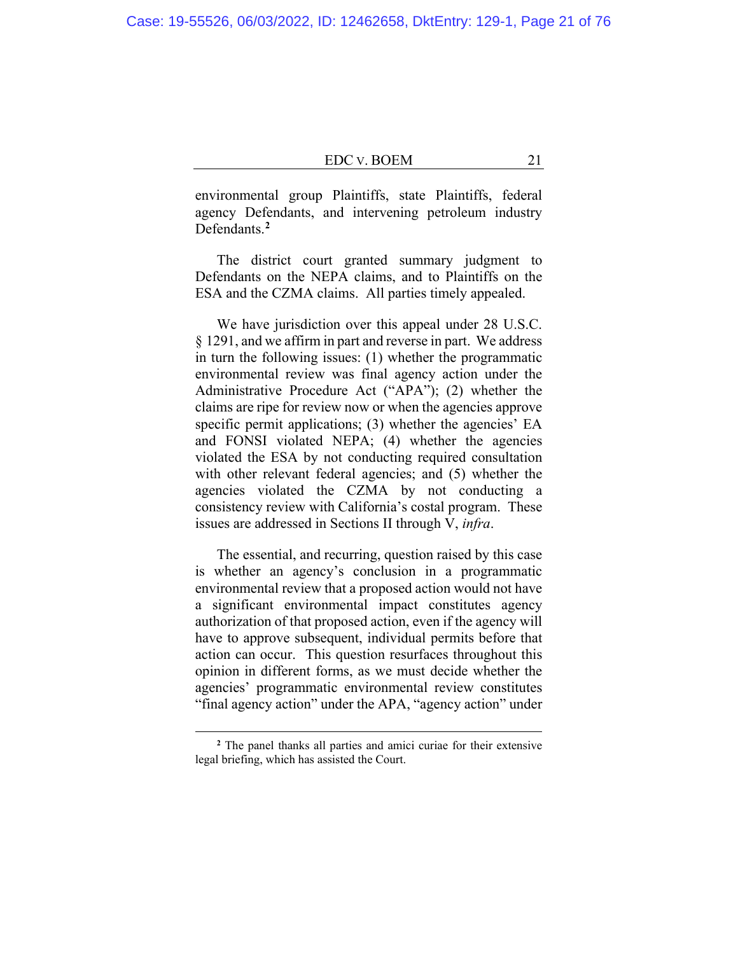environmental group Plaintiffs, state Plaintiffs, federal agency Defendants, and intervening petroleum industry Defendants.**<sup>2</sup>**

The district court granted summary judgment to Defendants on the NEPA claims, and to Plaintiffs on the ESA and the CZMA claims. All parties timely appealed.

We have jurisdiction over this appeal under 28 U.S.C. § 1291, and we affirm in part and reverse in part. We address in turn the following issues: (1) whether the programmatic environmental review was final agency action under the Administrative Procedure Act ("APA"); (2) whether the claims are ripe for review now or when the agencies approve specific permit applications; (3) whether the agencies' EA and FONSI violated NEPA; (4) whether the agencies violated the ESA by not conducting required consultation with other relevant federal agencies; and (5) whether the agencies violated the CZMA by not conducting a consistency review with California's costal program. These issues are addressed in Sections II through V, *infra*.

The essential, and recurring, question raised by this case is whether an agency's conclusion in a programmatic environmental review that a proposed action would not have a significant environmental impact constitutes agency authorization of that proposed action, even if the agency will have to approve subsequent, individual permits before that action can occur. This question resurfaces throughout this opinion in different forms, as we must decide whether the agencies' programmatic environmental review constitutes "final agency action" under the APA, "agency action" under

**<sup>2</sup>** The panel thanks all parties and amici curiae for their extensive legal briefing, which has assisted the Court.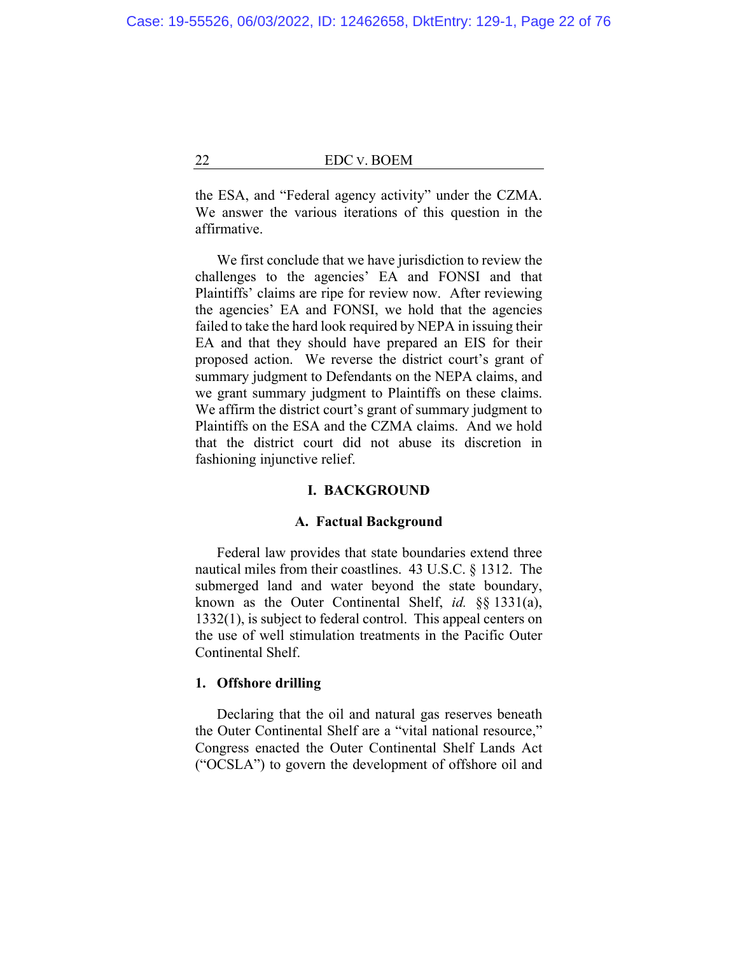the ESA, and "Federal agency activity" under the CZMA. We answer the various iterations of this question in the affirmative.

We first conclude that we have jurisdiction to review the challenges to the agencies' EA and FONSI and that Plaintiffs' claims are ripe for review now. After reviewing the agencies' EA and FONSI, we hold that the agencies failed to take the hard look required by NEPA in issuing their EA and that they should have prepared an EIS for their proposed action. We reverse the district court's grant of summary judgment to Defendants on the NEPA claims, and we grant summary judgment to Plaintiffs on these claims. We affirm the district court's grant of summary judgment to Plaintiffs on the ESA and the CZMA claims. And we hold that the district court did not abuse its discretion in fashioning injunctive relief.

# **I. BACKGROUND**

### **A. Factual Background**

Federal law provides that state boundaries extend three nautical miles from their coastlines. 43 U.S.C. § 1312. The submerged land and water beyond the state boundary, known as the Outer Continental Shelf, *id.* §§ 1331(a), 1332(1), is subject to federal control. This appeal centers on the use of well stimulation treatments in the Pacific Outer Continental Shelf.

# **1. Offshore drilling**

Declaring that the oil and natural gas reserves beneath the Outer Continental Shelf are a "vital national resource," Congress enacted the Outer Continental Shelf Lands Act ("OCSLA") to govern the development of offshore oil and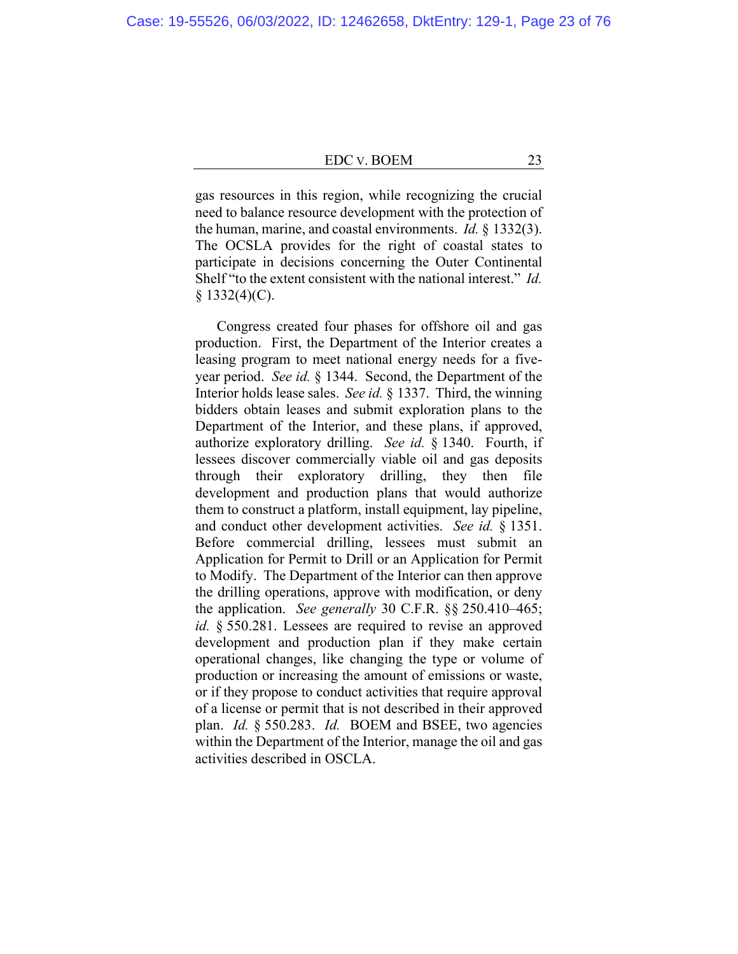gas resources in this region, while recognizing the crucial need to balance resource development with the protection of the human, marine, and coastal environments. *Id.* § 1332(3). The OCSLA provides for the right of coastal states to participate in decisions concerning the Outer Continental Shelf "to the extent consistent with the national interest." *Id.*   $$1332(4)(C).$ 

Congress created four phases for offshore oil and gas production. First, the Department of the Interior creates a leasing program to meet national energy needs for a fiveyear period. *See id.* § 1344. Second, the Department of the Interior holds lease sales. *See id.* § 1337. Third, the winning bidders obtain leases and submit exploration plans to the Department of the Interior, and these plans, if approved, authorize exploratory drilling. *See id.* § 1340. Fourth, if lessees discover commercially viable oil and gas deposits through their exploratory drilling, they then file development and production plans that would authorize them to construct a platform, install equipment, lay pipeline, and conduct other development activities. *See id.* § 1351. Before commercial drilling, lessees must submit an Application for Permit to Drill or an Application for Permit to Modify. The Department of the Interior can then approve the drilling operations, approve with modification, or deny the application. *See generally* 30 C.F.R. §§ 250.410–465; *id.* § 550.281. Lessees are required to revise an approved development and production plan if they make certain operational changes, like changing the type or volume of production or increasing the amount of emissions or waste, or if they propose to conduct activities that require approval of a license or permit that is not described in their approved plan. *Id.* § 550.283. *Id.* BOEM and BSEE, two agencies within the Department of the Interior, manage the oil and gas activities described in OSCLA.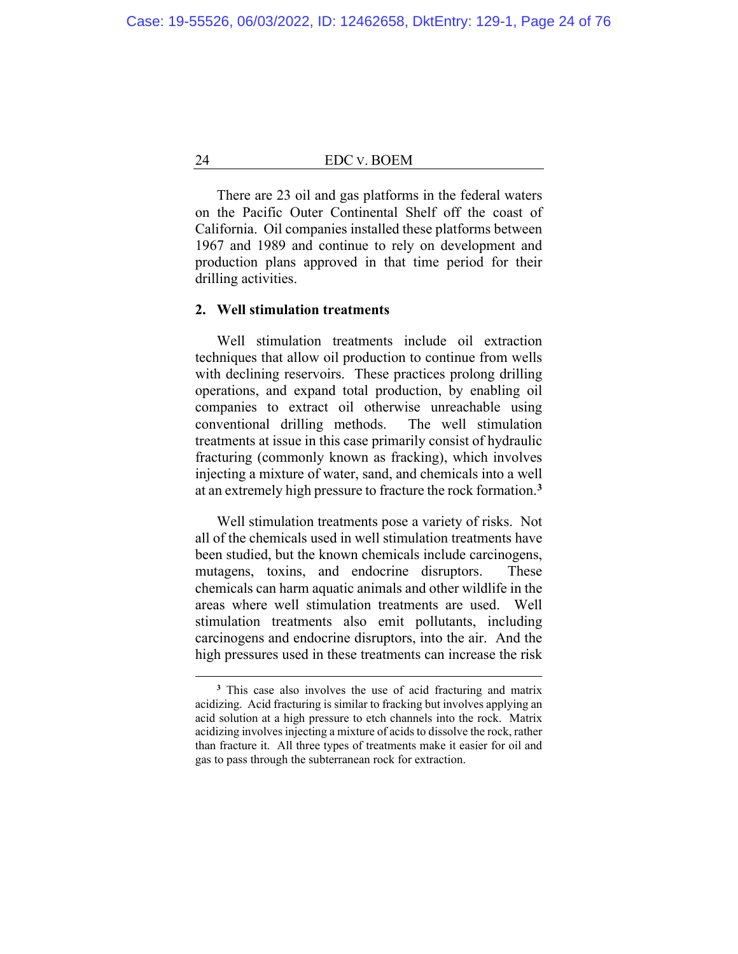There are 23 oil and gas platforms in the federal waters on the Pacific Outer Continental Shelf off the coast of California. Oil companies installed these platforms between 1967 and 1989 and continue to rely on development and production plans approved in that time period for their drilling activities.

# **2. Well stimulation treatments**

Well stimulation treatments include oil extraction techniques that allow oil production to continue from wells with declining reservoirs. These practices prolong drilling operations, and expand total production, by enabling oil companies to extract oil otherwise unreachable using conventional drilling methods. The well stimulation treatments at issue in this case primarily consist of hydraulic fracturing (commonly known as fracking), which involves injecting a mixture of water, sand, and chemicals into a well at an extremely high pressure to fracture the rock formation.**<sup>3</sup>**

Well stimulation treatments pose a variety of risks. Not all of the chemicals used in well stimulation treatments have been studied, but the known chemicals include carcinogens, mutagens, toxins, and endocrine disruptors. These chemicals can harm aquatic animals and other wildlife in the areas where well stimulation treatments are used. Well stimulation treatments also emit pollutants, including carcinogens and endocrine disruptors, into the air. And the high pressures used in these treatments can increase the risk

**<sup>3</sup>** This case also involves the use of acid fracturing and matrix acidizing. Acid fracturing is similar to fracking but involves applying an acid solution at a high pressure to etch channels into the rock. Matrix acidizing involves injecting a mixture of acids to dissolve the rock, rather than fracture it. All three types of treatments make it easier for oil and gas to pass through the subterranean rock for extraction.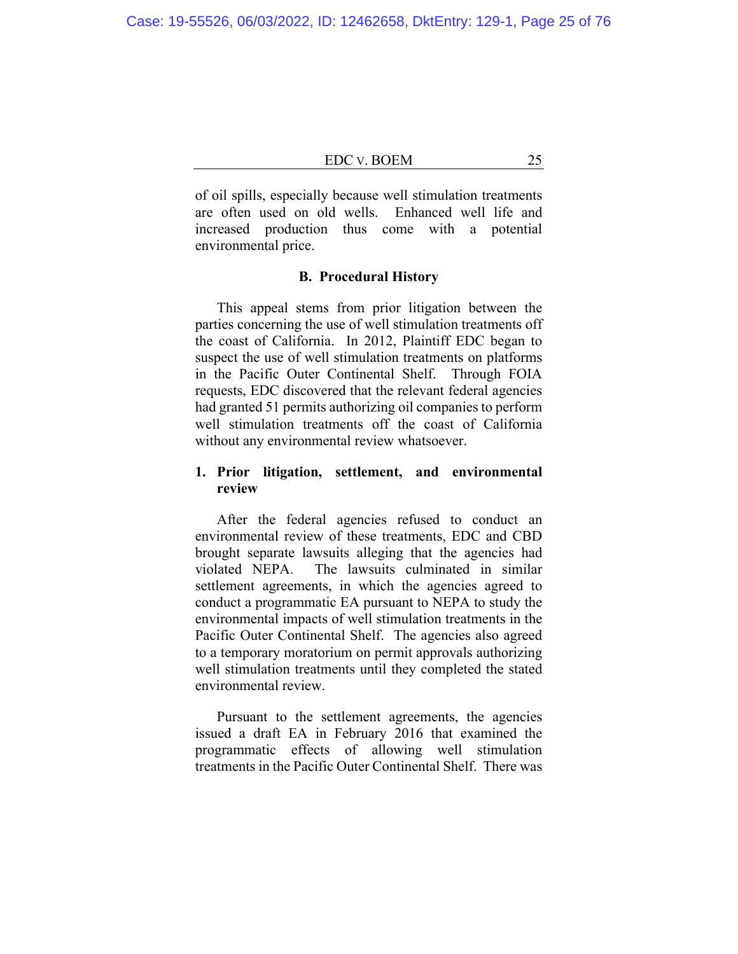of oil spills, especially because well stimulation treatments are often used on old wells. Enhanced well life and increased production thus come with a potential environmental price.

# **B. Procedural History**

This appeal stems from prior litigation between the parties concerning the use of well stimulation treatments off the coast of California. In 2012, Plaintiff EDC began to suspect the use of well stimulation treatments on platforms in the Pacific Outer Continental Shelf. Through FOIA requests, EDC discovered that the relevant federal agencies had granted 51 permits authorizing oil companies to perform well stimulation treatments off the coast of California without any environmental review whatsoever.

# **1. Prior litigation, settlement, and environmental review**

After the federal agencies refused to conduct an environmental review of these treatments, EDC and CBD brought separate lawsuits alleging that the agencies had violated NEPA. The lawsuits culminated in similar settlement agreements, in which the agencies agreed to conduct a programmatic EA pursuant to NEPA to study the environmental impacts of well stimulation treatments in the Pacific Outer Continental Shelf. The agencies also agreed to a temporary moratorium on permit approvals authorizing well stimulation treatments until they completed the stated environmental review.

Pursuant to the settlement agreements, the agencies issued a draft EA in February 2016 that examined the programmatic effects of allowing well stimulation treatments in the Pacific Outer Continental Shelf. There was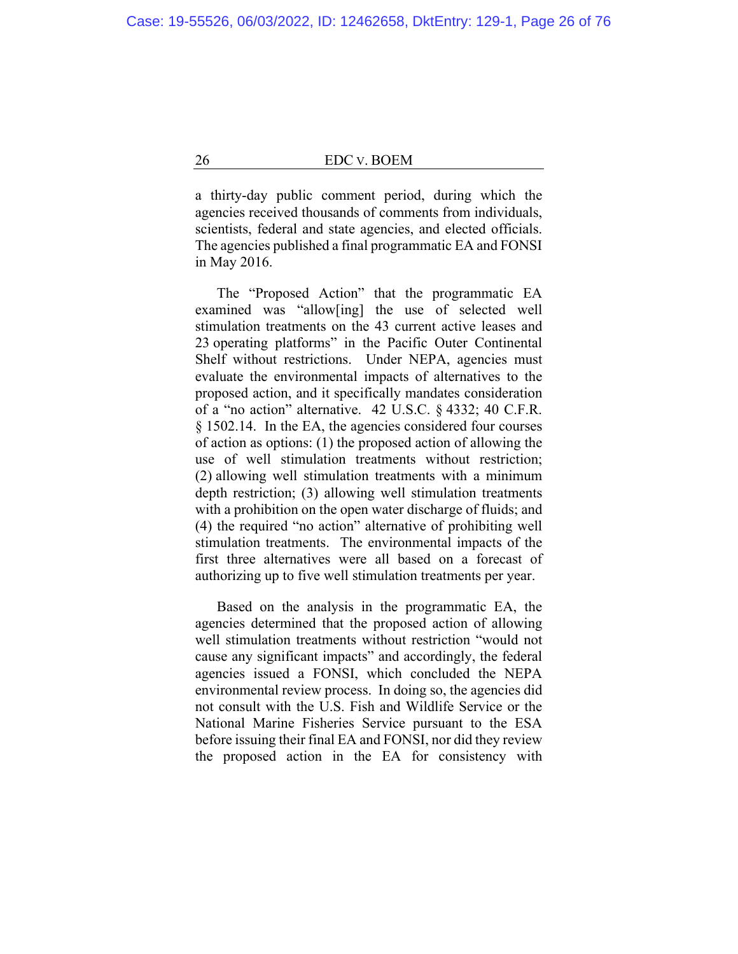a thirty-day public comment period, during which the agencies received thousands of comments from individuals, scientists, federal and state agencies, and elected officials. The agencies published a final programmatic EA and FONSI in May 2016.

The "Proposed Action" that the programmatic EA examined was "allow[ing] the use of selected well stimulation treatments on the 43 current active leases and 23 operating platforms" in the Pacific Outer Continental Shelf without restrictions. Under NEPA, agencies must evaluate the environmental impacts of alternatives to the proposed action, and it specifically mandates consideration of a "no action" alternative. 42 U.S.C. § 4332; 40 C.F.R. § 1502.14. In the EA, the agencies considered four courses of action as options: (1) the proposed action of allowing the use of well stimulation treatments without restriction; (2) allowing well stimulation treatments with a minimum depth restriction; (3) allowing well stimulation treatments with a prohibition on the open water discharge of fluids; and (4) the required "no action" alternative of prohibiting well stimulation treatments. The environmental impacts of the first three alternatives were all based on a forecast of authorizing up to five well stimulation treatments per year.

Based on the analysis in the programmatic EA, the agencies determined that the proposed action of allowing well stimulation treatments without restriction "would not cause any significant impacts" and accordingly, the federal agencies issued a FONSI, which concluded the NEPA environmental review process. In doing so, the agencies did not consult with the U.S. Fish and Wildlife Service or the National Marine Fisheries Service pursuant to the ESA before issuing their final EA and FONSI, nor did they review the proposed action in the EA for consistency with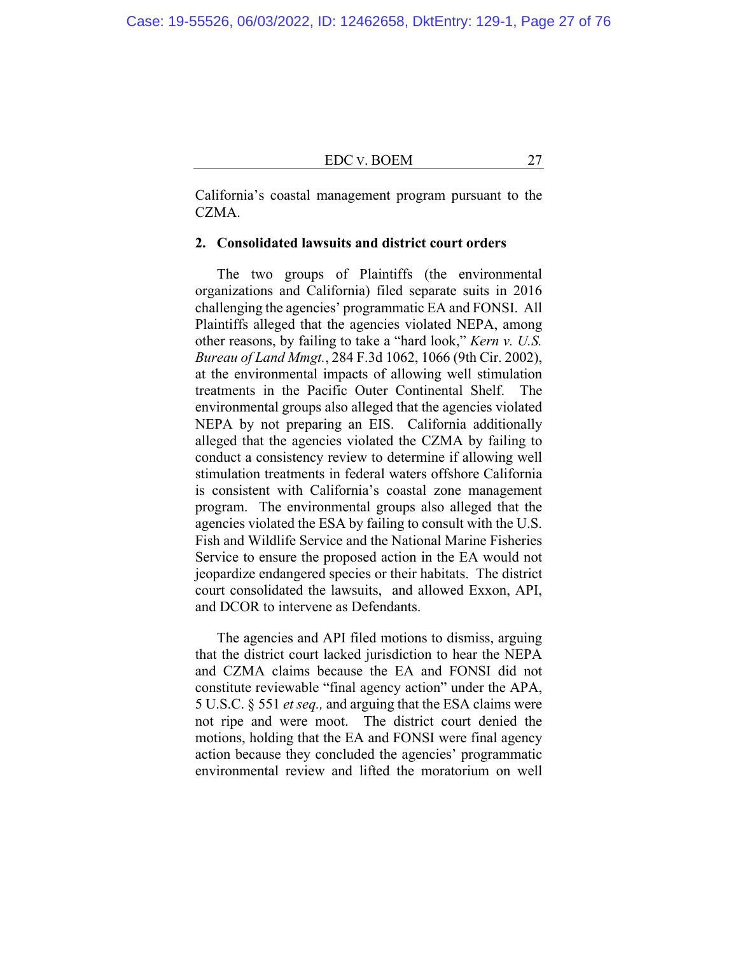California's coastal management program pursuant to the CZMA.

# **2. Consolidated lawsuits and district court orders**

The two groups of Plaintiffs (the environmental organizations and California) filed separate suits in 2016 challenging the agencies' programmatic EA and FONSI. All Plaintiffs alleged that the agencies violated NEPA, among other reasons, by failing to take a "hard look," *Kern v. U.S. Bureau of Land Mmgt.*, 284 F.3d 1062, 1066 (9th Cir. 2002), at the environmental impacts of allowing well stimulation treatments in the Pacific Outer Continental Shelf. The environmental groups also alleged that the agencies violated NEPA by not preparing an EIS. California additionally alleged that the agencies violated the CZMA by failing to conduct a consistency review to determine if allowing well stimulation treatments in federal waters offshore California is consistent with California's coastal zone management program. The environmental groups also alleged that the agencies violated the ESA by failing to consult with the U.S. Fish and Wildlife Service and the National Marine Fisheries Service to ensure the proposed action in the EA would not jeopardize endangered species or their habitats. The district court consolidated the lawsuits, and allowed Exxon, API, and DCOR to intervene as Defendants.

The agencies and API filed motions to dismiss, arguing that the district court lacked jurisdiction to hear the NEPA and CZMA claims because the EA and FONSI did not constitute reviewable "final agency action" under the APA, 5 U.S.C. § 551 *et seq.,* and arguing that the ESA claims were not ripe and were moot. The district court denied the motions, holding that the EA and FONSI were final agency action because they concluded the agencies' programmatic environmental review and lifted the moratorium on well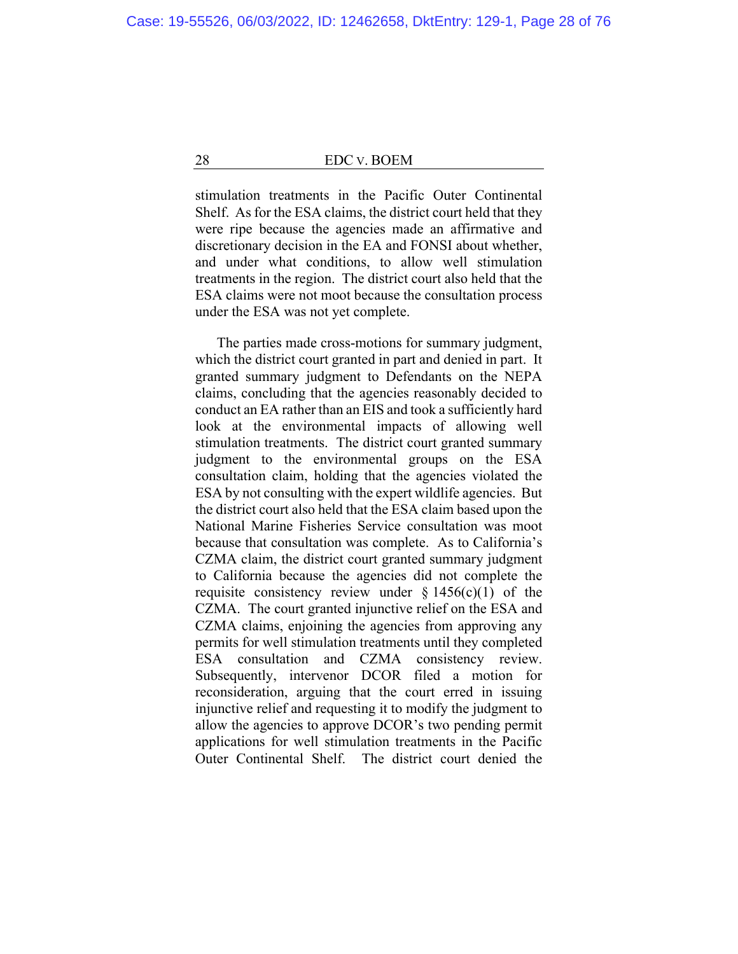stimulation treatments in the Pacific Outer Continental Shelf. As for the ESA claims, the district court held that they were ripe because the agencies made an affirmative and discretionary decision in the EA and FONSI about whether, and under what conditions, to allow well stimulation treatments in the region. The district court also held that the ESA claims were not moot because the consultation process under the ESA was not yet complete.

The parties made cross-motions for summary judgment, which the district court granted in part and denied in part. It granted summary judgment to Defendants on the NEPA claims, concluding that the agencies reasonably decided to conduct an EA rather than an EIS and took a sufficiently hard look at the environmental impacts of allowing well stimulation treatments. The district court granted summary judgment to the environmental groups on the ESA consultation claim, holding that the agencies violated the ESA by not consulting with the expert wildlife agencies. But the district court also held that the ESA claim based upon the National Marine Fisheries Service consultation was moot because that consultation was complete. As to California's CZMA claim, the district court granted summary judgment to California because the agencies did not complete the requisite consistency review under  $\S 1456(c)(1)$  of the CZMA. The court granted injunctive relief on the ESA and CZMA claims, enjoining the agencies from approving any permits for well stimulation treatments until they completed ESA consultation and CZMA consistency review. Subsequently, intervenor DCOR filed a motion for reconsideration, arguing that the court erred in issuing injunctive relief and requesting it to modify the judgment to allow the agencies to approve DCOR's two pending permit applications for well stimulation treatments in the Pacific Outer Continental Shelf. The district court denied the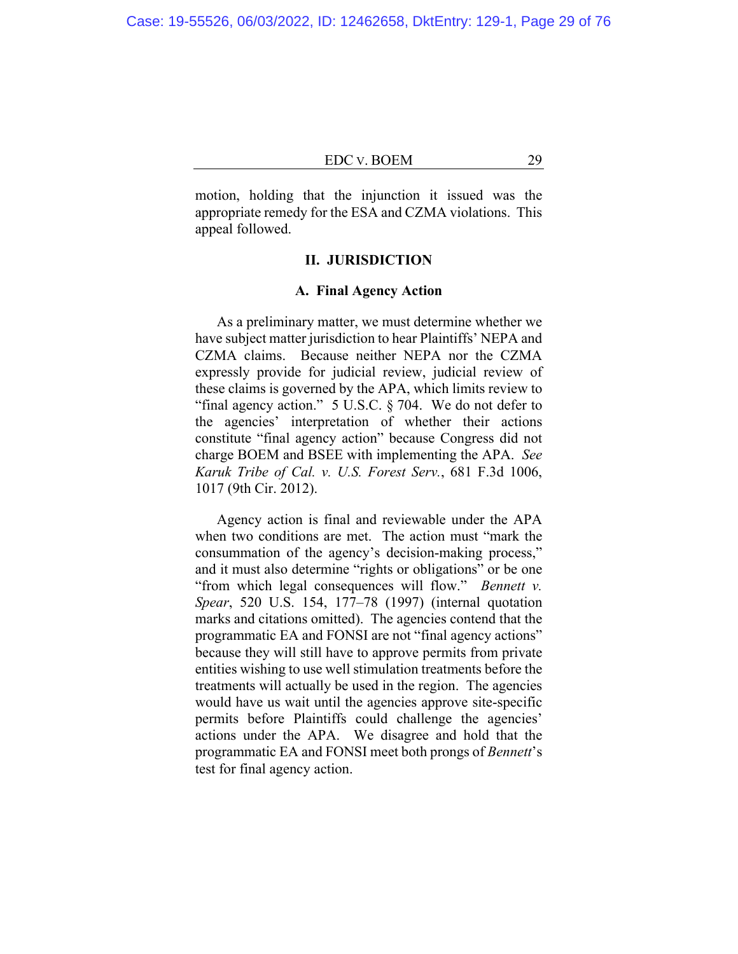motion, holding that the injunction it issued was the appropriate remedy for the ESA and CZMA violations. This appeal followed.

# **II. JURISDICTION**

# **A. Final Agency Action**

As a preliminary matter, we must determine whether we have subject matter jurisdiction to hear Plaintiffs' NEPA and CZMA claims. Because neither NEPA nor the CZMA expressly provide for judicial review, judicial review of these claims is governed by the APA, which limits review to "final agency action." 5 U.S.C. § 704. We do not defer to the agencies' interpretation of whether their actions constitute "final agency action" because Congress did not charge BOEM and BSEE with implementing the APA. *See Karuk Tribe of Cal. v. U.S. Forest Serv.*, 681 F.3d 1006, 1017 (9th Cir. 2012).

Agency action is final and reviewable under the APA when two conditions are met. The action must "mark the consummation of the agency's decision-making process," and it must also determine "rights or obligations" or be one "from which legal consequences will flow." *Bennett v. Spear*, 520 U.S. 154, 177–78 (1997) (internal quotation marks and citations omitted). The agencies contend that the programmatic EA and FONSI are not "final agency actions" because they will still have to approve permits from private entities wishing to use well stimulation treatments before the treatments will actually be used in the region. The agencies would have us wait until the agencies approve site-specific permits before Plaintiffs could challenge the agencies' actions under the APA. We disagree and hold that the programmatic EA and FONSI meet both prongs of *Bennett*'s test for final agency action.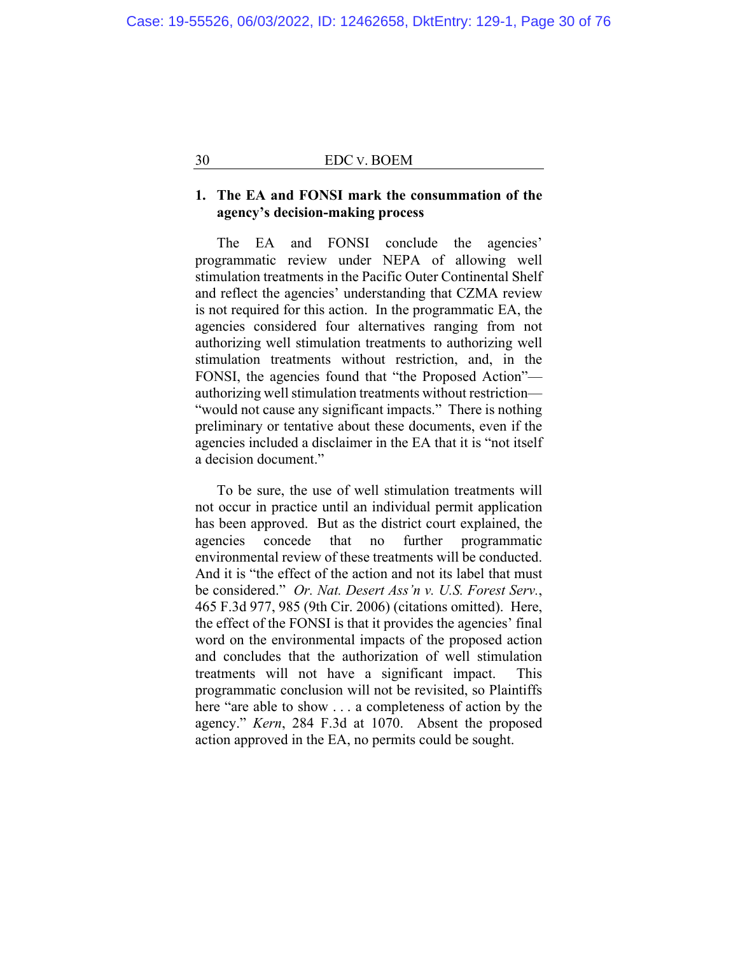# **1. The EA and FONSI mark the consummation of the agency's decision-making process**

The EA and FONSI conclude the agencies' programmatic review under NEPA of allowing well stimulation treatments in the Pacific Outer Continental Shelf and reflect the agencies' understanding that CZMA review is not required for this action. In the programmatic EA, the agencies considered four alternatives ranging from not authorizing well stimulation treatments to authorizing well stimulation treatments without restriction, and, in the FONSI, the agencies found that "the Proposed Action" authorizing well stimulation treatments without restriction— "would not cause any significant impacts." There is nothing preliminary or tentative about these documents, even if the agencies included a disclaimer in the EA that it is "not itself a decision document."

To be sure, the use of well stimulation treatments will not occur in practice until an individual permit application has been approved. But as the district court explained, the agencies concede that no further programmatic environmental review of these treatments will be conducted. And it is "the effect of the action and not its label that must be considered." *Or. Nat. Desert Ass'n v. U.S. Forest Serv.*, 465 F.3d 977, 985 (9th Cir. 2006) (citations omitted). Here, the effect of the FONSI is that it provides the agencies' final word on the environmental impacts of the proposed action and concludes that the authorization of well stimulation treatments will not have a significant impact. This programmatic conclusion will not be revisited, so Plaintiffs here "are able to show . . . a completeness of action by the agency." *Kern*, 284 F.3d at 1070. Absent the proposed action approved in the EA, no permits could be sought.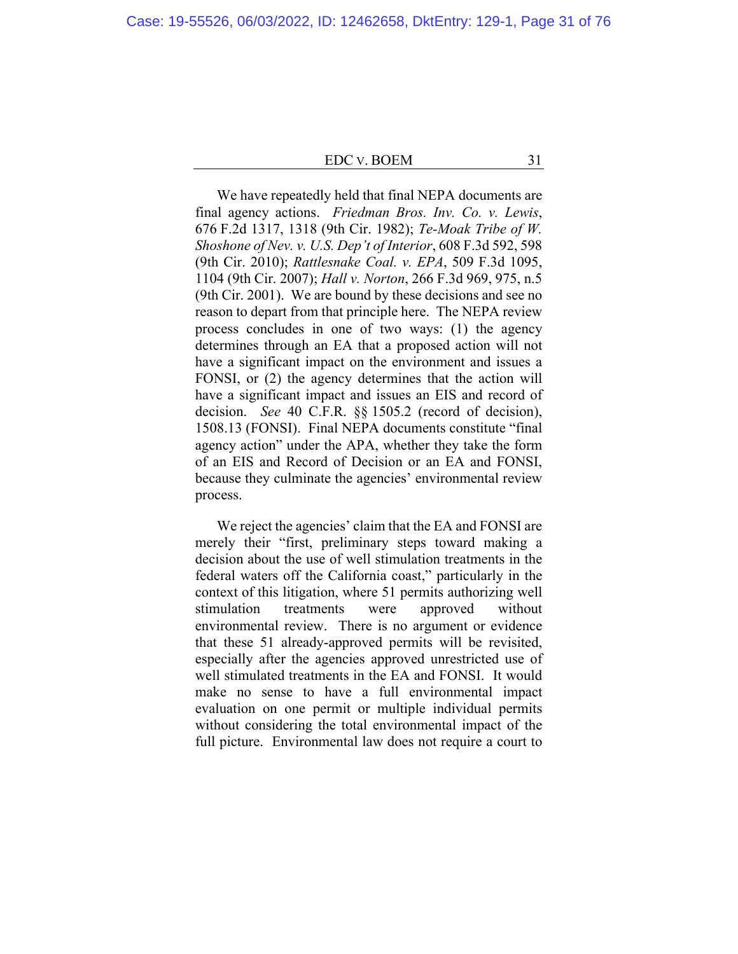We have repeatedly held that final NEPA documents are final agency actions. *Friedman Bros. Inv. Co. v. Lewis*, 676 F.2d 1317, 1318 (9th Cir. 1982); *Te-Moak Tribe of W. Shoshone of Nev. v. U.S. Dep't of Interior*, 608 F.3d 592, 598 (9th Cir. 2010); *Rattlesnake Coal. v. EPA*, 509 F.3d 1095, 1104 (9th Cir. 2007); *Hall v. Norton*, 266 F.3d 969, 975, n.5 (9th Cir. 2001). We are bound by these decisions and see no reason to depart from that principle here. The NEPA review process concludes in one of two ways: (1) the agency determines through an EA that a proposed action will not have a significant impact on the environment and issues a FONSI, or (2) the agency determines that the action will have a significant impact and issues an EIS and record of decision. *See* 40 C.F.R. §§ 1505.2 (record of decision), 1508.13 (FONSI). Final NEPA documents constitute "final agency action" under the APA, whether they take the form of an EIS and Record of Decision or an EA and FONSI, because they culminate the agencies' environmental review process.

We reject the agencies' claim that the EA and FONSI are merely their "first, preliminary steps toward making a decision about the use of well stimulation treatments in the federal waters off the California coast," particularly in the context of this litigation, where 51 permits authorizing well stimulation treatments were approved without environmental review. There is no argument or evidence that these 51 already-approved permits will be revisited, especially after the agencies approved unrestricted use of well stimulated treatments in the EA and FONSI. It would make no sense to have a full environmental impact evaluation on one permit or multiple individual permits without considering the total environmental impact of the full picture. Environmental law does not require a court to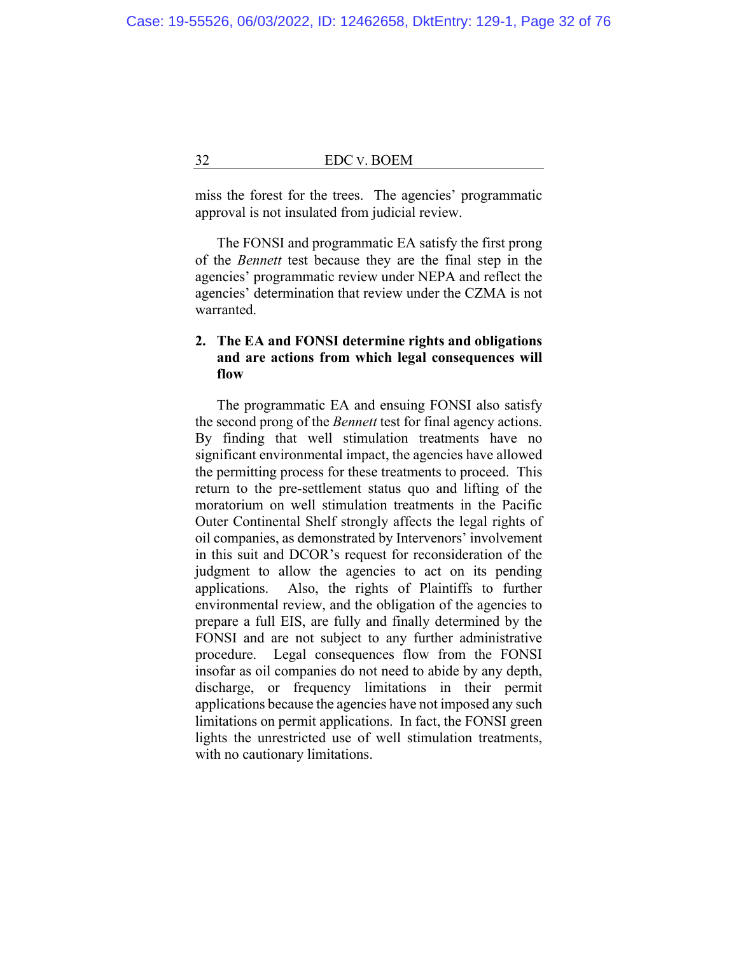miss the forest for the trees. The agencies' programmatic approval is not insulated from judicial review.

The FONSI and programmatic EA satisfy the first prong of the *Bennett* test because they are the final step in the agencies' programmatic review under NEPA and reflect the agencies' determination that review under the CZMA is not warranted.

# **2. The EA and FONSI determine rights and obligations and are actions from which legal consequences will flow**

The programmatic EA and ensuing FONSI also satisfy the second prong of the *Bennett* test for final agency actions. By finding that well stimulation treatments have no significant environmental impact, the agencies have allowed the permitting process for these treatments to proceed. This return to the pre-settlement status quo and lifting of the moratorium on well stimulation treatments in the Pacific Outer Continental Shelf strongly affects the legal rights of oil companies, as demonstrated by Intervenors' involvement in this suit and DCOR's request for reconsideration of the judgment to allow the agencies to act on its pending applications. Also, the rights of Plaintiffs to further environmental review, and the obligation of the agencies to prepare a full EIS, are fully and finally determined by the FONSI and are not subject to any further administrative procedure. Legal consequences flow from the FONSI insofar as oil companies do not need to abide by any depth, discharge, or frequency limitations in their permit applications because the agencies have not imposed any such limitations on permit applications. In fact, the FONSI green lights the unrestricted use of well stimulation treatments, with no cautionary limitations.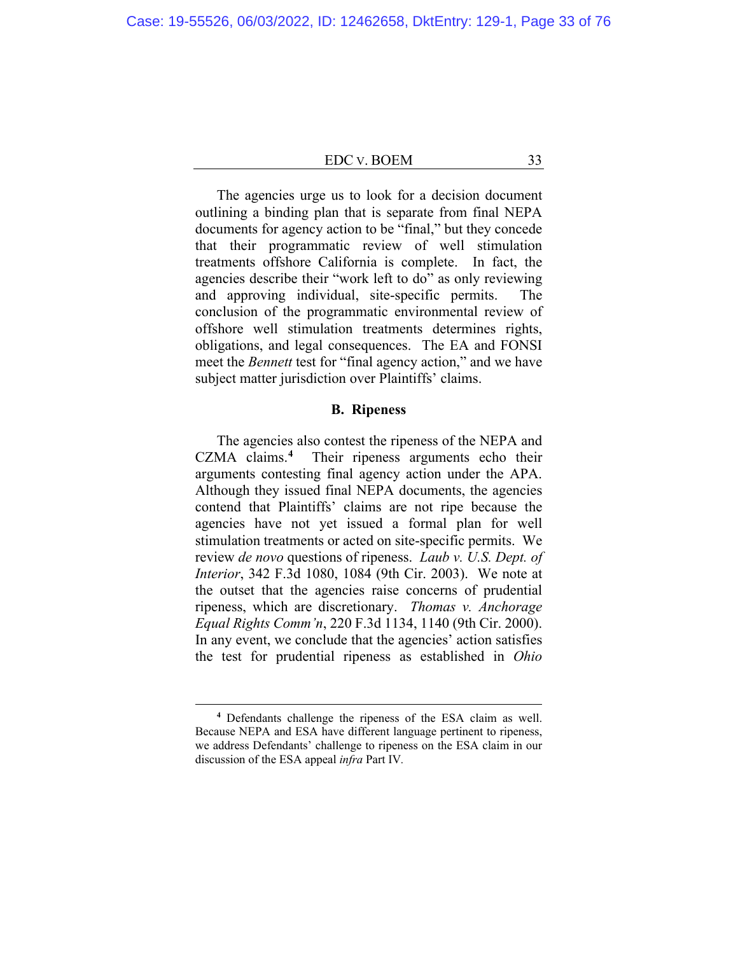The agencies urge us to look for a decision document outlining a binding plan that is separate from final NEPA documents for agency action to be "final," but they concede that their programmatic review of well stimulation treatments offshore California is complete. In fact, the agencies describe their "work left to do" as only reviewing and approving individual, site-specific permits. The conclusion of the programmatic environmental review of offshore well stimulation treatments determines rights, obligations, and legal consequences. The EA and FONSI meet the *Bennett* test for "final agency action," and we have subject matter jurisdiction over Plaintiffs' claims.

# **B. Ripeness**

The agencies also contest the ripeness of the NEPA and CZMA claims.**<sup>4</sup>** Their ripeness arguments echo their arguments contesting final agency action under the APA. Although they issued final NEPA documents, the agencies contend that Plaintiffs' claims are not ripe because the agencies have not yet issued a formal plan for well stimulation treatments or acted on site-specific permits. We review *de novo* questions of ripeness. *Laub v. U.S. Dept. of Interior*, 342 F.3d 1080, 1084 (9th Cir. 2003). We note at the outset that the agencies raise concerns of prudential ripeness, which are discretionary. *Thomas v. Anchorage Equal Rights Comm'n*, 220 F.3d 1134, 1140 (9th Cir. 2000). In any event, we conclude that the agencies' action satisfies the test for prudential ripeness as established in *Ohio* 

**<sup>4</sup>** Defendants challenge the ripeness of the ESA claim as well. Because NEPA and ESA have different language pertinent to ripeness, we address Defendants' challenge to ripeness on the ESA claim in our discussion of the ESA appeal *infra* Part IV*.*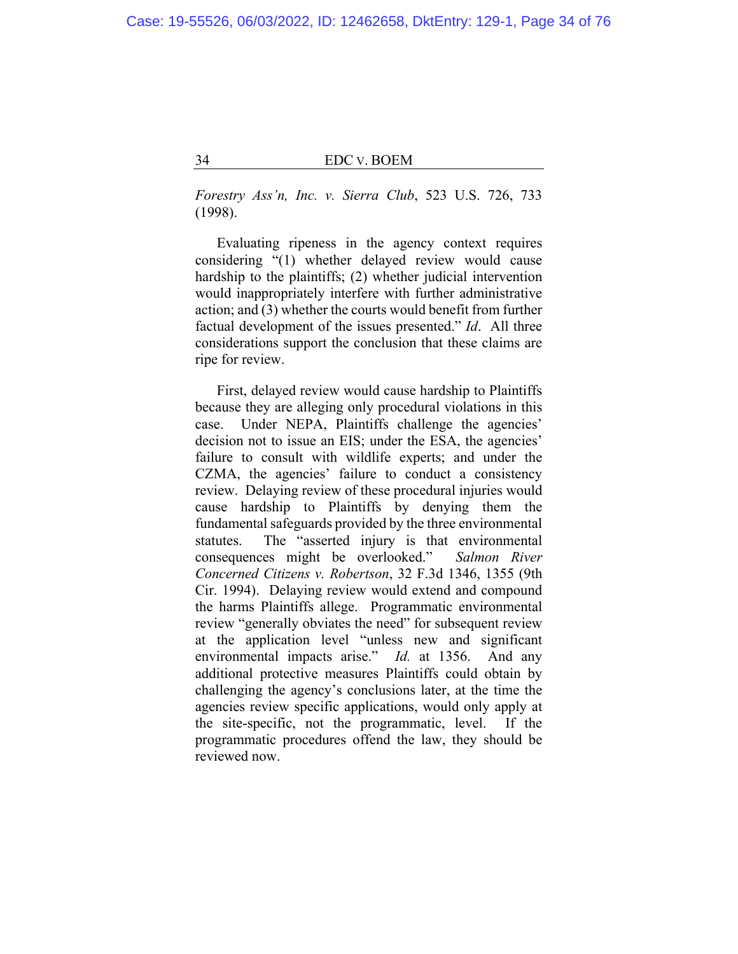*Forestry Ass'n, Inc. v. Sierra Club*, 523 U.S. 726, 733 (1998).

Evaluating ripeness in the agency context requires considering "(1) whether delayed review would cause hardship to the plaintiffs; (2) whether judicial intervention would inappropriately interfere with further administrative action; and (3) whether the courts would benefit from further factual development of the issues presented." *Id*. All three considerations support the conclusion that these claims are ripe for review.

First, delayed review would cause hardship to Plaintiffs because they are alleging only procedural violations in this case. Under NEPA, Plaintiffs challenge the agencies' decision not to issue an EIS; under the ESA, the agencies' failure to consult with wildlife experts; and under the CZMA, the agencies' failure to conduct a consistency review. Delaying review of these procedural injuries would cause hardship to Plaintiffs by denying them the fundamental safeguards provided by the three environmental statutes. The "asserted injury is that environmental consequences might be overlooked." *Salmon River Concerned Citizens v. Robertson*, 32 F.3d 1346, 1355 (9th Cir. 1994). Delaying review would extend and compound the harms Plaintiffs allege. Programmatic environmental review "generally obviates the need" for subsequent review at the application level "unless new and significant environmental impacts arise." *Id.* at 1356. And any additional protective measures Plaintiffs could obtain by challenging the agency's conclusions later, at the time the agencies review specific applications, would only apply at the site-specific, not the programmatic, level. If the programmatic procedures offend the law, they should be reviewed now.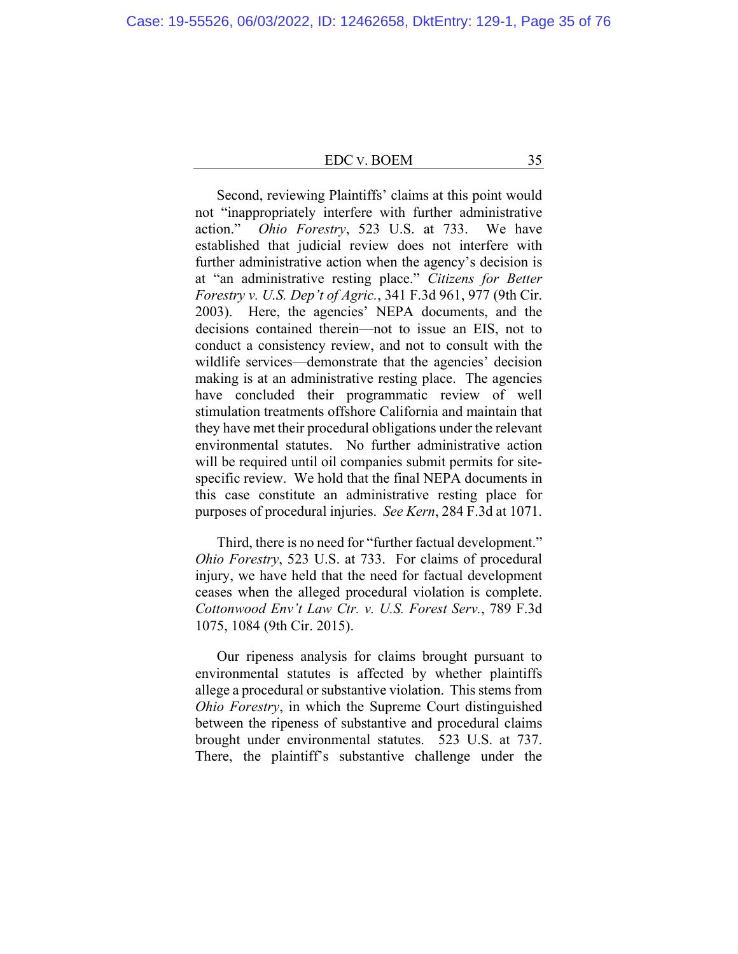Second, reviewing Plaintiffs' claims at this point would not "inappropriately interfere with further administrative action." *Ohio Forestry*, 523 U.S. at 733. We have established that judicial review does not interfere with further administrative action when the agency's decision is at "an administrative resting place." *Citizens for Better Forestry v. U.S. Dep't of Agric.*, 341 F.3d 961, 977 (9th Cir. 2003). Here, the agencies' NEPA documents, and the decisions contained therein—not to issue an EIS, not to conduct a consistency review, and not to consult with the wildlife services—demonstrate that the agencies' decision making is at an administrative resting place. The agencies have concluded their programmatic review of well stimulation treatments offshore California and maintain that they have met their procedural obligations under the relevant environmental statutes. No further administrative action will be required until oil companies submit permits for sitespecific review. We hold that the final NEPA documents in this case constitute an administrative resting place for purposes of procedural injuries. *See Kern*, 284 F.3d at 1071.

Third, there is no need for "further factual development." *Ohio Forestry*, 523 U.S. at 733. For claims of procedural injury, we have held that the need for factual development ceases when the alleged procedural violation is complete. *Cottonwood Env't Law Ctr. v. U.S. Forest Serv.*, 789 F.3d 1075, 1084 (9th Cir. 2015).

Our ripeness analysis for claims brought pursuant to environmental statutes is affected by whether plaintiffs allege a procedural or substantive violation. This stems from *Ohio Forestry*, in which the Supreme Court distinguished between the ripeness of substantive and procedural claims brought under environmental statutes. 523 U.S. at 737. There, the plaintiff's substantive challenge under the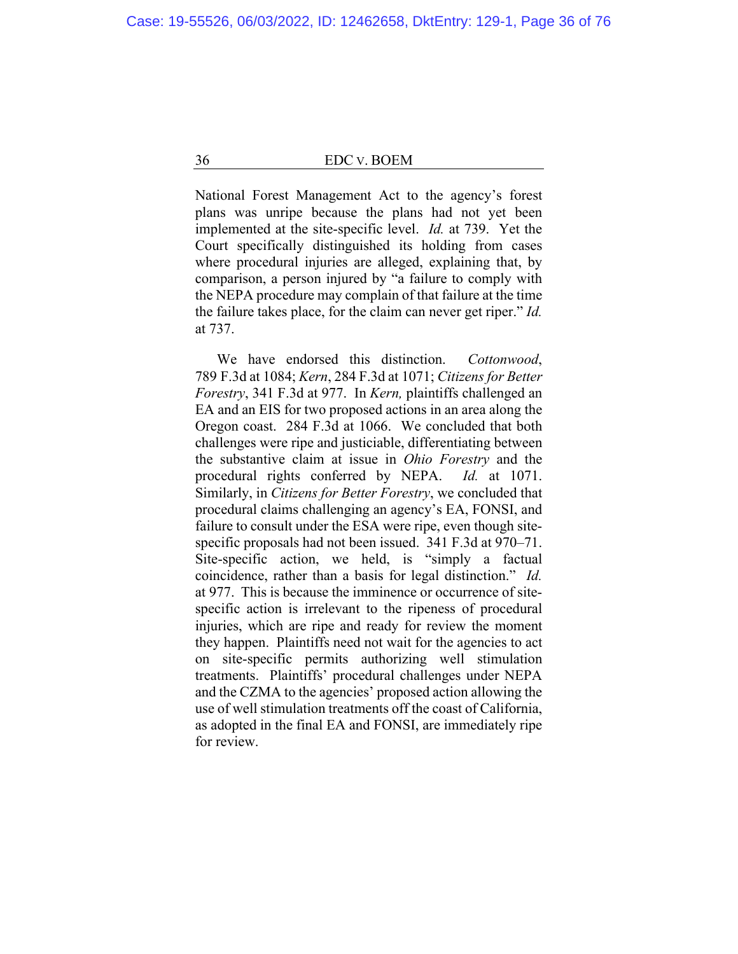National Forest Management Act to the agency's forest plans was unripe because the plans had not yet been implemented at the site-specific level. *Id.* at 739. Yet the Court specifically distinguished its holding from cases where procedural injuries are alleged, explaining that, by comparison, a person injured by "a failure to comply with the NEPA procedure may complain of that failure at the time the failure takes place, for the claim can never get riper." *Id.*  at 737.

We have endorsed this distinction. *Cottonwood*, 789 F.3d at 1084; *Kern*, 284 F.3d at 1071; *Citizens for Better Forestry*, 341 F.3d at 977. In *Kern,* plaintiffs challenged an EA and an EIS for two proposed actions in an area along the Oregon coast. 284 F.3d at 1066. We concluded that both challenges were ripe and justiciable, differentiating between the substantive claim at issue in *Ohio Forestry* and the procedural rights conferred by NEPA. *Id.* at 1071. Similarly, in *Citizens for Better Forestry*, we concluded that procedural claims challenging an agency's EA, FONSI, and failure to consult under the ESA were ripe, even though sitespecific proposals had not been issued. 341 F.3d at 970–71. Site-specific action, we held, is "simply a factual coincidence, rather than a basis for legal distinction." *Id.* at 977. This is because the imminence or occurrence of sitespecific action is irrelevant to the ripeness of procedural injuries, which are ripe and ready for review the moment they happen. Plaintiffs need not wait for the agencies to act on site-specific permits authorizing well stimulation treatments. Plaintiffs' procedural challenges under NEPA and the CZMA to the agencies' proposed action allowing the use of well stimulation treatments off the coast of California, as adopted in the final EA and FONSI, are immediately ripe for review.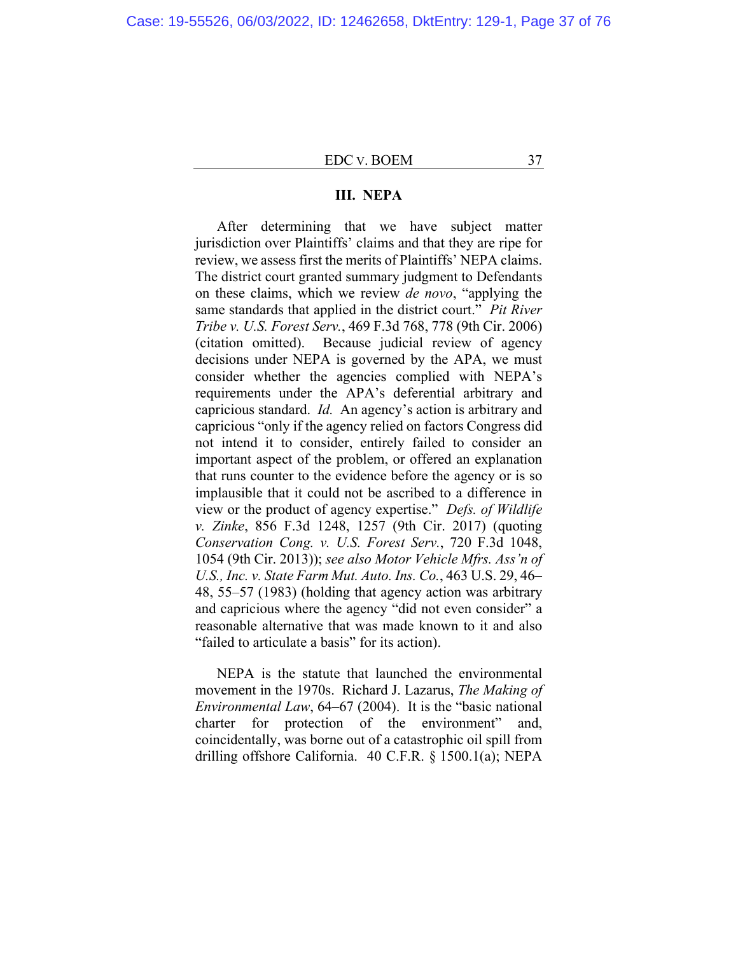## **III. NEPA**

After determining that we have subject matter jurisdiction over Plaintiffs' claims and that they are ripe for review, we assess first the merits of Plaintiffs' NEPA claims. The district court granted summary judgment to Defendants on these claims, which we review *de novo*, "applying the same standards that applied in the district court." *Pit River Tribe v. U.S. Forest Serv.*, 469 F.3d 768, 778 (9th Cir. 2006) (citation omitted). Because judicial review of agency decisions under NEPA is governed by the APA, we must consider whether the agencies complied with NEPA's requirements under the APA's deferential arbitrary and capricious standard. *Id.* An agency's action is arbitrary and capricious "only if the agency relied on factors Congress did not intend it to consider, entirely failed to consider an important aspect of the problem, or offered an explanation that runs counter to the evidence before the agency or is so implausible that it could not be ascribed to a difference in view or the product of agency expertise." *Defs. of Wildlife v. Zinke*, 856 F.3d 1248, 1257 (9th Cir. 2017) (quoting *Conservation Cong. v. U.S. Forest Serv.*, 720 F.3d 1048, 1054 (9th Cir. 2013)); *see also Motor Vehicle Mfrs. Ass'n of U.S., Inc. v. State Farm Mut. Auto. Ins. Co.*, 463 U.S. 29, 46– 48, 55–57 (1983) (holding that agency action was arbitrary and capricious where the agency "did not even consider" a reasonable alternative that was made known to it and also "failed to articulate a basis" for its action).

NEPA is the statute that launched the environmental movement in the 1970s. Richard J. Lazarus, *The Making of Environmental Law*, 64–67 (2004). It is the "basic national charter for protection of the environment" and, coincidentally, was borne out of a catastrophic oil spill from drilling offshore California. 40 C.F.R. § 1500.1(a); NEPA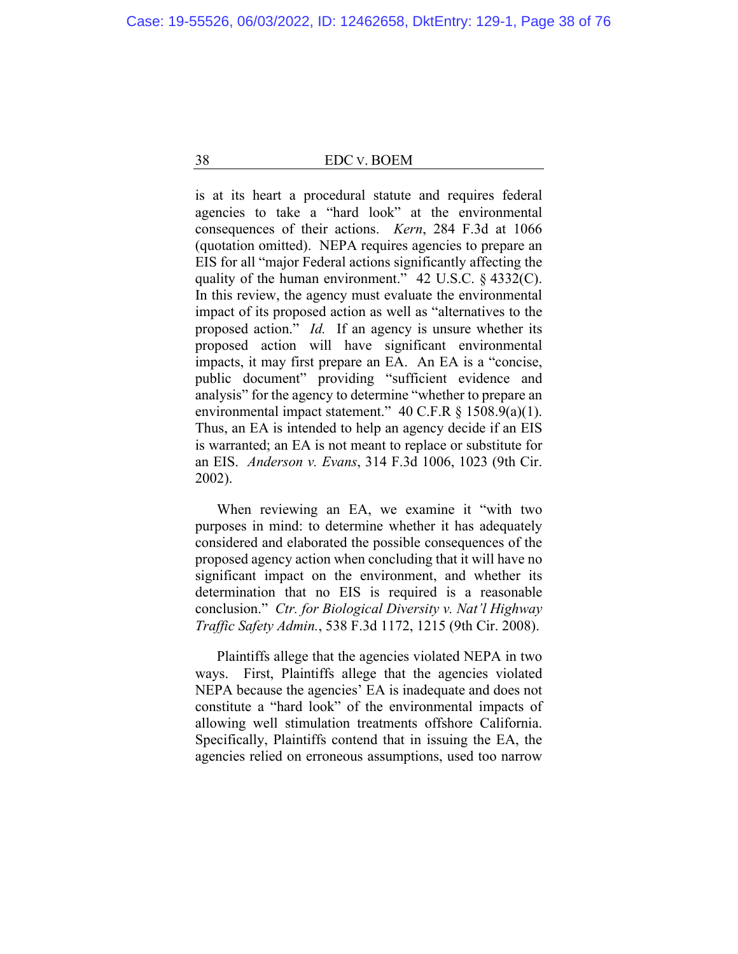is at its heart a procedural statute and requires federal agencies to take a "hard look" at the environmental consequences of their actions. *Kern*, 284 F.3d at 1066 (quotation omitted). NEPA requires agencies to prepare an EIS for all "major Federal actions significantly affecting the quality of the human environment." 42 U.S.C. § 4332(C). In this review, the agency must evaluate the environmental impact of its proposed action as well as "alternatives to the proposed action." *Id.* If an agency is unsure whether its proposed action will have significant environmental impacts, it may first prepare an EA. An EA is a "concise, public document" providing "sufficient evidence and analysis" for the agency to determine "whether to prepare an environmental impact statement." 40 C.F.R § 1508.9(a)(1). Thus, an EA is intended to help an agency decide if an EIS is warranted; an EA is not meant to replace or substitute for an EIS. *Anderson v. Evans*, 314 F.3d 1006, 1023 (9th Cir. 2002).

When reviewing an EA, we examine it "with two purposes in mind: to determine whether it has adequately considered and elaborated the possible consequences of the proposed agency action when concluding that it will have no significant impact on the environment, and whether its determination that no EIS is required is a reasonable conclusion." *Ctr. for Biological Diversity v. Nat'l Highway Traffic Safety Admin.*, 538 F.3d 1172, 1215 (9th Cir. 2008).

Plaintiffs allege that the agencies violated NEPA in two ways. First, Plaintiffs allege that the agencies violated NEPA because the agencies' EA is inadequate and does not constitute a "hard look" of the environmental impacts of allowing well stimulation treatments offshore California. Specifically, Plaintiffs contend that in issuing the EA, the agencies relied on erroneous assumptions, used too narrow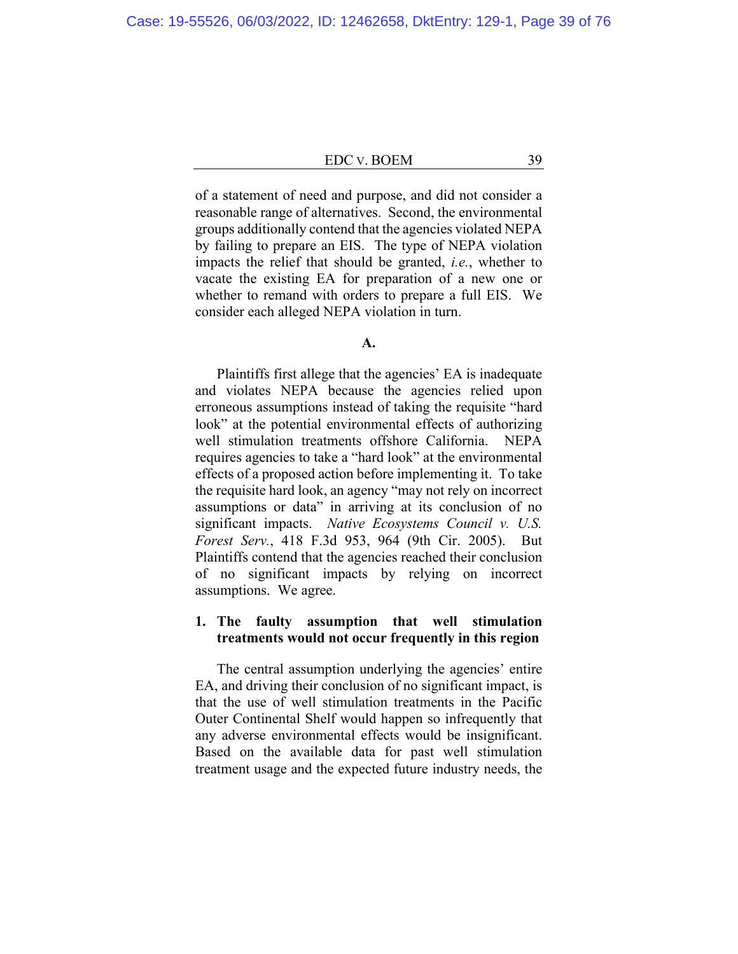of a statement of need and purpose, and did not consider a reasonable range of alternatives. Second, the environmental groups additionally contend that the agencies violated NEPA by failing to prepare an EIS. The type of NEPA violation impacts the relief that should be granted, *i.e.*, whether to vacate the existing EA for preparation of a new one or whether to remand with orders to prepare a full EIS. We consider each alleged NEPA violation in turn.

#### **A.**

Plaintiffs first allege that the agencies' EA is inadequate and violates NEPA because the agencies relied upon erroneous assumptions instead of taking the requisite "hard look" at the potential environmental effects of authorizing well stimulation treatments offshore California. NEPA requires agencies to take a "hard look" at the environmental effects of a proposed action before implementing it. To take the requisite hard look, an agency "may not rely on incorrect assumptions or data" in arriving at its conclusion of no significant impacts. *Native Ecosystems Council v. U.S. Forest Serv.*, 418 F.3d 953, 964 (9th Cir. 2005). But Plaintiffs contend that the agencies reached their conclusion of no significant impacts by relying on incorrect assumptions. We agree.

## **1. The faulty assumption that well stimulation treatments would not occur frequently in this region**

The central assumption underlying the agencies' entire EA, and driving their conclusion of no significant impact, is that the use of well stimulation treatments in the Pacific Outer Continental Shelf would happen so infrequently that any adverse environmental effects would be insignificant. Based on the available data for past well stimulation treatment usage and the expected future industry needs, the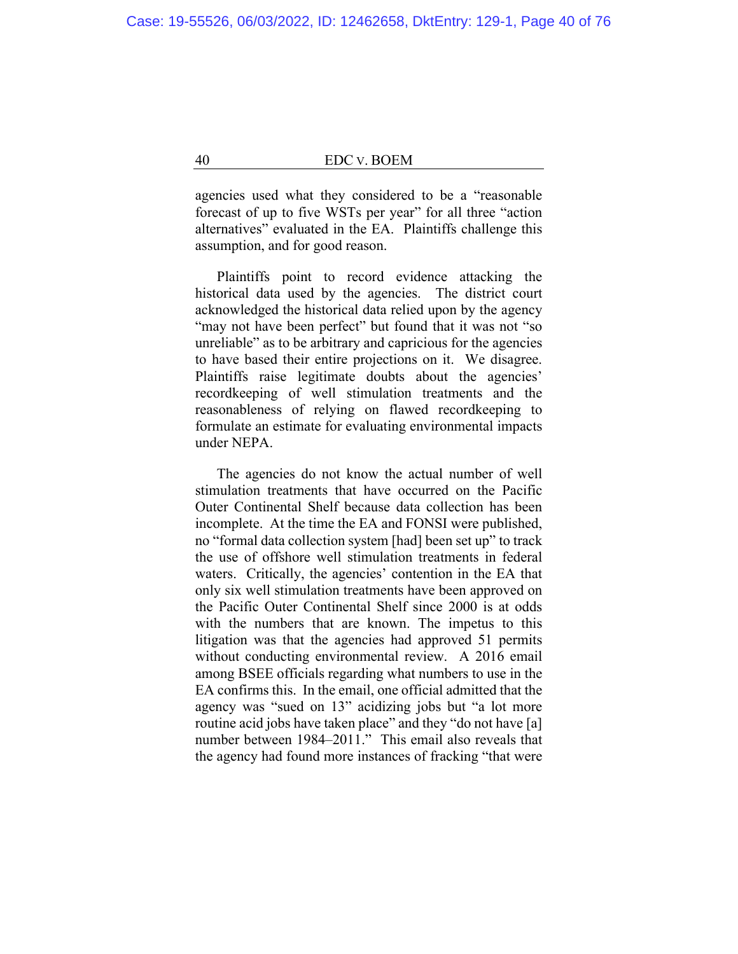agencies used what they considered to be a "reasonable forecast of up to five WSTs per year" for all three "action alternatives" evaluated in the EA. Plaintiffs challenge this assumption, and for good reason.

Plaintiffs point to record evidence attacking the historical data used by the agencies. The district court acknowledged the historical data relied upon by the agency "may not have been perfect" but found that it was not "so unreliable" as to be arbitrary and capricious for the agencies to have based their entire projections on it. We disagree. Plaintiffs raise legitimate doubts about the agencies' recordkeeping of well stimulation treatments and the reasonableness of relying on flawed recordkeeping to formulate an estimate for evaluating environmental impacts under NEPA.

The agencies do not know the actual number of well stimulation treatments that have occurred on the Pacific Outer Continental Shelf because data collection has been incomplete. At the time the EA and FONSI were published, no "formal data collection system [had] been set up" to track the use of offshore well stimulation treatments in federal waters. Critically, the agencies' contention in the EA that only six well stimulation treatments have been approved on the Pacific Outer Continental Shelf since 2000 is at odds with the numbers that are known. The impetus to this litigation was that the agencies had approved 51 permits without conducting environmental review. A 2016 email among BSEE officials regarding what numbers to use in the EA confirms this. In the email, one official admitted that the agency was "sued on 13" acidizing jobs but "a lot more routine acid jobs have taken place" and they "do not have [a] number between 1984–2011." This email also reveals that the agency had found more instances of fracking "that were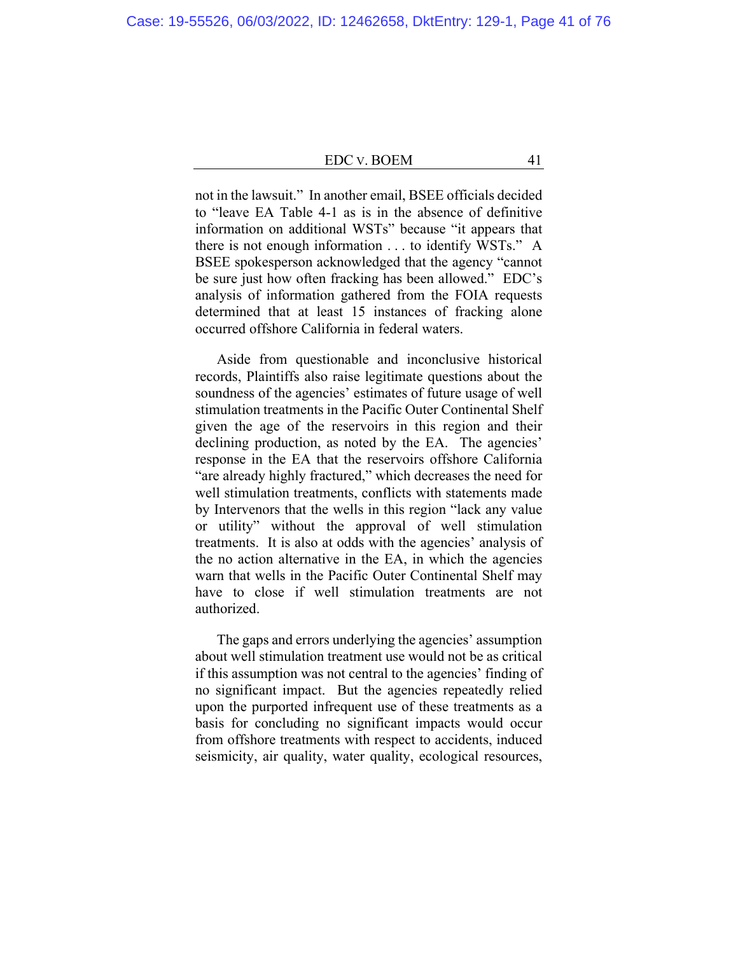not in the lawsuit." In another email, BSEE officials decided to "leave EA Table 4-1 as is in the absence of definitive information on additional WSTs" because "it appears that there is not enough information . . . to identify WSTs." A BSEE spokesperson acknowledged that the agency "cannot be sure just how often fracking has been allowed." EDC's analysis of information gathered from the FOIA requests determined that at least 15 instances of fracking alone occurred offshore California in federal waters.

Aside from questionable and inconclusive historical records, Plaintiffs also raise legitimate questions about the soundness of the agencies' estimates of future usage of well stimulation treatments in the Pacific Outer Continental Shelf given the age of the reservoirs in this region and their declining production, as noted by the EA. The agencies' response in the EA that the reservoirs offshore California "are already highly fractured," which decreases the need for well stimulation treatments, conflicts with statements made by Intervenors that the wells in this region "lack any value or utility" without the approval of well stimulation treatments. It is also at odds with the agencies' analysis of the no action alternative in the EA, in which the agencies warn that wells in the Pacific Outer Continental Shelf may have to close if well stimulation treatments are not authorized.

The gaps and errors underlying the agencies' assumption about well stimulation treatment use would not be as critical if this assumption was not central to the agencies' finding of no significant impact. But the agencies repeatedly relied upon the purported infrequent use of these treatments as a basis for concluding no significant impacts would occur from offshore treatments with respect to accidents, induced seismicity, air quality, water quality, ecological resources,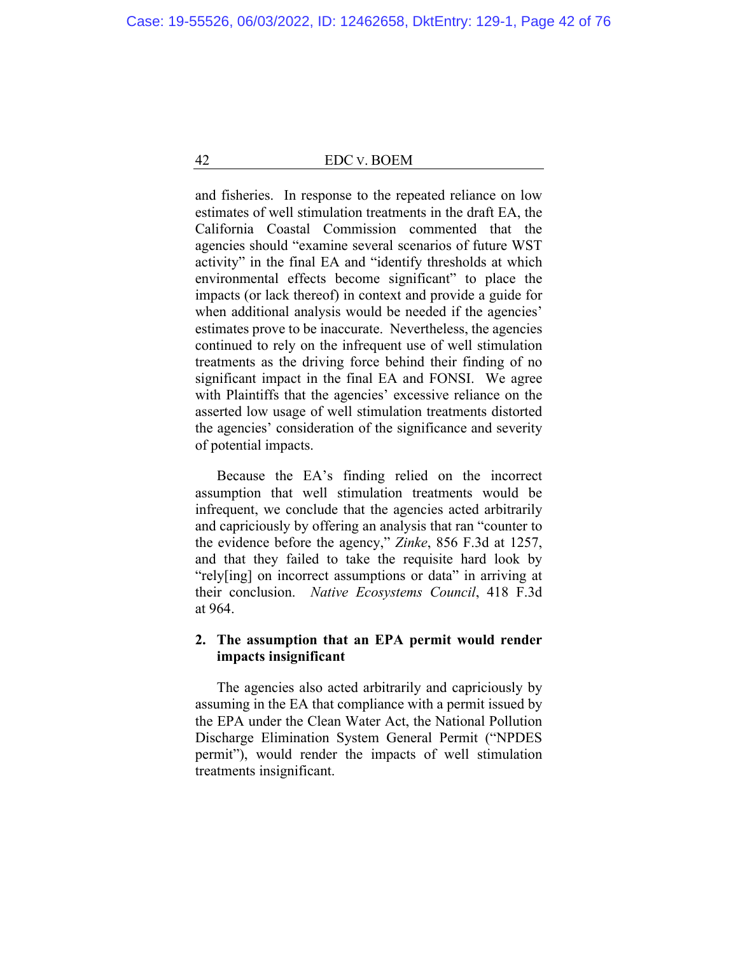and fisheries. In response to the repeated reliance on low estimates of well stimulation treatments in the draft EA, the California Coastal Commission commented that the agencies should "examine several scenarios of future WST activity" in the final EA and "identify thresholds at which environmental effects become significant" to place the impacts (or lack thereof) in context and provide a guide for when additional analysis would be needed if the agencies' estimates prove to be inaccurate. Nevertheless, the agencies continued to rely on the infrequent use of well stimulation treatments as the driving force behind their finding of no significant impact in the final EA and FONSI. We agree with Plaintiffs that the agencies' excessive reliance on the asserted low usage of well stimulation treatments distorted the agencies' consideration of the significance and severity of potential impacts.

Because the EA's finding relied on the incorrect assumption that well stimulation treatments would be infrequent, we conclude that the agencies acted arbitrarily and capriciously by offering an analysis that ran "counter to the evidence before the agency," *Zinke*, 856 F.3d at 1257, and that they failed to take the requisite hard look by "rely[ing] on incorrect assumptions or data" in arriving at their conclusion. *Native Ecosystems Council*, 418 F.3d at 964.

## **2. The assumption that an EPA permit would render impacts insignificant**

The agencies also acted arbitrarily and capriciously by assuming in the EA that compliance with a permit issued by the EPA under the Clean Water Act, the National Pollution Discharge Elimination System General Permit ("NPDES permit"), would render the impacts of well stimulation treatments insignificant.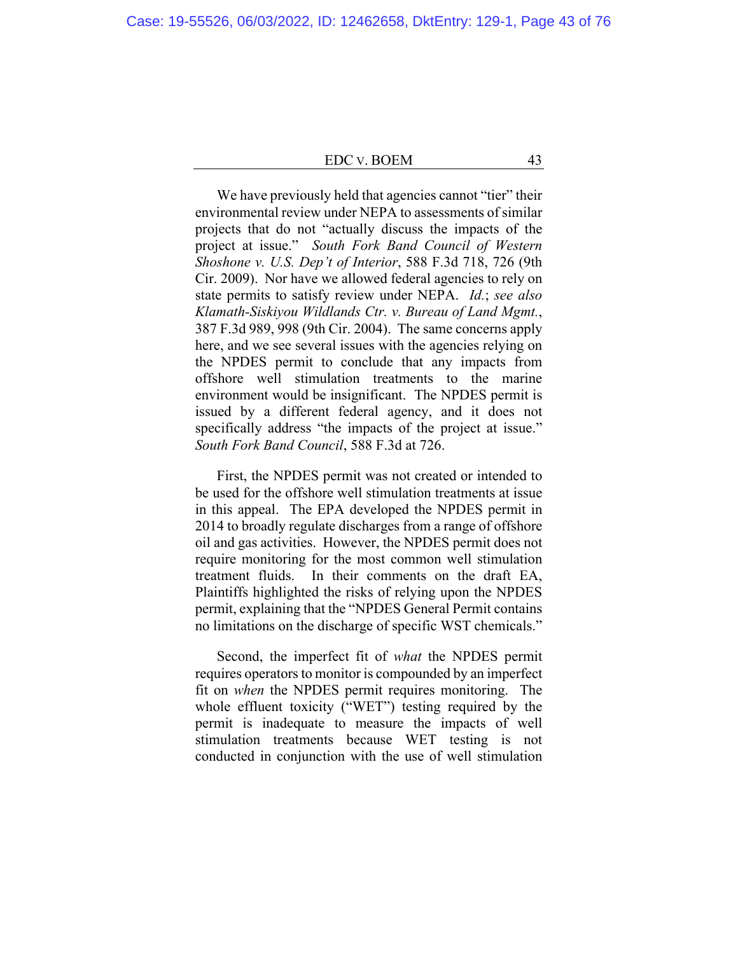We have previously held that agencies cannot "tier" their environmental review under NEPA to assessments of similar projects that do not "actually discuss the impacts of the project at issue." *South Fork Band Council of Western Shoshone v. U.S. Dep't of Interior*, 588 F.3d 718, 726 (9th Cir. 2009). Nor have we allowed federal agencies to rely on state permits to satisfy review under NEPA. *Id.*; *see also Klamath-Siskiyou Wildlands Ctr. v. Bureau of Land Mgmt.*, 387 F.3d 989, 998 (9th Cir. 2004). The same concerns apply here, and we see several issues with the agencies relying on the NPDES permit to conclude that any impacts from offshore well stimulation treatments to the marine environment would be insignificant. The NPDES permit is issued by a different federal agency, and it does not specifically address "the impacts of the project at issue." *South Fork Band Council*, 588 F.3d at 726.

First, the NPDES permit was not created or intended to be used for the offshore well stimulation treatments at issue in this appeal. The EPA developed the NPDES permit in 2014 to broadly regulate discharges from a range of offshore oil and gas activities. However, the NPDES permit does not require monitoring for the most common well stimulation treatment fluids. In their comments on the draft EA, Plaintiffs highlighted the risks of relying upon the NPDES permit, explaining that the "NPDES General Permit contains no limitations on the discharge of specific WST chemicals."

Second, the imperfect fit of *what* the NPDES permit requires operators to monitor is compounded by an imperfect fit on *when* the NPDES permit requires monitoring. The whole effluent toxicity ("WET") testing required by the permit is inadequate to measure the impacts of well stimulation treatments because WET testing is not conducted in conjunction with the use of well stimulation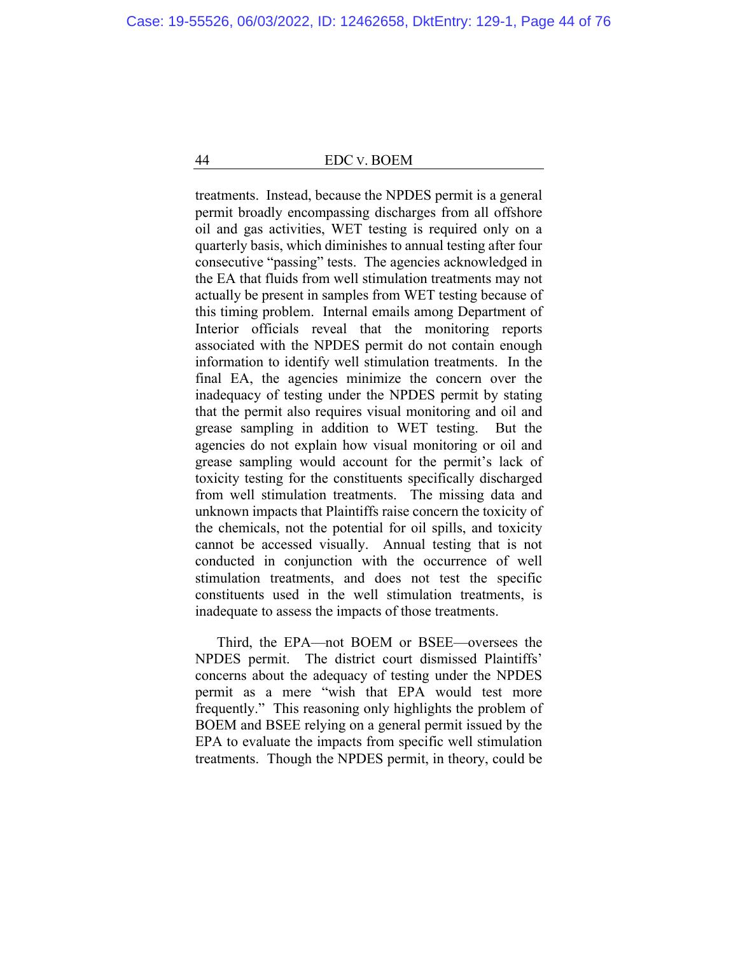treatments. Instead, because the NPDES permit is a general permit broadly encompassing discharges from all offshore oil and gas activities, WET testing is required only on a quarterly basis, which diminishes to annual testing after four consecutive "passing" tests. The agencies acknowledged in the EA that fluids from well stimulation treatments may not actually be present in samples from WET testing because of this timing problem. Internal emails among Department of Interior officials reveal that the monitoring reports associated with the NPDES permit do not contain enough information to identify well stimulation treatments. In the final EA, the agencies minimize the concern over the inadequacy of testing under the NPDES permit by stating that the permit also requires visual monitoring and oil and grease sampling in addition to WET testing. But the agencies do not explain how visual monitoring or oil and grease sampling would account for the permit's lack of toxicity testing for the constituents specifically discharged from well stimulation treatments. The missing data and unknown impacts that Plaintiffs raise concern the toxicity of the chemicals, not the potential for oil spills, and toxicity cannot be accessed visually. Annual testing that is not conducted in conjunction with the occurrence of well stimulation treatments, and does not test the specific constituents used in the well stimulation treatments, is inadequate to assess the impacts of those treatments.

Third, the EPA—not BOEM or BSEE—oversees the NPDES permit. The district court dismissed Plaintiffs' concerns about the adequacy of testing under the NPDES permit as a mere "wish that EPA would test more frequently." This reasoning only highlights the problem of BOEM and BSEE relying on a general permit issued by the EPA to evaluate the impacts from specific well stimulation treatments. Though the NPDES permit, in theory, could be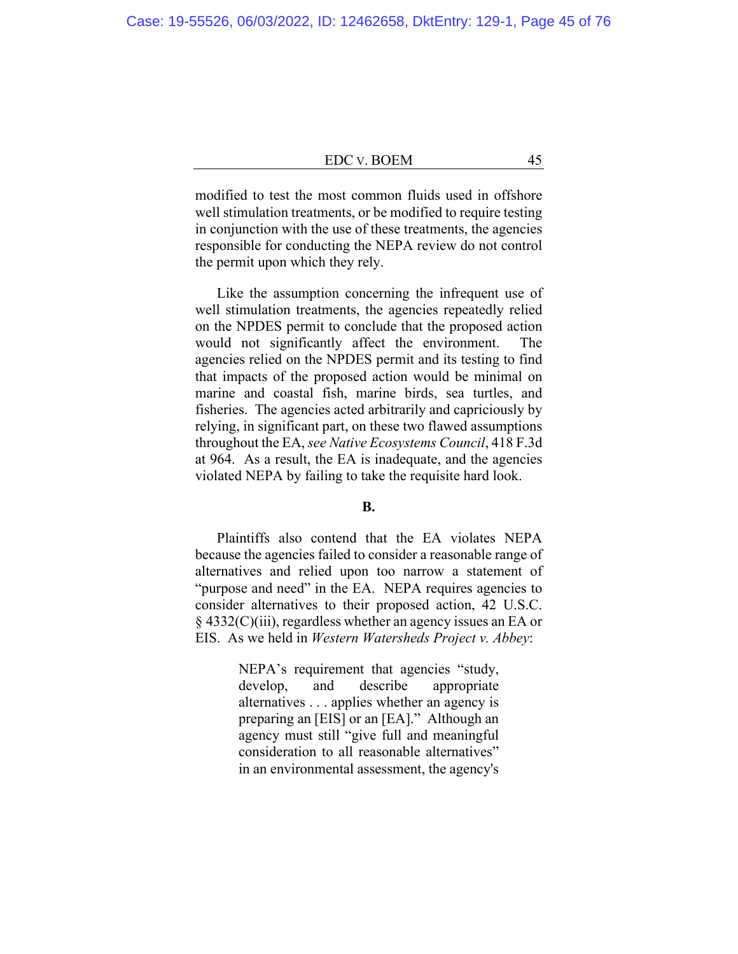modified to test the most common fluids used in offshore well stimulation treatments, or be modified to require testing in conjunction with the use of these treatments, the agencies responsible for conducting the NEPA review do not control the permit upon which they rely.

Like the assumption concerning the infrequent use of well stimulation treatments, the agencies repeatedly relied on the NPDES permit to conclude that the proposed action would not significantly affect the environment. The agencies relied on the NPDES permit and its testing to find that impacts of the proposed action would be minimal on marine and coastal fish, marine birds, sea turtles, and fisheries. The agencies acted arbitrarily and capriciously by relying, in significant part, on these two flawed assumptions throughout the EA, *see Native Ecosystems Council*, 418 F.3d at 964. As a result, the EA is inadequate, and the agencies violated NEPA by failing to take the requisite hard look.

### **B.**

Plaintiffs also contend that the EA violates NEPA because the agencies failed to consider a reasonable range of alternatives and relied upon too narrow a statement of "purpose and need" in the EA. NEPA requires agencies to consider alternatives to their proposed action, 42 U.S.C. § 4332(C)(iii), regardless whether an agency issues an EA or EIS. As we held in *Western Watersheds Project v. Abbey*:

> NEPA's requirement that agencies "study, develop, and describe appropriate alternatives . . . applies whether an agency is preparing an [EIS] or an [EA]." Although an agency must still "give full and meaningful consideration to all reasonable alternatives" in an environmental assessment, the agency's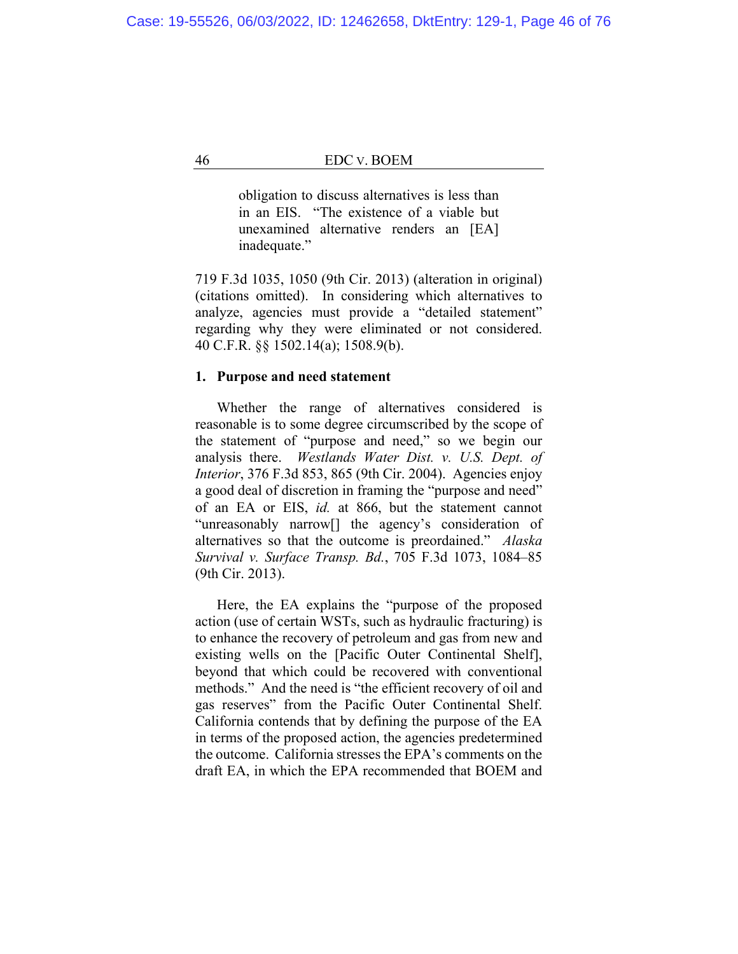obligation to discuss alternatives is less than in an EIS. "The existence of a viable but unexamined alternative renders an [EA] inadequate."

719 F.3d 1035, 1050 (9th Cir. 2013) (alteration in original) (citations omitted). In considering which alternatives to analyze, agencies must provide a "detailed statement" regarding why they were eliminated or not considered. 40 C.F.R. §§ 1502.14(a); 1508.9(b).

## **1. Purpose and need statement**

Whether the range of alternatives considered is reasonable is to some degree circumscribed by the scope of the statement of "purpose and need," so we begin our analysis there. *Westlands Water Dist. v. U.S. Dept. of Interior*, 376 F.3d 853, 865 (9th Cir. 2004). Agencies enjoy a good deal of discretion in framing the "purpose and need" of an EA or EIS, *id.* at 866, but the statement cannot "unreasonably narrow[] the agency's consideration of alternatives so that the outcome is preordained." *Alaska Survival v. Surface Transp. Bd.*, 705 F.3d 1073, 1084–85 (9th Cir. 2013).

Here, the EA explains the "purpose of the proposed action (use of certain WSTs, such as hydraulic fracturing) is to enhance the recovery of petroleum and gas from new and existing wells on the [Pacific Outer Continental Shelf], beyond that which could be recovered with conventional methods." And the need is "the efficient recovery of oil and gas reserves" from the Pacific Outer Continental Shelf. California contends that by defining the purpose of the EA in terms of the proposed action, the agencies predetermined the outcome. California stresses the EPA's comments on the draft EA, in which the EPA recommended that BOEM and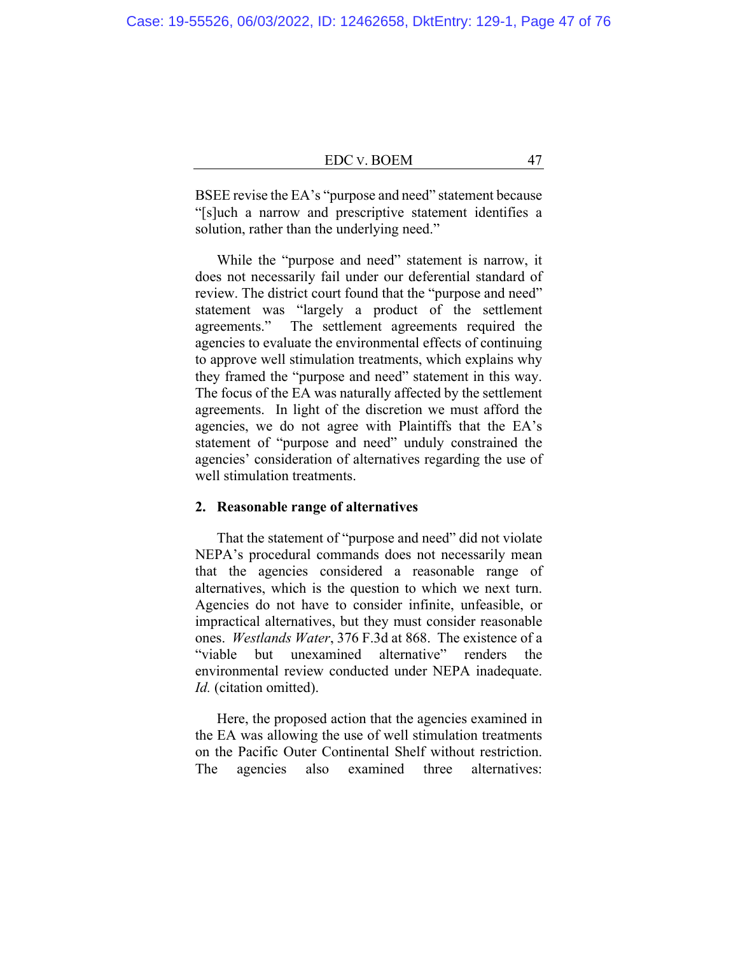BSEE revise the EA's "purpose and need" statement because "[s]uch a narrow and prescriptive statement identifies a solution, rather than the underlying need."

While the "purpose and need" statement is narrow, it does not necessarily fail under our deferential standard of review. The district court found that the "purpose and need" statement was "largely a product of the settlement agreements." The settlement agreements required the agencies to evaluate the environmental effects of continuing to approve well stimulation treatments, which explains why they framed the "purpose and need" statement in this way. The focus of the EA was naturally affected by the settlement agreements. In light of the discretion we must afford the agencies, we do not agree with Plaintiffs that the EA's statement of "purpose and need" unduly constrained the agencies' consideration of alternatives regarding the use of well stimulation treatments.

### **2. Reasonable range of alternatives**

That the statement of "purpose and need" did not violate NEPA's procedural commands does not necessarily mean that the agencies considered a reasonable range of alternatives, which is the question to which we next turn. Agencies do not have to consider infinite, unfeasible, or impractical alternatives, but they must consider reasonable ones. *Westlands Water*, 376 F.3d at 868. The existence of a "viable but unexamined alternative" renders the environmental review conducted under NEPA inadequate. *Id.* (citation omitted).

Here, the proposed action that the agencies examined in the EA was allowing the use of well stimulation treatments on the Pacific Outer Continental Shelf without restriction. The agencies also examined three alternatives: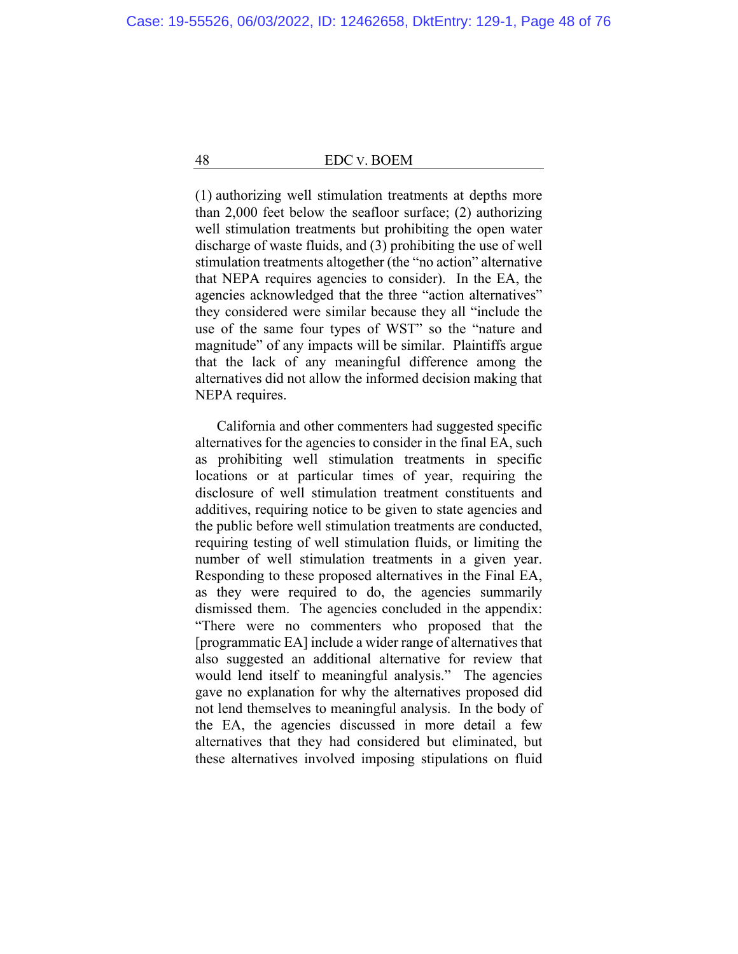(1) authorizing well stimulation treatments at depths more than 2,000 feet below the seafloor surface; (2) authorizing well stimulation treatments but prohibiting the open water discharge of waste fluids, and (3) prohibiting the use of well stimulation treatments altogether (the "no action" alternative that NEPA requires agencies to consider). In the EA, the agencies acknowledged that the three "action alternatives" they considered were similar because they all "include the use of the same four types of WST" so the "nature and magnitude" of any impacts will be similar. Plaintiffs argue that the lack of any meaningful difference among the alternatives did not allow the informed decision making that NEPA requires.

California and other commenters had suggested specific alternatives for the agencies to consider in the final EA, such as prohibiting well stimulation treatments in specific locations or at particular times of year, requiring the disclosure of well stimulation treatment constituents and additives, requiring notice to be given to state agencies and the public before well stimulation treatments are conducted, requiring testing of well stimulation fluids, or limiting the number of well stimulation treatments in a given year. Responding to these proposed alternatives in the Final EA, as they were required to do, the agencies summarily dismissed them. The agencies concluded in the appendix: "There were no commenters who proposed that the [programmatic EA] include a wider range of alternatives that also suggested an additional alternative for review that would lend itself to meaningful analysis." The agencies gave no explanation for why the alternatives proposed did not lend themselves to meaningful analysis. In the body of the EA, the agencies discussed in more detail a few alternatives that they had considered but eliminated, but these alternatives involved imposing stipulations on fluid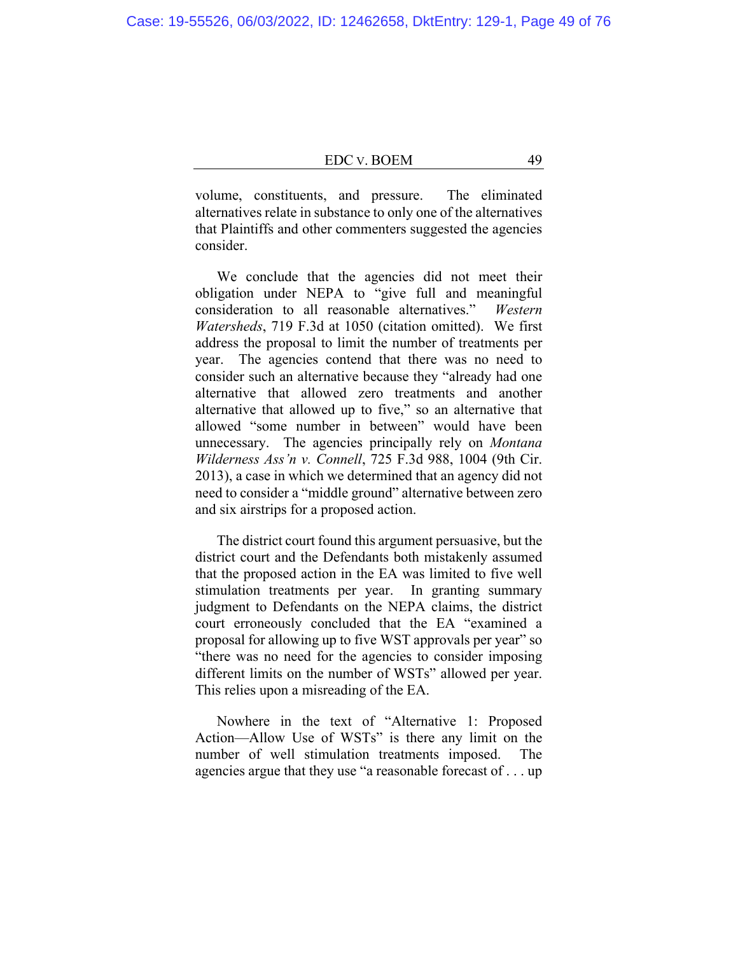volume, constituents, and pressure. The eliminated alternatives relate in substance to only one of the alternatives that Plaintiffs and other commenters suggested the agencies consider.

We conclude that the agencies did not meet their obligation under NEPA to "give full and meaningful consideration to all reasonable alternatives." *Western Watersheds*, 719 F.3d at 1050 (citation omitted). We first address the proposal to limit the number of treatments per year. The agencies contend that there was no need to consider such an alternative because they "already had one alternative that allowed zero treatments and another alternative that allowed up to five," so an alternative that allowed "some number in between" would have been unnecessary. The agencies principally rely on *Montana Wilderness Ass'n v. Connell*, 725 F.3d 988, 1004 (9th Cir. 2013), a case in which we determined that an agency did not need to consider a "middle ground" alternative between zero and six airstrips for a proposed action.

The district court found this argument persuasive, but the district court and the Defendants both mistakenly assumed that the proposed action in the EA was limited to five well stimulation treatments per year. In granting summary judgment to Defendants on the NEPA claims, the district court erroneously concluded that the EA "examined a proposal for allowing up to five WST approvals per year" so "there was no need for the agencies to consider imposing different limits on the number of WSTs" allowed per year. This relies upon a misreading of the EA.

Nowhere in the text of "Alternative 1: Proposed Action—Allow Use of WSTs" is there any limit on the number of well stimulation treatments imposed. The agencies argue that they use "a reasonable forecast of . . . up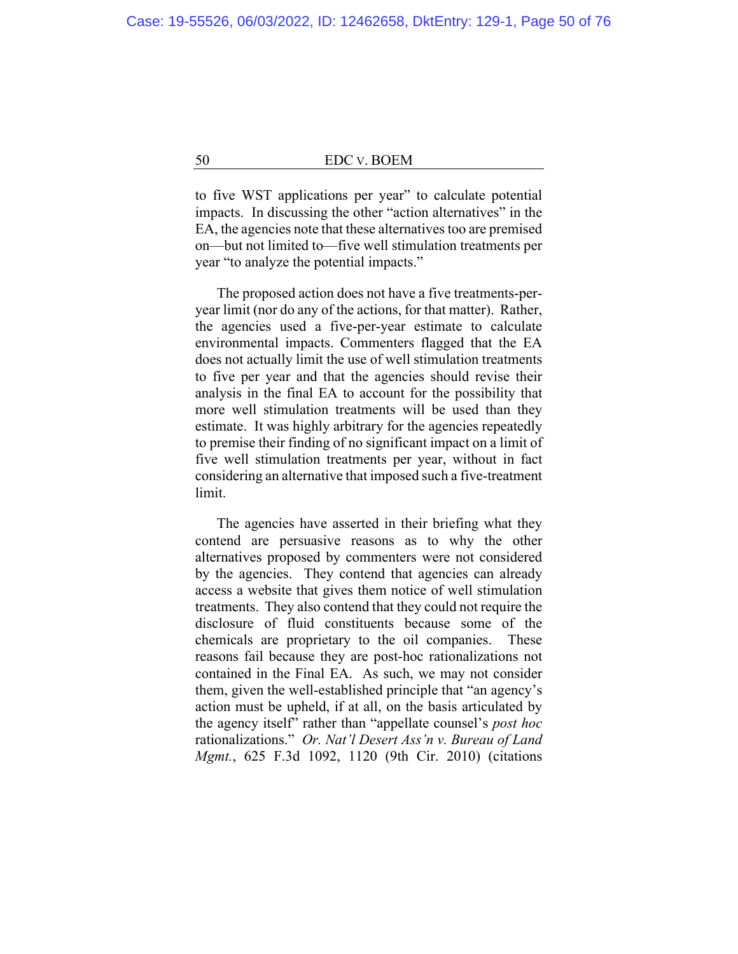to five WST applications per year" to calculate potential impacts. In discussing the other "action alternatives" in the EA, the agencies note that these alternatives too are premised on—but not limited to—five well stimulation treatments per year "to analyze the potential impacts."

The proposed action does not have a five treatments-peryear limit (nor do any of the actions, for that matter). Rather, the agencies used a five-per-year estimate to calculate environmental impacts. Commenters flagged that the EA does not actually limit the use of well stimulation treatments to five per year and that the agencies should revise their analysis in the final EA to account for the possibility that more well stimulation treatments will be used than they estimate. It was highly arbitrary for the agencies repeatedly to premise their finding of no significant impact on a limit of five well stimulation treatments per year, without in fact considering an alternative that imposed such a five-treatment limit.

The agencies have asserted in their briefing what they contend are persuasive reasons as to why the other alternatives proposed by commenters were not considered by the agencies. They contend that agencies can already access a website that gives them notice of well stimulation treatments. They also contend that they could not require the disclosure of fluid constituents because some of the chemicals are proprietary to the oil companies. These reasons fail because they are post-hoc rationalizations not contained in the Final EA. As such, we may not consider them, given the well-established principle that "an agency's action must be upheld, if at all, on the basis articulated by the agency itself" rather than "appellate counsel's *post hoc*  rationalizations." *Or. Nat'l Desert Ass'n v. Bureau of Land Mgmt.*, 625 F.3d 1092, 1120 (9th Cir. 2010) (citations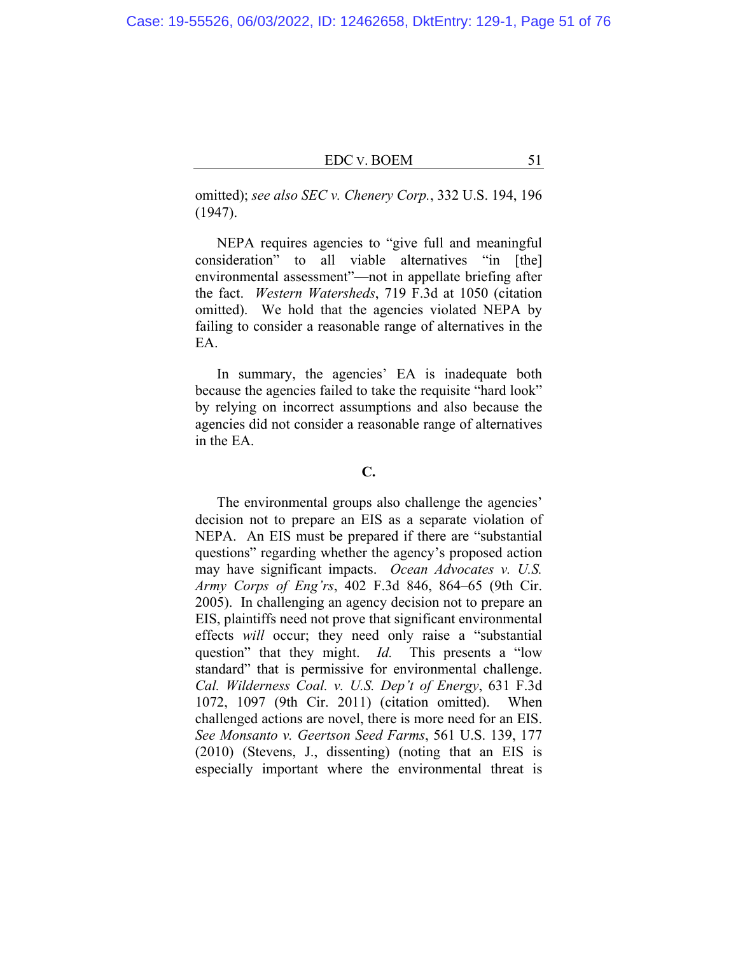omitted); *see also SEC v. Chenery Corp.*, 332 U.S. 194, 196 (1947).

NEPA requires agencies to "give full and meaningful consideration" to all viable alternatives "in [the] environmental assessment"—not in appellate briefing after the fact. *Western Watersheds*, 719 F.3d at 1050 (citation omitted). We hold that the agencies violated NEPA by failing to consider a reasonable range of alternatives in the EA.

In summary, the agencies' EA is inadequate both because the agencies failed to take the requisite "hard look" by relying on incorrect assumptions and also because the agencies did not consider a reasonable range of alternatives in the EA.

#### **C.**

The environmental groups also challenge the agencies' decision not to prepare an EIS as a separate violation of NEPA. An EIS must be prepared if there are "substantial questions" regarding whether the agency's proposed action may have significant impacts. *Ocean Advocates v. U.S. Army Corps of Eng'rs*, 402 F.3d 846, 864–65 (9th Cir. 2005). In challenging an agency decision not to prepare an EIS, plaintiffs need not prove that significant environmental effects *will* occur; they need only raise a "substantial question" that they might. *Id.* This presents a "low standard" that is permissive for environmental challenge. *Cal. Wilderness Coal. v. U.S. Dep't of Energy*, 631 F.3d 1072, 1097 (9th Cir. 2011) (citation omitted). When challenged actions are novel, there is more need for an EIS. *See Monsanto v. Geertson Seed Farms*, 561 U.S. 139, 177 (2010) (Stevens, J., dissenting) (noting that an EIS is especially important where the environmental threat is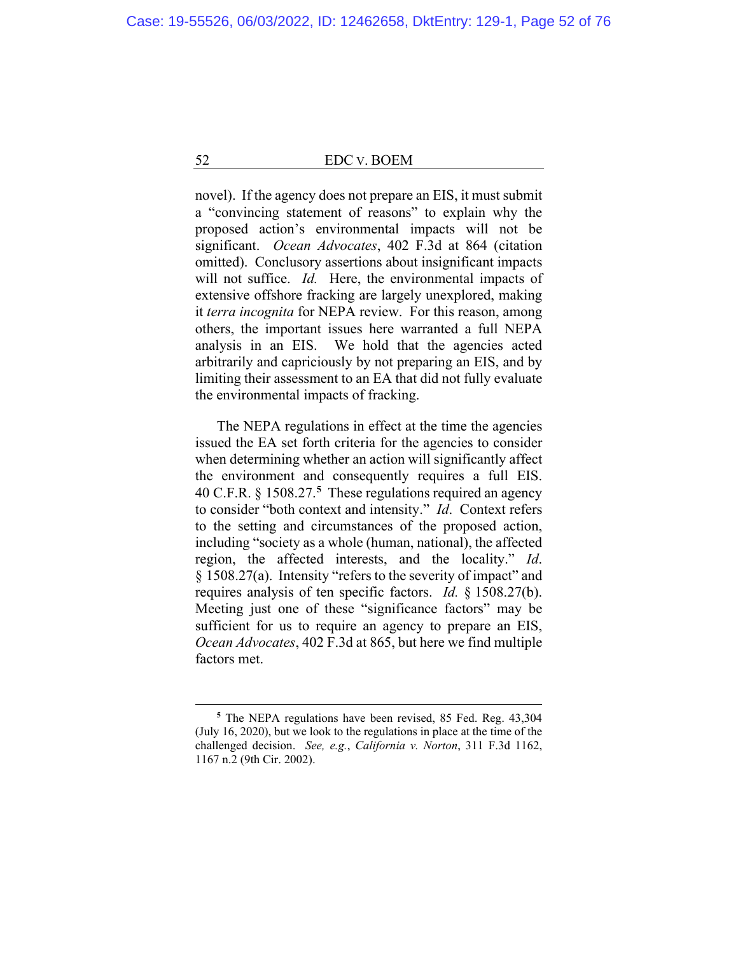novel). If the agency does not prepare an EIS, it must submit a "convincing statement of reasons" to explain why the proposed action's environmental impacts will not be significant. *Ocean Advocates*, 402 F.3d at 864 (citation omitted). Conclusory assertions about insignificant impacts will not suffice. *Id.* Here, the environmental impacts of extensive offshore fracking are largely unexplored, making it *terra incognita* for NEPA review. For this reason, among others, the important issues here warranted a full NEPA analysis in an EIS. We hold that the agencies acted arbitrarily and capriciously by not preparing an EIS, and by limiting their assessment to an EA that did not fully evaluate the environmental impacts of fracking.

The NEPA regulations in effect at the time the agencies issued the EA set forth criteria for the agencies to consider when determining whether an action will significantly affect the environment and consequently requires a full EIS. 40 C.F.R. § 1508.27.**<sup>5</sup>** These regulations required an agency to consider "both context and intensity." *Id*. Context refers to the setting and circumstances of the proposed action, including "society as a whole (human, national), the affected region, the affected interests, and the locality." *Id*. § 1508.27(a). Intensity "refers to the severity of impact" and requires analysis of ten specific factors. *Id.* § 1508.27(b). Meeting just one of these "significance factors" may be sufficient for us to require an agency to prepare an EIS, *Ocean Advocates*, 402 F.3d at 865, but here we find multiple factors met.

**<sup>5</sup>** The NEPA regulations have been revised, 85 Fed. Reg. 43,304 (July 16, 2020), but we look to the regulations in place at the time of the challenged decision. *See, e.g.*, *California v. Norton*, 311 F.3d 1162, 1167 n.2 (9th Cir. 2002).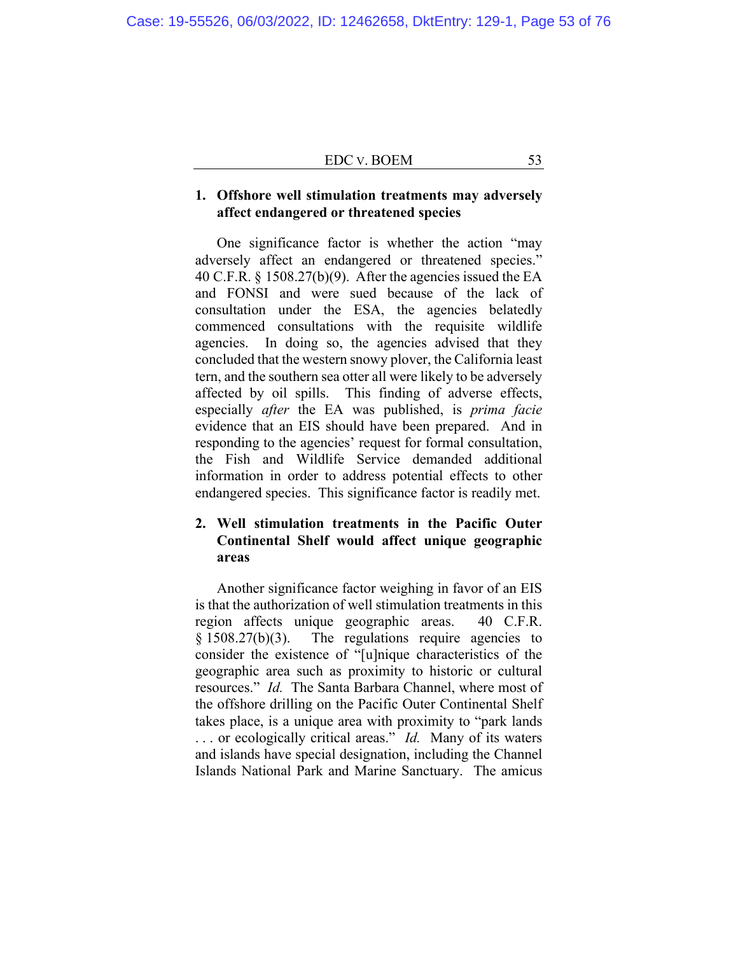| <b>EDC v. BOEM</b> |  |
|--------------------|--|
|                    |  |

## **1. Offshore well stimulation treatments may adversely affect endangered or threatened species**

One significance factor is whether the action "may adversely affect an endangered or threatened species." 40 C.F.R. § 1508.27(b)(9). After the agencies issued the EA and FONSI and were sued because of the lack of consultation under the ESA, the agencies belatedly commenced consultations with the requisite wildlife agencies. In doing so, the agencies advised that they concluded that the western snowy plover, the California least tern, and the southern sea otter all were likely to be adversely affected by oil spills. This finding of adverse effects, especially *after* the EA was published, is *prima facie* evidence that an EIS should have been prepared. And in responding to the agencies' request for formal consultation, the Fish and Wildlife Service demanded additional information in order to address potential effects to other endangered species. This significance factor is readily met.

# **2. Well stimulation treatments in the Pacific Outer Continental Shelf would affect unique geographic areas**

Another significance factor weighing in favor of an EIS is that the authorization of well stimulation treatments in this region affects unique geographic areas. 40 C.F.R. § 1508.27(b)(3). The regulations require agencies to consider the existence of "[u]nique characteristics of the geographic area such as proximity to historic or cultural resources." *Id.* The Santa Barbara Channel, where most of the offshore drilling on the Pacific Outer Continental Shelf takes place, is a unique area with proximity to "park lands . . . or ecologically critical areas." *Id.* Many of its waters and islands have special designation, including the Channel Islands National Park and Marine Sanctuary. The amicus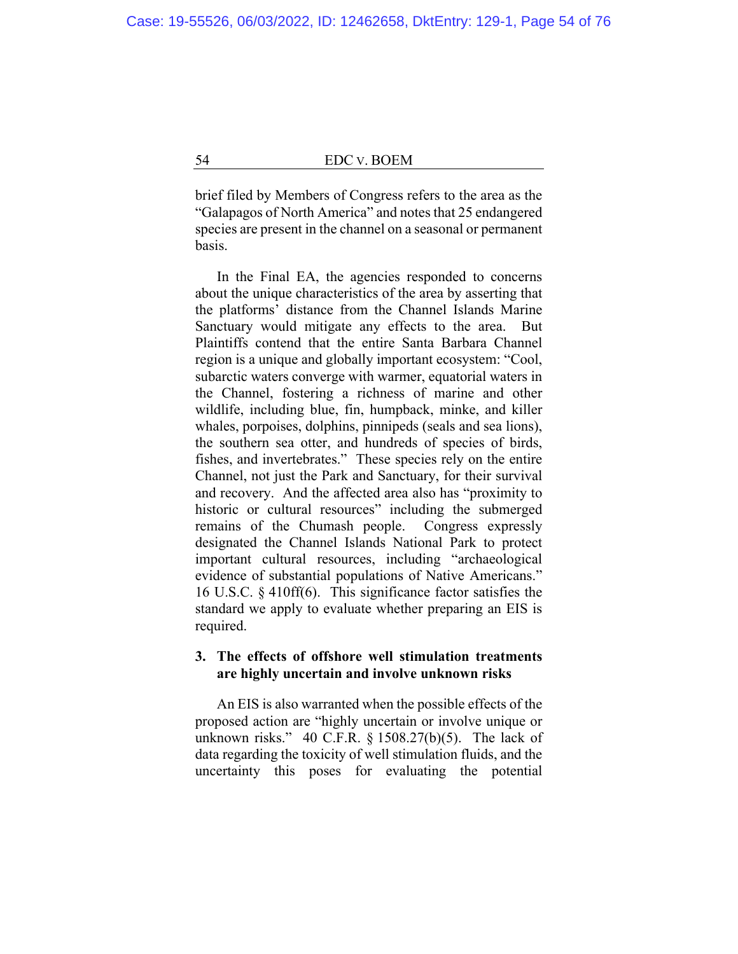brief filed by Members of Congress refers to the area as the "Galapagos of North America" and notes that 25 endangered species are present in the channel on a seasonal or permanent basis.

In the Final EA, the agencies responded to concerns about the unique characteristics of the area by asserting that the platforms' distance from the Channel Islands Marine Sanctuary would mitigate any effects to the area. But Plaintiffs contend that the entire Santa Barbara Channel region is a unique and globally important ecosystem: "Cool, subarctic waters converge with warmer, equatorial waters in the Channel, fostering a richness of marine and other wildlife, including blue, fin, humpback, minke, and killer whales, porpoises, dolphins, pinnipeds (seals and sea lions), the southern sea otter, and hundreds of species of birds, fishes, and invertebrates." These species rely on the entire Channel, not just the Park and Sanctuary, for their survival and recovery. And the affected area also has "proximity to historic or cultural resources" including the submerged remains of the Chumash people. Congress expressly designated the Channel Islands National Park to protect important cultural resources, including "archaeological evidence of substantial populations of Native Americans." 16 U.S.C. § 410ff(6). This significance factor satisfies the standard we apply to evaluate whether preparing an EIS is required.

## **3. The effects of offshore well stimulation treatments are highly uncertain and involve unknown risks**

An EIS is also warranted when the possible effects of the proposed action are "highly uncertain or involve unique or unknown risks." 40 C.F.R.  $\S$  1508.27(b)(5). The lack of data regarding the toxicity of well stimulation fluids, and the uncertainty this poses for evaluating the potential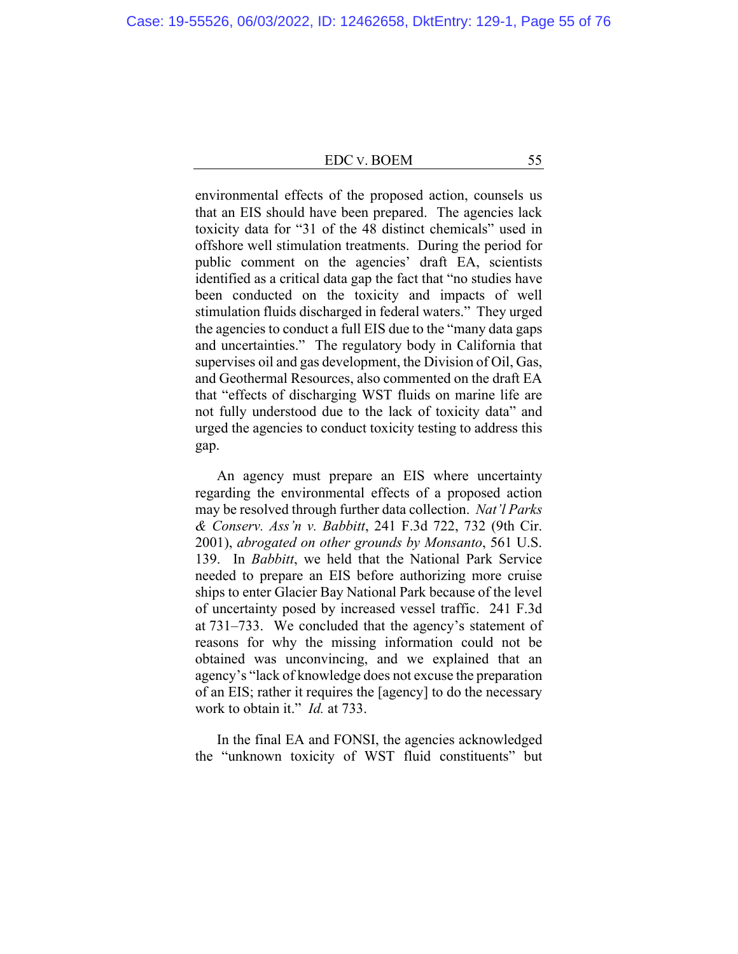environmental effects of the proposed action, counsels us that an EIS should have been prepared. The agencies lack toxicity data for "31 of the 48 distinct chemicals" used in offshore well stimulation treatments. During the period for public comment on the agencies' draft EA, scientists identified as a critical data gap the fact that "no studies have been conducted on the toxicity and impacts of well stimulation fluids discharged in federal waters." They urged the agencies to conduct a full EIS due to the "many data gaps and uncertainties." The regulatory body in California that supervises oil and gas development, the Division of Oil, Gas, and Geothermal Resources, also commented on the draft EA that "effects of discharging WST fluids on marine life are not fully understood due to the lack of toxicity data" and urged the agencies to conduct toxicity testing to address this gap.

An agency must prepare an EIS where uncertainty regarding the environmental effects of a proposed action may be resolved through further data collection. *Nat'l Parks & Conserv. Ass'n v. Babbitt*, 241 F.3d 722, 732 (9th Cir. 2001), *abrogated on other grounds by Monsanto*, 561 U.S. 139. In *Babbitt*, we held that the National Park Service needed to prepare an EIS before authorizing more cruise ships to enter Glacier Bay National Park because of the level of uncertainty posed by increased vessel traffic. 241 F.3d at 731–733. We concluded that the agency's statement of reasons for why the missing information could not be obtained was unconvincing, and we explained that an agency's "lack of knowledge does not excuse the preparation of an EIS; rather it requires the [agency] to do the necessary work to obtain it." *Id.* at 733.

In the final EA and FONSI, the agencies acknowledged the "unknown toxicity of WST fluid constituents" but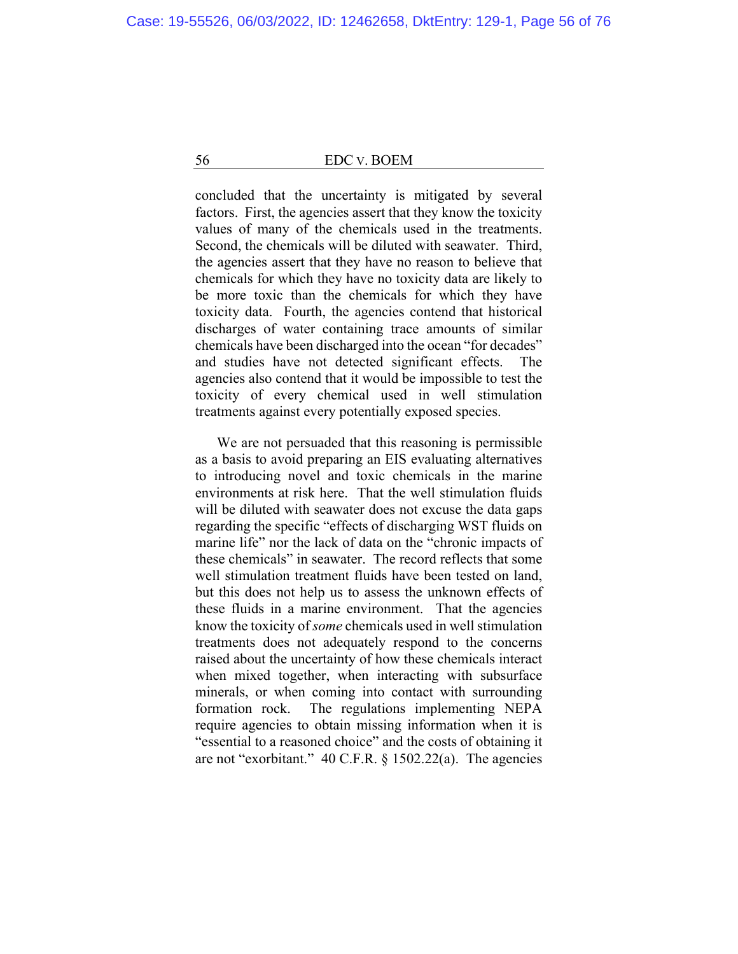concluded that the uncertainty is mitigated by several factors. First, the agencies assert that they know the toxicity values of many of the chemicals used in the treatments. Second, the chemicals will be diluted with seawater. Third, the agencies assert that they have no reason to believe that chemicals for which they have no toxicity data are likely to be more toxic than the chemicals for which they have toxicity data. Fourth, the agencies contend that historical discharges of water containing trace amounts of similar chemicals have been discharged into the ocean "for decades" and studies have not detected significant effects. The agencies also contend that it would be impossible to test the toxicity of every chemical used in well stimulation treatments against every potentially exposed species.

We are not persuaded that this reasoning is permissible as a basis to avoid preparing an EIS evaluating alternatives to introducing novel and toxic chemicals in the marine environments at risk here. That the well stimulation fluids will be diluted with seawater does not excuse the data gaps regarding the specific "effects of discharging WST fluids on marine life" nor the lack of data on the "chronic impacts of these chemicals" in seawater. The record reflects that some well stimulation treatment fluids have been tested on land, but this does not help us to assess the unknown effects of these fluids in a marine environment. That the agencies know the toxicity of *some* chemicals used in well stimulation treatments does not adequately respond to the concerns raised about the uncertainty of how these chemicals interact when mixed together, when interacting with subsurface minerals, or when coming into contact with surrounding formation rock. The regulations implementing NEPA require agencies to obtain missing information when it is "essential to a reasoned choice" and the costs of obtaining it are not "exorbitant." 40 C.F.R. § 1502.22(a). The agencies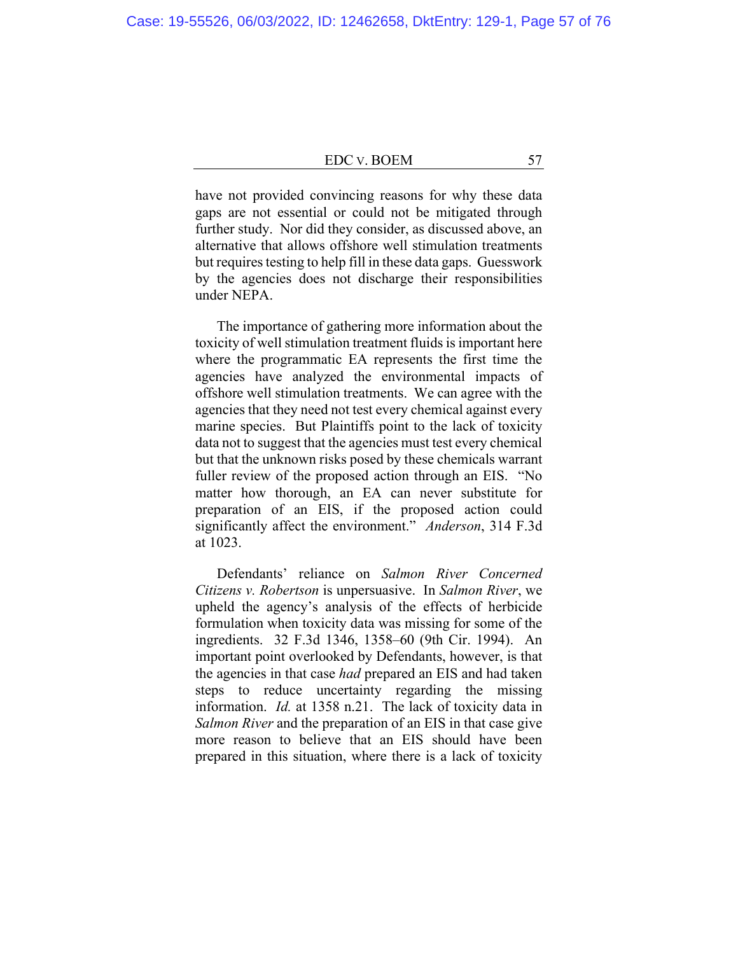have not provided convincing reasons for why these data gaps are not essential or could not be mitigated through further study. Nor did they consider, as discussed above, an alternative that allows offshore well stimulation treatments but requires testing to help fill in these data gaps. Guesswork by the agencies does not discharge their responsibilities under NEPA.

The importance of gathering more information about the toxicity of well stimulation treatment fluids is important here where the programmatic EA represents the first time the agencies have analyzed the environmental impacts of offshore well stimulation treatments. We can agree with the agencies that they need not test every chemical against every marine species. But Plaintiffs point to the lack of toxicity data not to suggest that the agencies must test every chemical but that the unknown risks posed by these chemicals warrant fuller review of the proposed action through an EIS. "No matter how thorough, an EA can never substitute for preparation of an EIS, if the proposed action could significantly affect the environment." *Anderson*, 314 F.3d at 1023.

Defendants' reliance on *Salmon River Concerned Citizens v. Robertson* is unpersuasive. In *Salmon River*, we upheld the agency's analysis of the effects of herbicide formulation when toxicity data was missing for some of the ingredients. 32 F.3d 1346, 1358–60 (9th Cir. 1994).An important point overlooked by Defendants, however, is that the agencies in that case *had* prepared an EIS and had taken steps to reduce uncertainty regarding the missing information. *Id.* at 1358 n.21. The lack of toxicity data in *Salmon River* and the preparation of an EIS in that case give more reason to believe that an EIS should have been prepared in this situation, where there is a lack of toxicity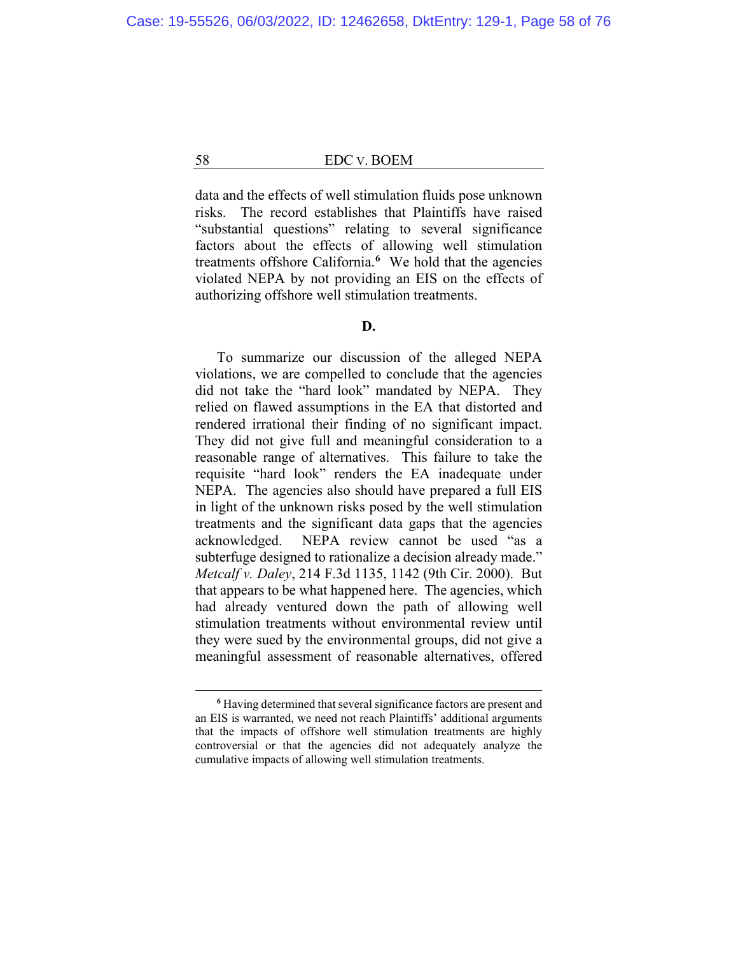data and the effects of well stimulation fluids pose unknown risks. The record establishes that Plaintiffs have raised "substantial questions" relating to several significance factors about the effects of allowing well stimulation treatments offshore California.**<sup>6</sup>** We hold that the agencies violated NEPA by not providing an EIS on the effects of authorizing offshore well stimulation treatments.

### **D.**

To summarize our discussion of the alleged NEPA violations, we are compelled to conclude that the agencies did not take the "hard look" mandated by NEPA. They relied on flawed assumptions in the EA that distorted and rendered irrational their finding of no significant impact. They did not give full and meaningful consideration to a reasonable range of alternatives. This failure to take the requisite "hard look" renders the EA inadequate under NEPA. The agencies also should have prepared a full EIS in light of the unknown risks posed by the well stimulation treatments and the significant data gaps that the agencies acknowledged. NEPA review cannot be used "as a subterfuge designed to rationalize a decision already made." *Metcalf v. Daley*, 214 F.3d 1135, 1142 (9th Cir. 2000). But that appears to be what happened here. The agencies, which had already ventured down the path of allowing well stimulation treatments without environmental review until they were sued by the environmental groups, did not give a meaningful assessment of reasonable alternatives, offered

**<sup>6</sup>** Having determined that several significance factors are present and an EIS is warranted, we need not reach Plaintiffs' additional arguments that the impacts of offshore well stimulation treatments are highly controversial or that the agencies did not adequately analyze the cumulative impacts of allowing well stimulation treatments.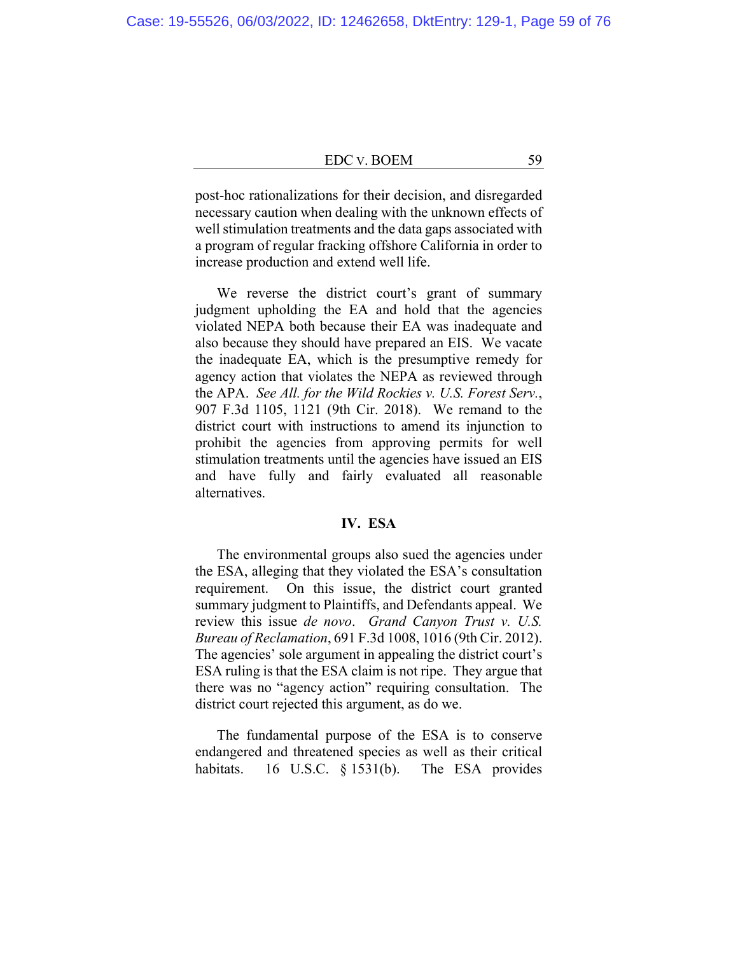post-hoc rationalizations for their decision, and disregarded necessary caution when dealing with the unknown effects of well stimulation treatments and the data gaps associated with a program of regular fracking offshore California in order to increase production and extend well life.

We reverse the district court's grant of summary judgment upholding the EA and hold that the agencies violated NEPA both because their EA was inadequate and also because they should have prepared an EIS. We vacate the inadequate EA, which is the presumptive remedy for agency action that violates the NEPA as reviewed through the APA. *See All. for the Wild Rockies v. U.S. Forest Serv.*, 907 F.3d 1105, 1121 (9th Cir. 2018). We remand to the district court with instructions to amend its injunction to prohibit the agencies from approving permits for well stimulation treatments until the agencies have issued an EIS and have fully and fairly evaluated all reasonable alternatives.

## **IV. ESA**

The environmental groups also sued the agencies under the ESA, alleging that they violated the ESA's consultation requirement. On this issue, the district court granted summary judgment to Plaintiffs, and Defendants appeal. We review this issue *de novo*. *Grand Canyon Trust v. U.S. Bureau of Reclamation*, 691 F.3d 1008, 1016 (9th Cir. 2012). The agencies' sole argument in appealing the district court's ESA ruling is that the ESA claim is not ripe. They argue that there was no "agency action" requiring consultation. The district court rejected this argument, as do we.

The fundamental purpose of the ESA is to conserve endangered and threatened species as well as their critical habitats. 16 U.S.C. § 1531(b). The ESA provides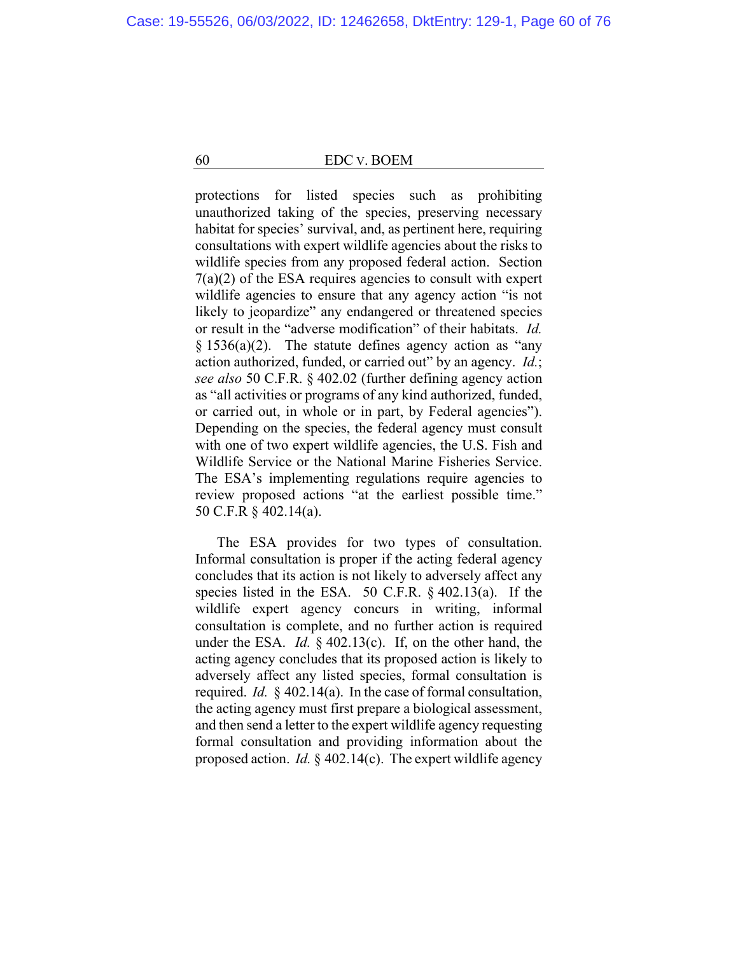protections for listed species such as prohibiting unauthorized taking of the species, preserving necessary habitat for species' survival, and, as pertinent here, requiring consultations with expert wildlife agencies about the risks to wildlife species from any proposed federal action. Section  $7(a)(2)$  of the ESA requires agencies to consult with expert wildlife agencies to ensure that any agency action "is not likely to jeopardize" any endangered or threatened species or result in the "adverse modification" of their habitats. *Id.*   $§ 1536(a)(2)$ . The statute defines agency action as "any action authorized, funded, or carried out" by an agency. *Id.*; *see also* 50 C.F.R. § 402.02 (further defining agency action as "all activities or programs of any kind authorized, funded, or carried out, in whole or in part, by Federal agencies"). Depending on the species, the federal agency must consult with one of two expert wildlife agencies, the U.S. Fish and Wildlife Service or the National Marine Fisheries Service. The ESA's implementing regulations require agencies to review proposed actions "at the earliest possible time." 50 C.F.R § 402.14(a).

The ESA provides for two types of consultation. Informal consultation is proper if the acting federal agency concludes that its action is not likely to adversely affect any species listed in the ESA. 50 C.F.R. § 402.13(a). If the wildlife expert agency concurs in writing, informal consultation is complete, and no further action is required under the ESA. *Id.* § 402.13(c). If, on the other hand, the acting agency concludes that its proposed action is likely to adversely affect any listed species, formal consultation is required. *Id.* § 402.14(a). In the case of formal consultation, the acting agency must first prepare a biological assessment, and then send a letter to the expert wildlife agency requesting formal consultation and providing information about the proposed action. *Id.* § 402.14(c). The expert wildlife agency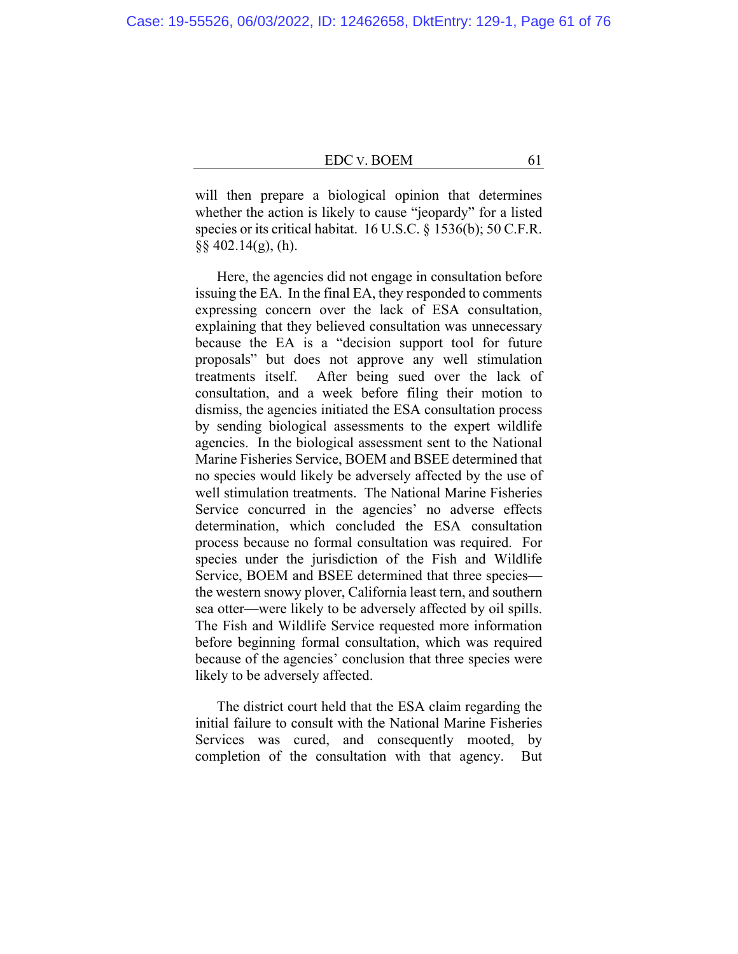will then prepare a biological opinion that determines whether the action is likely to cause "jeopardy" for a listed species or its critical habitat. 16 U.S.C. § 1536(b); 50 C.F.R.  $§$ § 402.14(g), (h).

Here, the agencies did not engage in consultation before issuing the EA. In the final EA, they responded to comments expressing concern over the lack of ESA consultation, explaining that they believed consultation was unnecessary because the EA is a "decision support tool for future proposals" but does not approve any well stimulation treatments itself. After being sued over the lack of consultation, and a week before filing their motion to dismiss, the agencies initiated the ESA consultation process by sending biological assessments to the expert wildlife agencies. In the biological assessment sent to the National Marine Fisheries Service, BOEM and BSEE determined that no species would likely be adversely affected by the use of well stimulation treatments. The National Marine Fisheries Service concurred in the agencies' no adverse effects determination, which concluded the ESA consultation process because no formal consultation was required. For species under the jurisdiction of the Fish and Wildlife Service, BOEM and BSEE determined that three species the western snowy plover, California least tern, and southern sea otter—were likely to be adversely affected by oil spills. The Fish and Wildlife Service requested more information before beginning formal consultation, which was required because of the agencies' conclusion that three species were likely to be adversely affected.

The district court held that the ESA claim regarding the initial failure to consult with the National Marine Fisheries Services was cured, and consequently mooted, by completion of the consultation with that agency. But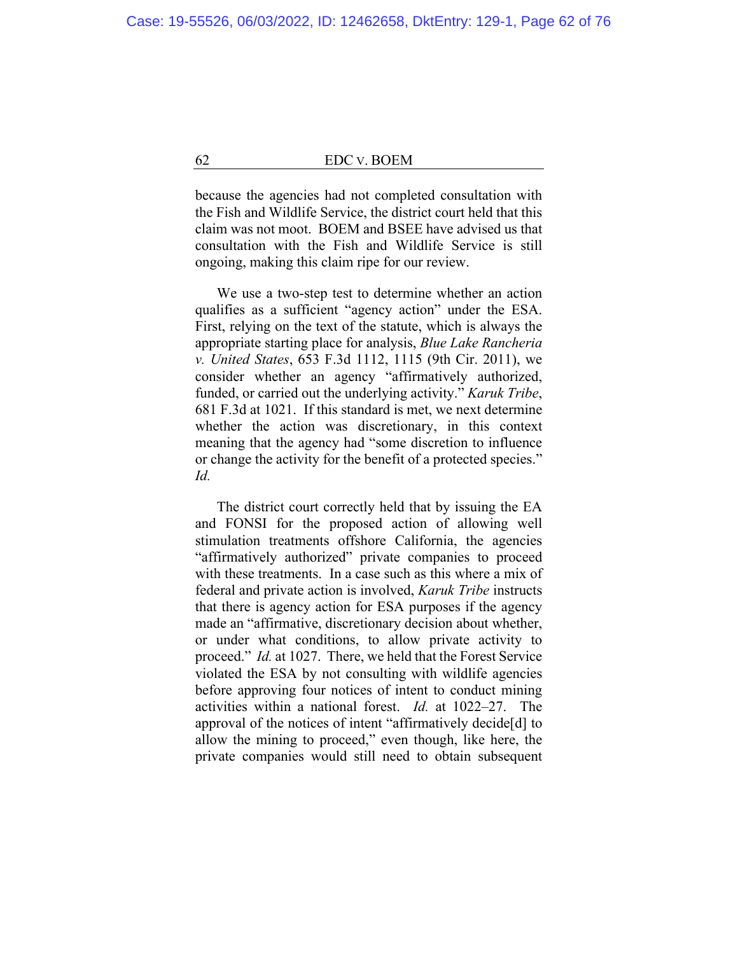because the agencies had not completed consultation with the Fish and Wildlife Service, the district court held that this claim was not moot. BOEM and BSEE have advised us that consultation with the Fish and Wildlife Service is still ongoing, making this claim ripe for our review.

We use a two-step test to determine whether an action qualifies as a sufficient "agency action" under the ESA. First, relying on the text of the statute, which is always the appropriate starting place for analysis, *Blue Lake Rancheria v. United States*, 653 F.3d 1112, 1115 (9th Cir. 2011), we consider whether an agency "affirmatively authorized, funded, or carried out the underlying activity." *Karuk Tribe*, 681 F.3d at 1021. If this standard is met, we next determine whether the action was discretionary, in this context meaning that the agency had "some discretion to influence or change the activity for the benefit of a protected species." *Id.*

The district court correctly held that by issuing the EA and FONSI for the proposed action of allowing well stimulation treatments offshore California, the agencies "affirmatively authorized" private companies to proceed with these treatments. In a case such as this where a mix of federal and private action is involved, *Karuk Tribe* instructs that there is agency action for ESA purposes if the agency made an "affirmative, discretionary decision about whether, or under what conditions, to allow private activity to proceed." *Id.* at 1027. There, we held that the Forest Service violated the ESA by not consulting with wildlife agencies before approving four notices of intent to conduct mining activities within a national forest. *Id.* at 1022–27. The approval of the notices of intent "affirmatively decide[d] to allow the mining to proceed," even though, like here, the private companies would still need to obtain subsequent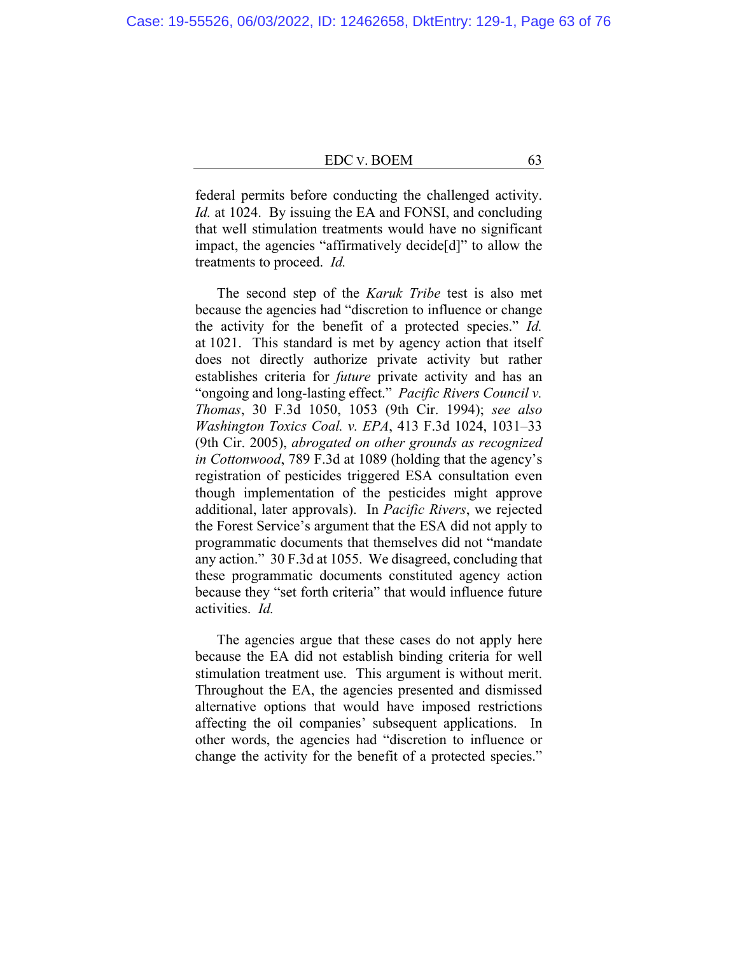federal permits before conducting the challenged activity. *Id.* at 1024. By issuing the EA and FONSI, and concluding that well stimulation treatments would have no significant impact, the agencies "affirmatively decide[d]" to allow the treatments to proceed. *Id.*

The second step of the *Karuk Tribe* test is also met because the agencies had "discretion to influence or change the activity for the benefit of a protected species." *Id.*  at 1021. This standard is met by agency action that itself does not directly authorize private activity but rather establishes criteria for *future* private activity and has an "ongoing and long-lasting effect." *Pacific Rivers Council v. Thomas*, 30 F.3d 1050, 1053 (9th Cir. 1994); *see also Washington Toxics Coal. v. EPA*, 413 F.3d 1024, 1031–33 (9th Cir. 2005), *abrogated on other grounds as recognized in Cottonwood*, 789 F.3d at 1089 (holding that the agency's registration of pesticides triggered ESA consultation even though implementation of the pesticides might approve additional, later approvals). In *Pacific Rivers*, we rejected the Forest Service's argument that the ESA did not apply to programmatic documents that themselves did not "mandate any action." 30 F.3d at 1055. We disagreed, concluding that these programmatic documents constituted agency action because they "set forth criteria" that would influence future activities. *Id.*

The agencies argue that these cases do not apply here because the EA did not establish binding criteria for well stimulation treatment use. This argument is without merit. Throughout the EA, the agencies presented and dismissed alternative options that would have imposed restrictions affecting the oil companies' subsequent applications. In other words, the agencies had "discretion to influence or change the activity for the benefit of a protected species."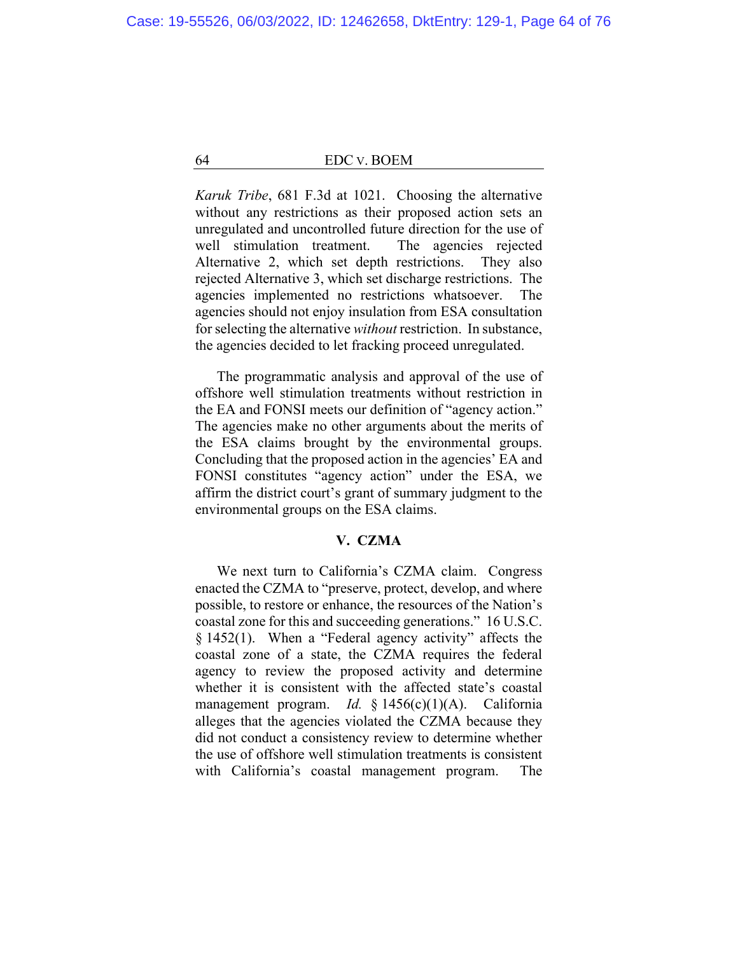*Karuk Tribe*, 681 F.3d at 1021. Choosing the alternative without any restrictions as their proposed action sets an unregulated and uncontrolled future direction for the use of well stimulation treatment. The agencies rejected Alternative 2, which set depth restrictions. They also rejected Alternative 3, which set discharge restrictions. The agencies implemented no restrictions whatsoever. The agencies should not enjoy insulation from ESA consultation for selecting the alternative *without* restriction. In substance, the agencies decided to let fracking proceed unregulated.

The programmatic analysis and approval of the use of offshore well stimulation treatments without restriction in the EA and FONSI meets our definition of "agency action." The agencies make no other arguments about the merits of the ESA claims brought by the environmental groups. Concluding that the proposed action in the agencies' EA and FONSI constitutes "agency action" under the ESA, we affirm the district court's grant of summary judgment to the environmental groups on the ESA claims.

## **V. CZMA**

We next turn to California's CZMA claim. Congress enacted the CZMA to "preserve, protect, develop, and where possible, to restore or enhance, the resources of the Nation's coastal zone for this and succeeding generations." 16 U.S.C. § 1452(1). When a "Federal agency activity" affects the coastal zone of a state, the CZMA requires the federal agency to review the proposed activity and determine whether it is consistent with the affected state's coastal management program. *Id.* § 1456(c)(1)(A). California alleges that the agencies violated the CZMA because they did not conduct a consistency review to determine whether the use of offshore well stimulation treatments is consistent with California's coastal management program. The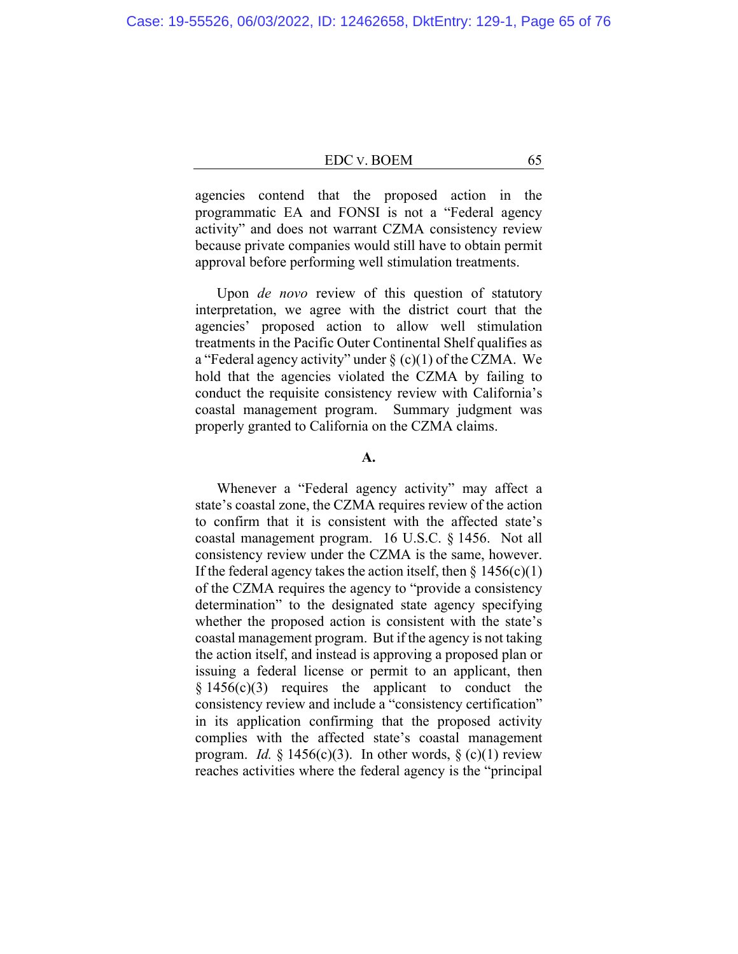agencies contend that the proposed action in the programmatic EA and FONSI is not a "Federal agency activity" and does not warrant CZMA consistency review because private companies would still have to obtain permit approval before performing well stimulation treatments.

Upon *de novo* review of this question of statutory interpretation, we agree with the district court that the agencies' proposed action to allow well stimulation treatments in the Pacific Outer Continental Shelf qualifies as a "Federal agency activity" under  $\S$  (c)(1) of the CZMA. We hold that the agencies violated the CZMA by failing to conduct the requisite consistency review with California's coastal management program. Summary judgment was properly granted to California on the CZMA claims.

## **A.**

Whenever a "Federal agency activity" may affect a state's coastal zone, the CZMA requires review of the action to confirm that it is consistent with the affected state's coastal management program. 16 U.S.C. § 1456. Not all consistency review under the CZMA is the same, however. If the federal agency takes the action itself, then  $\S$  1456(c)(1) of the CZMA requires the agency to "provide a consistency determination" to the designated state agency specifying whether the proposed action is consistent with the state's coastal management program. But if the agency is not taking the action itself, and instead is approving a proposed plan or issuing a federal license or permit to an applicant, then  $§ 1456(c)(3)$  requires the applicant to conduct the consistency review and include a "consistency certification" in its application confirming that the proposed activity complies with the affected state's coastal management program. *Id.*  $\S$  1456(c)(3). In other words,  $\S$  (c)(1) review reaches activities where the federal agency is the "principal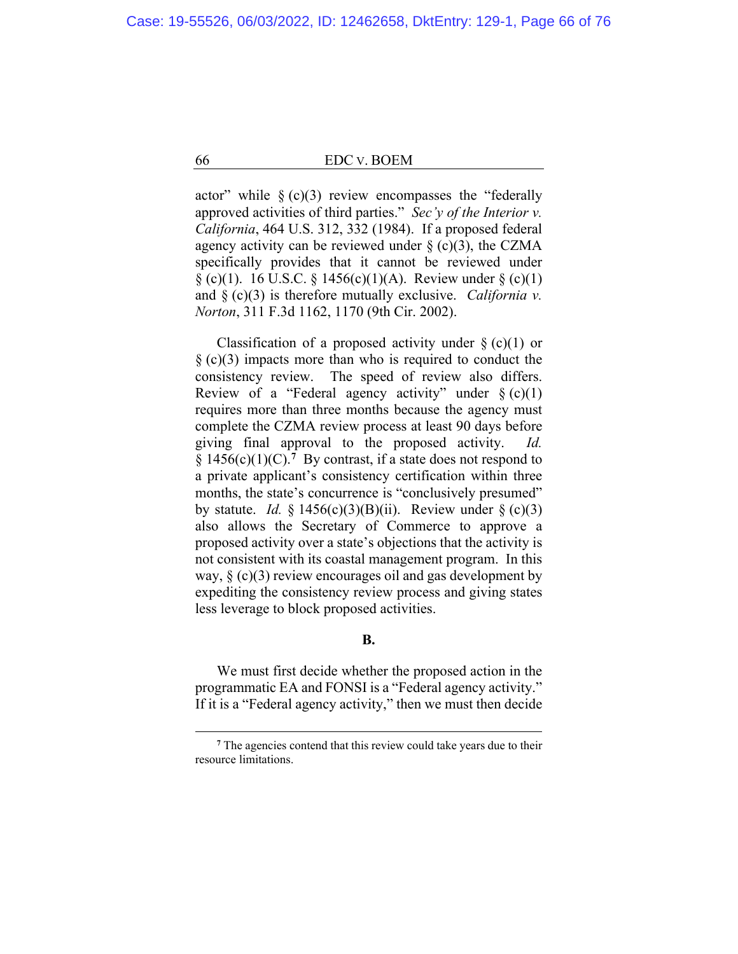actor" while  $\S$  (c)(3) review encompasses the "federally approved activities of third parties." *Sec'y of the Interior v. California*, 464 U.S. 312, 332 (1984). If a proposed federal agency activity can be reviewed under  $\S$  (c)(3), the CZMA specifically provides that it cannot be reviewed under  $\S$  (c)(1). 16 U.S.C.  $\S$  1456(c)(1)(A). Review under  $\S$  (c)(1) and § (c)(3) is therefore mutually exclusive. *California v. Norton*, 311 F.3d 1162, 1170 (9th Cir. 2002).

Classification of a proposed activity under  $\S$  (c)(1) or  $\S$  (c)(3) impacts more than who is required to conduct the consistency review. The speed of review also differs. Review of a "Federal agency activity" under  $\S(c)(1)$ requires more than three months because the agency must complete the CZMA review process at least 90 days before giving final approval to the proposed activity. *Id.*  §  $1456(c)(1)(C)$ .<sup>7</sup> By contrast, if a state does not respond to a private applicant's consistency certification within three months, the state's concurrence is "conclusively presumed" by statute. *Id.* § 1456(c)(3)(B)(ii). Review under § (c)(3) also allows the Secretary of Commerce to approve a proposed activity over a state's objections that the activity is not consistent with its coastal management program. In this way,  $\S$  (c)(3) review encourages oil and gas development by expediting the consistency review process and giving states less leverage to block proposed activities.

## **B.**

We must first decide whether the proposed action in the programmatic EA and FONSI is a "Federal agency activity." If it is a "Federal agency activity," then we must then decide

**<sup>7</sup>** The agencies contend that this review could take years due to their resource limitations.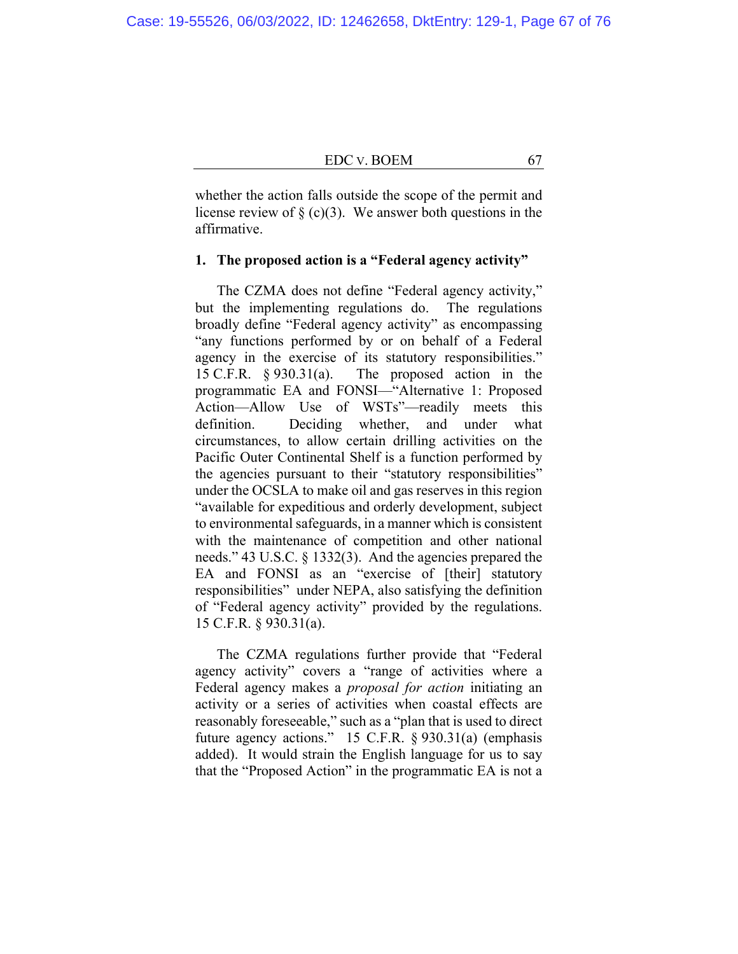whether the action falls outside the scope of the permit and license review of  $\S$  (c)(3). We answer both questions in the affirmative.

#### **1. The proposed action is a "Federal agency activity"**

The CZMA does not define "Federal agency activity," but the implementing regulations do. The regulations broadly define "Federal agency activity" as encompassing "any functions performed by or on behalf of a Federal agency in the exercise of its statutory responsibilities." 15 C.F.R. § 930.31(a). The proposed action in the programmatic EA and FONSI—"Alternative 1: Proposed Action—Allow Use of WSTs"—readily meets this definition. Deciding whether, and under what circumstances, to allow certain drilling activities on the Pacific Outer Continental Shelf is a function performed by the agencies pursuant to their "statutory responsibilities" under the OCSLA to make oil and gas reserves in this region "available for expeditious and orderly development, subject to environmental safeguards, in a manner which is consistent with the maintenance of competition and other national needs." 43 U.S.C. § 1332(3). And the agencies prepared the EA and FONSI as an "exercise of [their] statutory responsibilities" under NEPA, also satisfying the definition of "Federal agency activity" provided by the regulations. 15 C.F.R. § 930.31(a).

The CZMA regulations further provide that "Federal agency activity" covers a "range of activities where a Federal agency makes a *proposal for action* initiating an activity or a series of activities when coastal effects are reasonably foreseeable," such as a "plan that is used to direct future agency actions." 15 C.F.R. § 930.31(a) (emphasis added). It would strain the English language for us to say that the "Proposed Action" in the programmatic EA is not a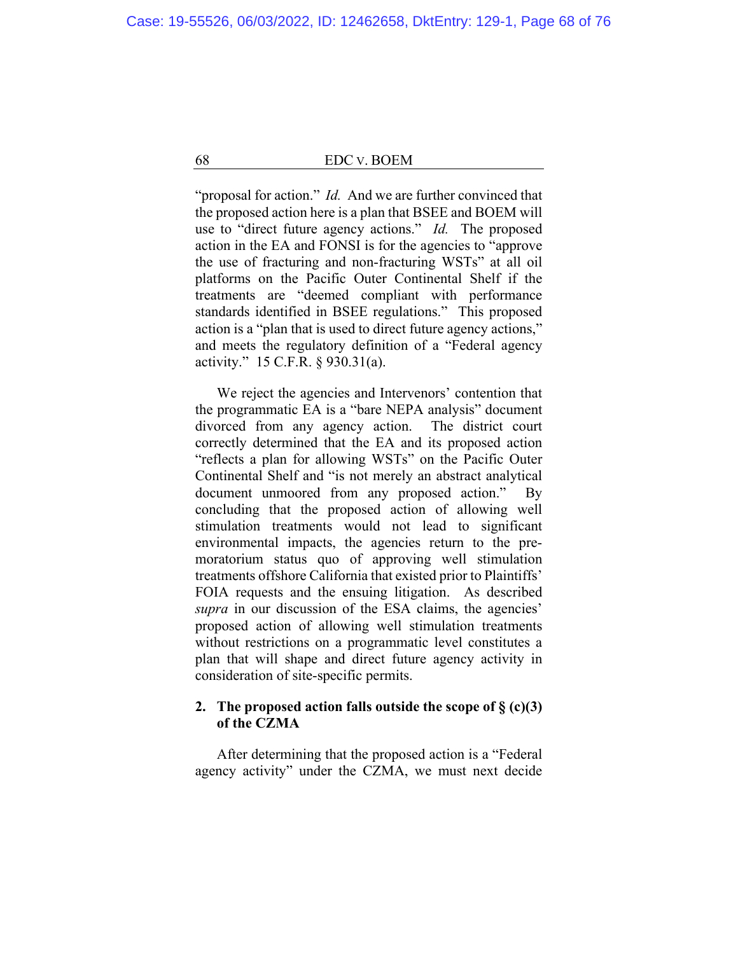"proposal for action." *Id.* And we are further convinced that the proposed action here is a plan that BSEE and BOEM will use to "direct future agency actions." *Id.* The proposed action in the EA and FONSI is for the agencies to "approve the use of fracturing and non-fracturing WSTs" at all oil platforms on the Pacific Outer Continental Shelf if the treatments are "deemed compliant with performance standards identified in BSEE regulations." This proposed action is a "plan that is used to direct future agency actions," and meets the regulatory definition of a "Federal agency activity." 15 C.F.R. § 930.31(a).

We reject the agencies and Intervenors' contention that the programmatic EA is a "bare NEPA analysis" document divorced from any agency action. The district court correctly determined that the EA and its proposed action "reflects a plan for allowing WSTs" on the Pacific Outer Continental Shelf and "is not merely an abstract analytical document unmoored from any proposed action." By concluding that the proposed action of allowing well stimulation treatments would not lead to significant environmental impacts, the agencies return to the premoratorium status quo of approving well stimulation treatments offshore California that existed prior to Plaintiffs' FOIA requests and the ensuing litigation. As described *supra* in our discussion of the ESA claims, the agencies' proposed action of allowing well stimulation treatments without restrictions on a programmatic level constitutes a plan that will shape and direct future agency activity in consideration of site-specific permits.

## **2. The proposed action falls outside the scope of § (c)(3) of the CZMA**

After determining that the proposed action is a "Federal agency activity" under the CZMA, we must next decide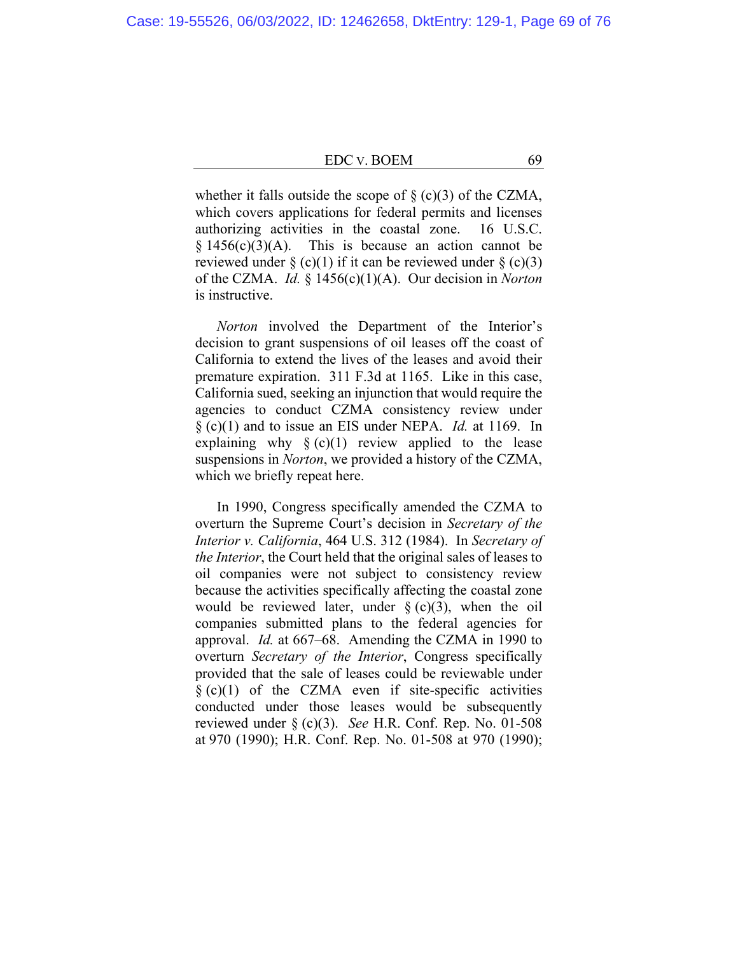whether it falls outside the scope of  $\S$  (c)(3) of the CZMA, which covers applications for federal permits and licenses authorizing activities in the coastal zone. 16 U.S.C.  $§ 1456(c)(3)(A)$ . This is because an action cannot be reviewed under  $\S$  (c)(1) if it can be reviewed under  $\S$  (c)(3) of the CZMA. *Id.* § 1456(c)(1)(A). Our decision in *Norton* is instructive.

*Norton* involved the Department of the Interior's decision to grant suspensions of oil leases off the coast of California to extend the lives of the leases and avoid their premature expiration. 311 F.3d at 1165. Like in this case, California sued, seeking an injunction that would require the agencies to conduct CZMA consistency review under § (c)(1) and to issue an EIS under NEPA. *Id.* at 1169. In explaining why  $\S(c)(1)$  review applied to the lease suspensions in *Norton*, we provided a history of the CZMA, which we briefly repeat here.

In 1990, Congress specifically amended the CZMA to overturn the Supreme Court's decision in *Secretary of the Interior v. California*, 464 U.S. 312 (1984). In *Secretary of the Interior*, the Court held that the original sales of leases to oil companies were not subject to consistency review because the activities specifically affecting the coastal zone would be reviewed later, under  $\S$  (c)(3), when the oil companies submitted plans to the federal agencies for approval. *Id.* at 667–68. Amending the CZMA in 1990 to overturn *Secretary of the Interior*, Congress specifically provided that the sale of leases could be reviewable under  $\S$  (c)(1) of the CZMA even if site-specific activities conducted under those leases would be subsequently reviewed under § (c)(3). *See* H.R. Conf. Rep. No. 01-508 at 970 (1990); H.R. Conf. Rep. No. 01-508 at 970 (1990);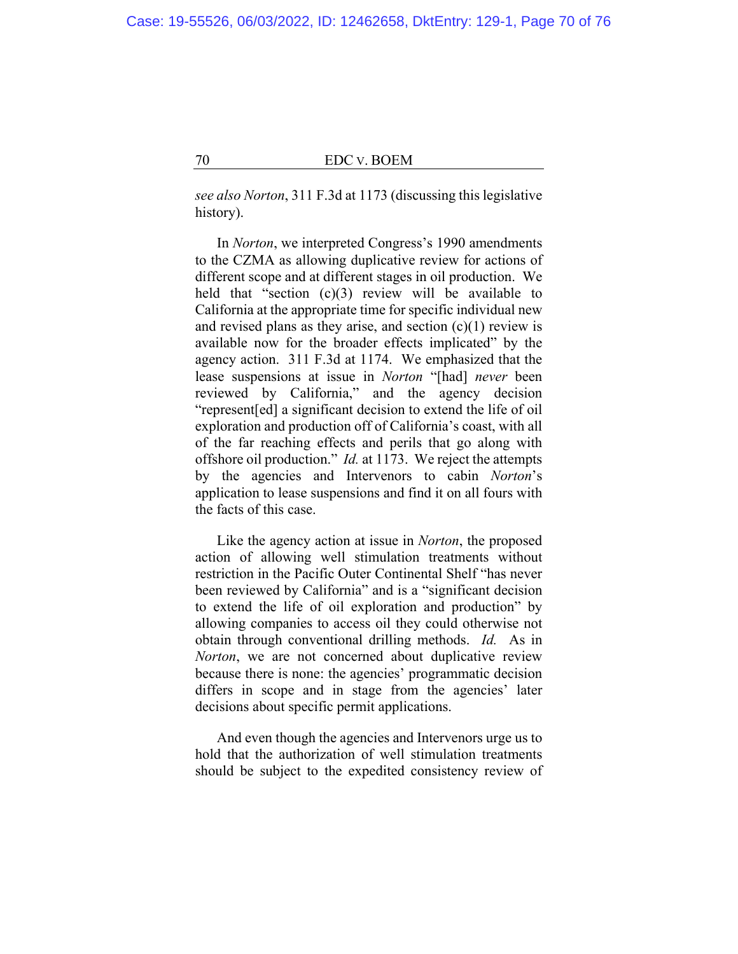*see also Norton*, 311 F.3d at 1173 (discussing this legislative history).

In *Norton*, we interpreted Congress's 1990 amendments to the CZMA as allowing duplicative review for actions of different scope and at different stages in oil production. We held that "section  $(c)(3)$  review will be available to California at the appropriate time for specific individual new and revised plans as they arise, and section  $(c)(1)$  review is available now for the broader effects implicated" by the agency action. 311 F.3d at 1174. We emphasized that the lease suspensions at issue in *Norton* "[had] *never* been reviewed by California," and the agency decision "represent[ed] a significant decision to extend the life of oil exploration and production off of California's coast, with all of the far reaching effects and perils that go along with offshore oil production." *Id.* at 1173. We reject the attempts by the agencies and Intervenors to cabin *Norton*'s application to lease suspensions and find it on all fours with the facts of this case.

Like the agency action at issue in *Norton*, the proposed action of allowing well stimulation treatments without restriction in the Pacific Outer Continental Shelf "has never been reviewed by California" and is a "significant decision to extend the life of oil exploration and production" by allowing companies to access oil they could otherwise not obtain through conventional drilling methods. *Id.* As in *Norton*, we are not concerned about duplicative review because there is none: the agencies' programmatic decision differs in scope and in stage from the agencies' later decisions about specific permit applications.

And even though the agencies and Intervenors urge us to hold that the authorization of well stimulation treatments should be subject to the expedited consistency review of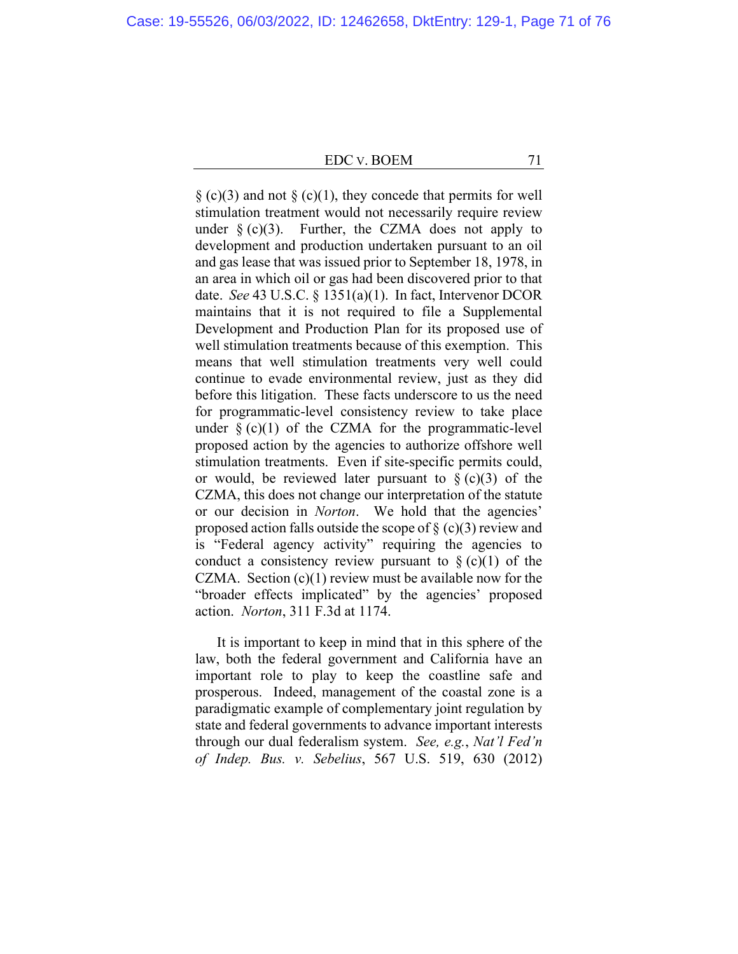$\S$  (c)(3) and not  $\S$  (c)(1), they concede that permits for well stimulation treatment would not necessarily require review under  $\S$  (c)(3). Further, the CZMA does not apply to development and production undertaken pursuant to an oil and gas lease that was issued prior to September 18, 1978, in an area in which oil or gas had been discovered prior to that date. *See* 43 U.S.C. § 1351(a)(1). In fact, Intervenor DCOR maintains that it is not required to file a Supplemental Development and Production Plan for its proposed use of well stimulation treatments because of this exemption. This means that well stimulation treatments very well could continue to evade environmental review, just as they did before this litigation. These facts underscore to us the need for programmatic-level consistency review to take place under  $\S$  (c)(1) of the CZMA for the programmatic-level proposed action by the agencies to authorize offshore well stimulation treatments. Even if site-specific permits could, or would, be reviewed later pursuant to  $\S$  (c)(3) of the CZMA, this does not change our interpretation of the statute or our decision in *Norton*. We hold that the agencies' proposed action falls outside the scope of  $\S$  (c)(3) review and is "Federal agency activity" requiring the agencies to conduct a consistency review pursuant to  $\S(c)(1)$  of the CZMA. Section  $(c)(1)$  review must be available now for the "broader effects implicated" by the agencies' proposed action. *Norton*, 311 F.3d at 1174.

It is important to keep in mind that in this sphere of the law, both the federal government and California have an important role to play to keep the coastline safe and prosperous. Indeed, management of the coastal zone is a paradigmatic example of complementary joint regulation by state and federal governments to advance important interests through our dual federalism system. *See, e.g.*, *Nat'l Fed'n of Indep. Bus. v. Sebelius*, 567 U.S. 519, 630 (2012)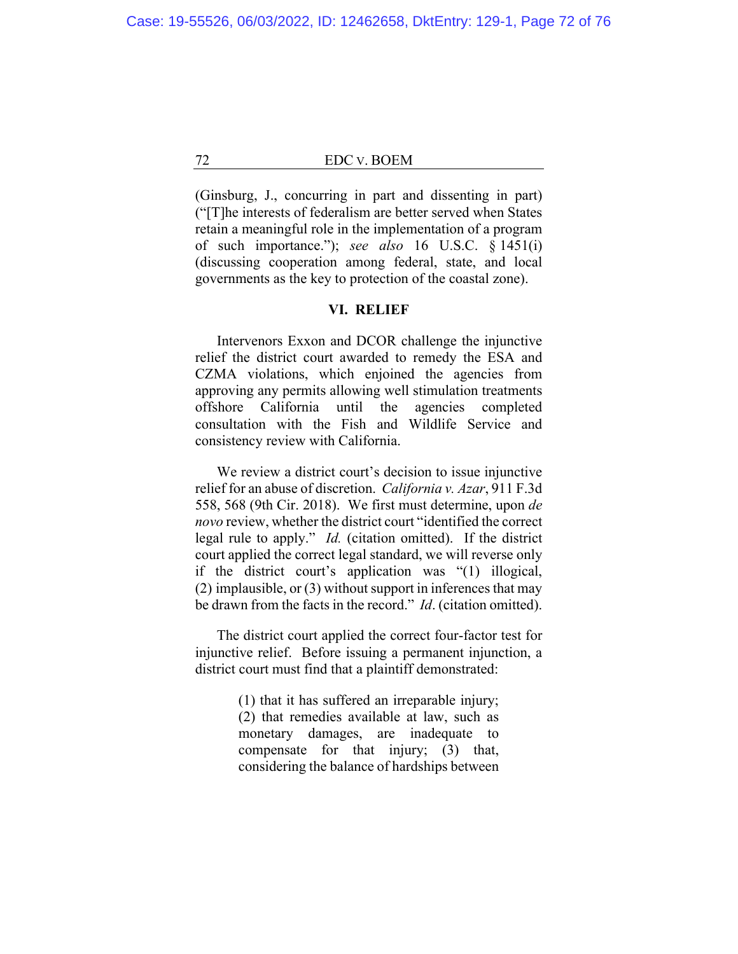(Ginsburg, J., concurring in part and dissenting in part) ("[T]he interests of federalism are better served when States retain a meaningful role in the implementation of a program of such importance."); *see also* 16 U.S.C. § 1451(i) (discussing cooperation among federal, state, and local governments as the key to protection of the coastal zone).

#### **VI. RELIEF**

Intervenors Exxon and DCOR challenge the injunctive relief the district court awarded to remedy the ESA and CZMA violations, which enjoined the agencies from approving any permits allowing well stimulation treatments offshore California until the agencies completed consultation with the Fish and Wildlife Service and consistency review with California.

We review a district court's decision to issue injunctive relief for an abuse of discretion. *California v. Azar*, 911 F.3d 558, 568 (9th Cir. 2018). We first must determine, upon *de novo* review, whether the district court "identified the correct legal rule to apply." *Id.* (citation omitted). If the district court applied the correct legal standard, we will reverse only if the district court's application was "(1) illogical, (2) implausible, or (3) without support in inferences that may be drawn from the facts in the record." *Id*. (citation omitted).

The district court applied the correct four-factor test for injunctive relief. Before issuing a permanent injunction, a district court must find that a plaintiff demonstrated:

> (1) that it has suffered an irreparable injury; (2) that remedies available at law, such as monetary damages, are inadequate to compensate for that injury; (3) that, considering the balance of hardships between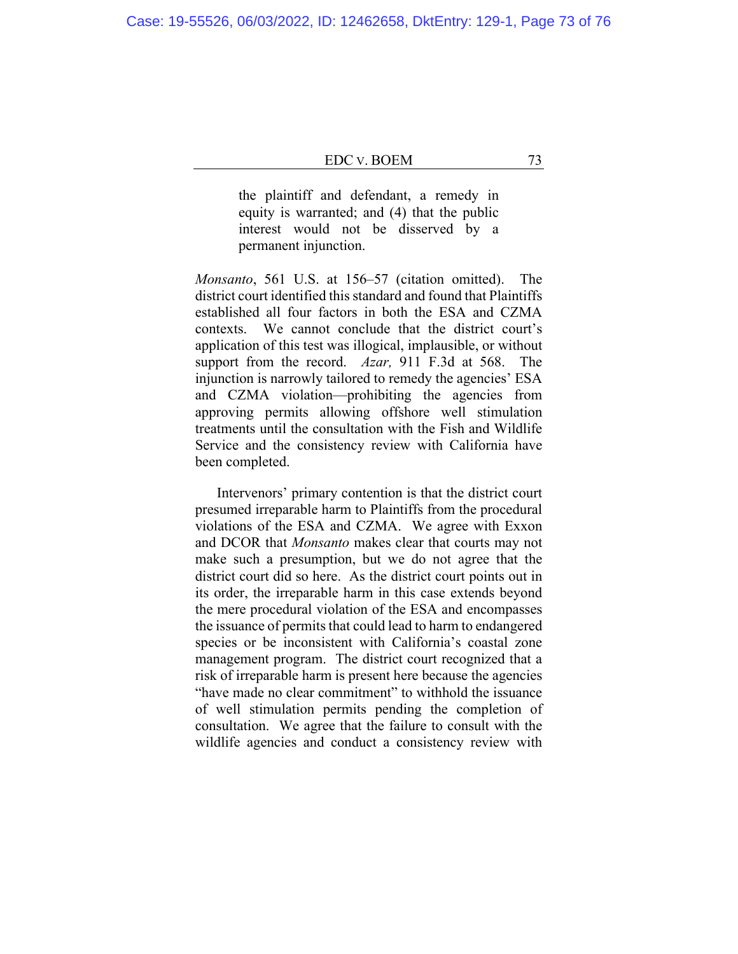the plaintiff and defendant, a remedy in equity is warranted; and (4) that the public interest would not be disserved by a permanent injunction.

*Monsanto*, 561 U.S. at 156–57 (citation omitted). The district court identified this standard and found that Plaintiffs established all four factors in both the ESA and CZMA contexts. We cannot conclude that the district court's application of this test was illogical, implausible, or without support from the record. *Azar,* 911 F.3d at 568. The injunction is narrowly tailored to remedy the agencies' ESA and CZMA violation—prohibiting the agencies from approving permits allowing offshore well stimulation treatments until the consultation with the Fish and Wildlife Service and the consistency review with California have been completed.

Intervenors' primary contention is that the district court presumed irreparable harm to Plaintiffs from the procedural violations of the ESA and CZMA. We agree with Exxon and DCOR that *Monsanto* makes clear that courts may not make such a presumption, but we do not agree that the district court did so here. As the district court points out in its order, the irreparable harm in this case extends beyond the mere procedural violation of the ESA and encompasses the issuance of permits that could lead to harm to endangered species or be inconsistent with California's coastal zone management program. The district court recognized that a risk of irreparable harm is present here because the agencies "have made no clear commitment" to withhold the issuance of well stimulation permits pending the completion of consultation. We agree that the failure to consult with the wildlife agencies and conduct a consistency review with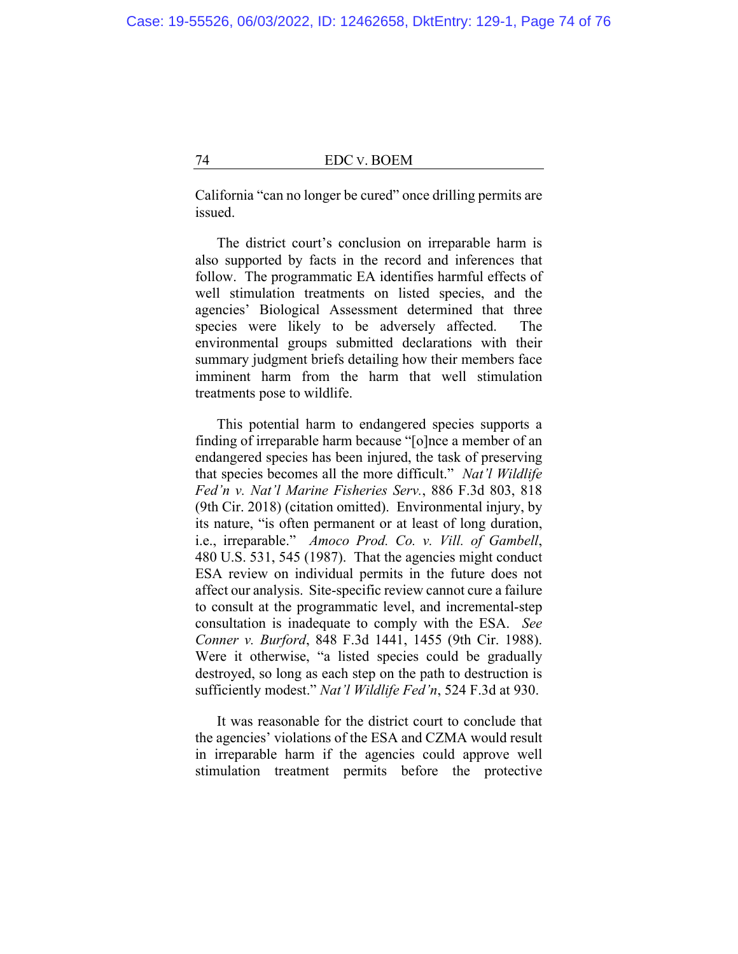California "can no longer be cured" once drilling permits are issued.

The district court's conclusion on irreparable harm is also supported by facts in the record and inferences that follow. The programmatic EA identifies harmful effects of well stimulation treatments on listed species, and the agencies' Biological Assessment determined that three species were likely to be adversely affected. The environmental groups submitted declarations with their summary judgment briefs detailing how their members face imminent harm from the harm that well stimulation treatments pose to wildlife.

This potential harm to endangered species supports a finding of irreparable harm because "[o]nce a member of an endangered species has been injured, the task of preserving that species becomes all the more difficult." *Nat'l Wildlife Fed'n v. Nat'l Marine Fisheries Serv.*, 886 F.3d 803, 818 (9th Cir. 2018) (citation omitted). Environmental injury, by its nature, "is often permanent or at least of long duration, i.e., irreparable." *Amoco Prod. Co. v. Vill. of Gambell*, 480 U.S. 531, 545 (1987). That the agencies might conduct ESA review on individual permits in the future does not affect our analysis. Site-specific review cannot cure a failure to consult at the programmatic level, and incremental-step consultation is inadequate to comply with the ESA. *See Conner v. Burford*, 848 F.3d 1441, 1455 (9th Cir. 1988). Were it otherwise, "a listed species could be gradually destroyed, so long as each step on the path to destruction is sufficiently modest." *Nat'l Wildlife Fed'n*, 524 F.3d at 930.

It was reasonable for the district court to conclude that the agencies' violations of the ESA and CZMA would result in irreparable harm if the agencies could approve well stimulation treatment permits before the protective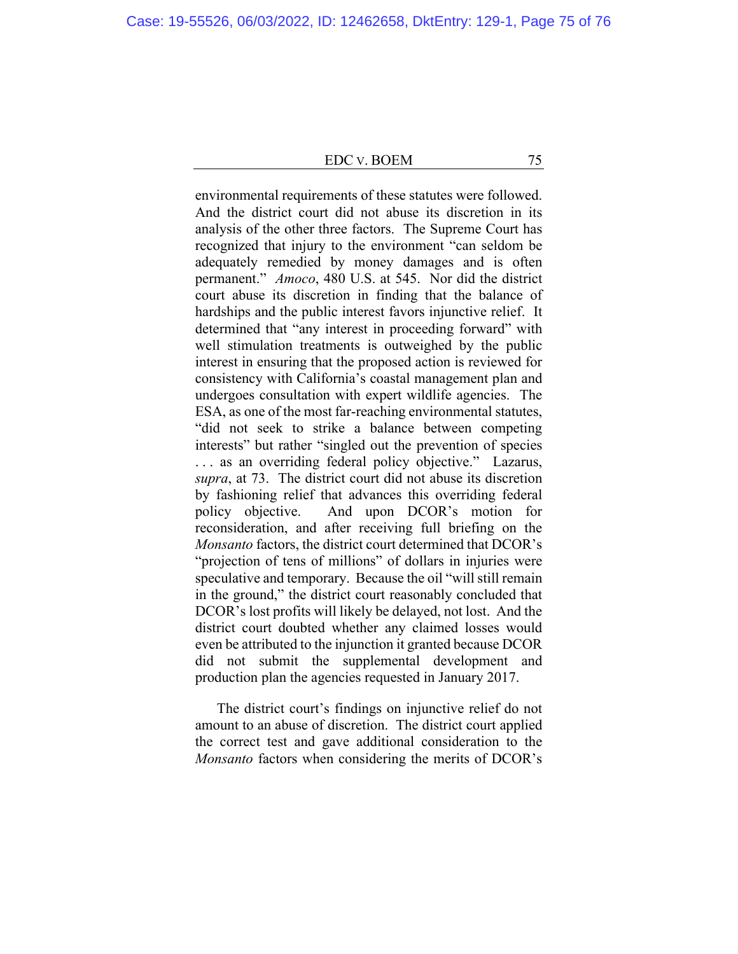environmental requirements of these statutes were followed. And the district court did not abuse its discretion in its analysis of the other three factors. The Supreme Court has recognized that injury to the environment "can seldom be adequately remedied by money damages and is often permanent." *Amoco*, 480 U.S. at 545. Nor did the district court abuse its discretion in finding that the balance of hardships and the public interest favors injunctive relief. It determined that "any interest in proceeding forward" with well stimulation treatments is outweighed by the public interest in ensuring that the proposed action is reviewed for consistency with California's coastal management plan and undergoes consultation with expert wildlife agencies. The ESA, as one of the most far-reaching environmental statutes, "did not seek to strike a balance between competing interests" but rather "singled out the prevention of species . . . as an overriding federal policy objective." Lazarus, *supra*, at 73. The district court did not abuse its discretion by fashioning relief that advances this overriding federal policy objective. And upon DCOR's motion for reconsideration, and after receiving full briefing on the *Monsanto* factors, the district court determined that DCOR's "projection of tens of millions" of dollars in injuries were speculative and temporary. Because the oil "will still remain in the ground," the district court reasonably concluded that DCOR's lost profits will likely be delayed, not lost. And the district court doubted whether any claimed losses would even be attributed to the injunction it granted because DCOR did not submit the supplemental development and production plan the agencies requested in January 2017.

The district court's findings on injunctive relief do not amount to an abuse of discretion. The district court applied the correct test and gave additional consideration to the *Monsanto* factors when considering the merits of DCOR's